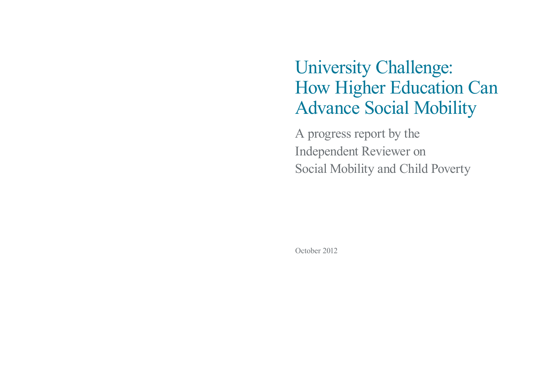# University Challenge: How Higher Education Can Advance Social Mobility

A progress report by the Independent Reviewer on Social Mobility and Child Poverty

October 2012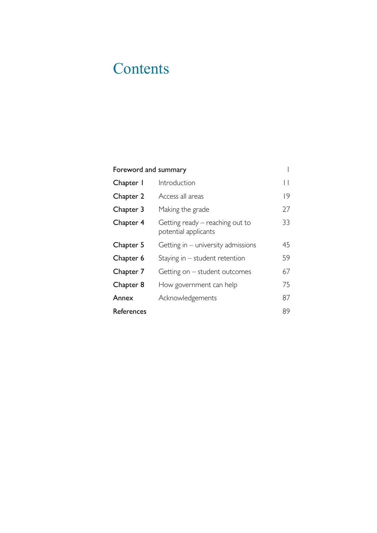## **Contents**

### [Foreword and summary](#page-3-0) 1

| Chapter I  | Introduction                                              |    |
|------------|-----------------------------------------------------------|----|
| Chapter 2  | Access all areas                                          | 9  |
| Chapter 3  | Making the grade                                          | 27 |
| Chapter 4  | Getting ready $-$ reaching out to<br>potential applicants | 33 |
| Chapter 5  | Getting in $-$ university admissions                      | 45 |
| Chapter 6  | Staying in $-$ student retention                          | 59 |
| Chapter 7  | Getting on – student outcomes                             | 67 |
| Chapter 8  | How government can help                                   | 75 |
| Annex      | Acknowledgements                                          | 87 |
| References |                                                           | 89 |

 $\pm 1$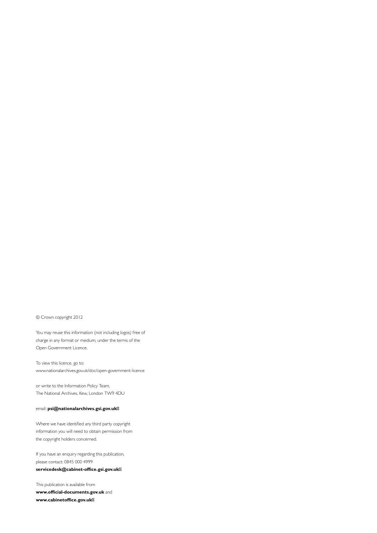© Crown copyright 2012

You may reuse this information (not including logos) free of charge in any format or medium, under the terms of the Open Government Licence.

To view this licence, go to: [www.nationalarchives.gov.uk/doc/open-government-licence](http://www.nationalarchives.gov.uk/doc/open-government-licence) 

or write to the Information Policy Team, The National Archives, Kew, London TW9 4DU

#### email: **[psi@nationalarchives.gsi.gov.uk](mailto:psi@nationalarchives.gsi.gov.uk)**

Where we have identified any third party copyright information you will need to obtain permission from the copyright holders concerned.

If you have an enquiry regarding this publication, please contact: 0845 000 4999 **[servicedesk@cabinet-office.gsi.gov.uk](mailto:servicedesk@cabinet-office.gsi.gov.uk)** 

This publication is available from **[www.official-documents.gov.uk](http://www.official-documents.gov.uk)** and **[www.cabinetoffice.gov.uk](http://www.cabinetoffice.gov.uk)**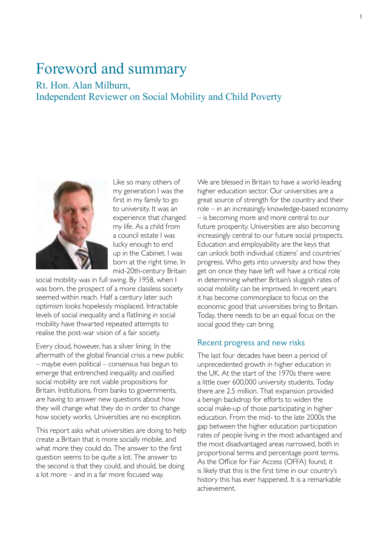### <span id="page-3-0"></span>Foreword and summary

### Rt. Hon. Alan Milburn, Independent Reviewer on Social Mobility and Child Poverty



Like so many others of my generation I was the first in my family to go to university. It was an experience that changed my life. As a child from a council estate I was lucky enough to end up in the Cabinet. I was born at the right time. In mid-20th-century Britain

social mobility was in full swing. By 1958, when I was born, the prospect of a more classless society seemed within reach. Half a century later such optimism looks hopelessly misplaced. Intractable levels of social inequality and a flatlining in social mobility have thwarted repeated attempts to realise the post-war vision of a fair society.

Every cloud, however, has a silver lining. In the aftermath of the global financial crisis a new public – maybe even political – consensus has begun to emerge that entrenched inequality and ossified social mobility are not viable propositions for Britain. Institutions, from banks to governments, are having to answer new questions about how they will change what they do in order to change how society works. Universities are no exception.

This report asks what universities are doing to help create a Britain that is more socially mobile, and what more they could do. The answer to the first question seems to be quite a lot. The answer to the second is that they could, and should, be doing a lot more – and in a far more focused way.

We are blessed in Britain to have a world-leading higher education sector. Our universities are a great source of strength for the country and their role – in an increasingly knowledge-based economy – is becoming more and more central to our future prosperity. Universities are also becoming increasingly central to our future social prospects. Education and employability are the keys that can unlock both individual citizens' and countries' progress. Who gets into university and how they get on once they have left will have a critical role in determining whether Britain's sluggish rates of social mobility can be improved. In recent years it has become commonplace to focus on the economic good that universities bring to Britain. Today, there needs to be an equal focus on the social good they can bring.

#### Recent progress and new risks

The last four decades have been a period of unprecedented growth in higher education in the UK. At the start of the 1970s there were a little over 600,000 university students. Today there are 2.5 million. That expansion provided a benign backdrop for efforts to widen the social make-up of those participating in higher education. From the mid- to the late 2000s the gap between the higher education participation rates of people living in the most advantaged and the most disadvantaged areas narrowed, both in proportional terms and percentage point terms. As the Office for Fair Access (OFFA) found, it is likely that this is the first time in our country's history this has ever happened. It is a remarkable achievement.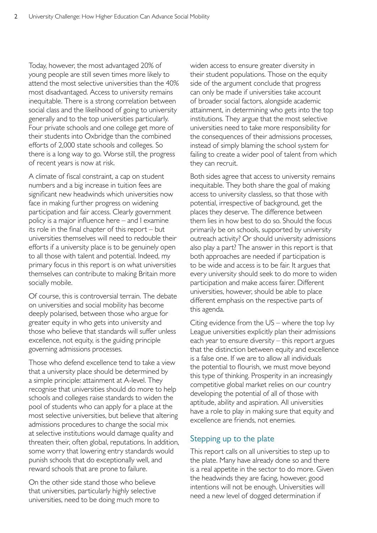Today, however, the most advantaged 20% of young people are still seven times more likely to attend the most selective universities than the 40% most disadvantaged. Access to university remains inequitable. There is a strong correlation between social class and the likelihood of going to university generally and to the top universities particularly. Four private schools and one college get more of their students into Oxbridge than the combined efforts of 2,000 state schools and colleges. So there is a long way to go. Worse still, the progress of recent years is now at risk.

A climate of fiscal constraint, a cap on student numbers and a big increase in tuition fees are significant new headwinds which universities now face in making further progress on widening participation and fair access. Clearly government policy is a major influence here – and I examine its role in the final chapter of this report – but universities themselves will need to redouble their efforts if a university place is to be genuinely open to all those with talent and potential. Indeed, my primary focus in this report is on what universities themselves can contribute to making Britain more socially mobile.

Of course, this is controversial terrain. The debate on universities and social mobility has become deeply polarised, between those who argue for greater equity in who gets into university and those who believe that standards will suffer unless excellence, not equity, is the guiding principle governing admissions processes.

Those who defend excellence tend to take a view that a university place should be determined by a simple principle: attainment at A-level. They recognise that universities should do more to help schools and colleges raise standards to widen the pool of students who can apply for a place at the most selective universities, but believe that altering admissions procedures to change the social mix at selective institutions would damage quality and threaten their, often global, reputations. In addition, some worry that lowering entry standards would punish schools that do exceptionally well, and reward schools that are prone to failure.

On the other side stand those who believe that universities, particularly highly selective universities, need to be doing much more to

widen access to ensure greater diversity in their student populations. Those on the equity side of the argument conclude that progress can only be made if universities take account of broader social factors, alongside academic attainment, in determining who gets into the top institutions. They argue that the most selective universities need to take more responsibility for the consequences of their admissions processes, instead of simply blaming the school system for failing to create a wider pool of talent from which they can recruit.

Both sides agree that access to university remains inequitable. They both share the goal of making access to university classless, so that those with potential, irrespective of background, get the places they deserve. The difference between them lies in how best to do so. Should the focus primarily be on schools, supported by university outreach activity? Or should university admissions also play a part? The answer in this report is that both approaches are needed if participation is to be wide and access is to be fair. It argues that every university should seek to do more to widen participation and make access fairer. Different universities, however, should be able to place different emphasis on the respective parts of this agenda.

Citing evidence from the US – where the top Ivy League universities explicitly plan their admissions each year to ensure diversity – this report argues that the distinction between equity and excellence is a false one. If we are to allow all individuals the potential to flourish, we must move beyond this type of thinking. Prosperity in an increasingly competitive global market relies on our country developing the potential of all of those with aptitude, ability and aspiration. All universities have a role to play in making sure that equity and excellence are friends, not enemies.

#### Stepping up to the plate

This report calls on all universities to step up to the plate. Many have already done so and there is a real appetite in the sector to do more. Given the headwinds they are facing, however, good intentions will not be enough. Universities will need a new level of dogged determination if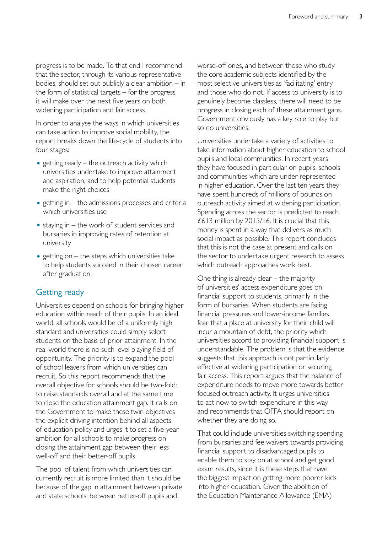progress is to be made. To that end I recommend that the sector, through its various representative bodies, should set out publicly a clear ambition  $-$  in the form of statistical targets – for the progress it will make over the next five years on both widening participation and fair access*.* 

In order to analyse the ways in which universities can take action to improve social mobility, the report breaks down the life-cycle of students into four stages:

- getting ready  $-$  the outreach activity which universities undertake to improve attainment and aspiration, and to help potential students make the right choices
- $\bullet$  getting in  $-$  the admissions processes and criteria which universities use
- $\bullet$  staying in the work of student services and bursaries in improving rates of retention at university
- getting on  $-$  the steps which universities take to help students succeed in their chosen career after graduation.

#### Getting ready

Universities depend on schools for bringing higher education within reach of their pupils. In an ideal world, all schools would be of a uniformly high standard and universities could simply select students on the basis of prior attainment. In the real world there is no such level playing field of opportunity. The priority is to expand the pool of school leavers from which universities can recruit. So this report recommends that the overall objective for schools should be two-fold: to raise standards overall and at the same time to close the education attainment gap. It calls on the Government to make these twin objectives the explicit driving intention behind all aspects of education policy and urges it to set a five-year ambition for all schools to make progress on closing the attainment gap between their less well-off and their better-off pupils.

The pool of talent from which universities can currently recruit is more limited than it should be because of the gap in attainment between private and state schools, between better-off pupils and

worse-off ones, and between those who study the core academic subjects identified by the most selective universities as 'facilitating' entry and those who do not. If access to university is to genuinely become classless, there will need to be progress in closing each of these attainment gaps. Government obviously has a key role to play but so do universities.

Universities undertake a variety of activities to take information about higher education to school pupils and local communities. In recent years they have focused in particular on pupils, schools and communities which are under-represented in higher education. Over the last ten years they have spent hundreds of millions of pounds on outreach activity aimed at widening participation. Spending across the sector is predicted to reach £613 million by 2015/16. It is crucial that this money is spent in a way that delivers as much social impact as possible. This report concludes that this is not the case at present and calls on the sector to undertake urgent research to assess which outreach approaches work best.

One thing is already clear – the majority of universities' access expenditure goes on financial support to students, primarily in the form of bursaries. When students are facing financial pressures and lower-income families fear that a place at university for their child will incur a mountain of debt, the priority which universities accord to providing financial support is understandable. The problem is that the evidence suggests that this approach is not particularly effective at widening participation or securing fair access. This report argues that the balance of expenditure needs to move more towards better focused outreach activity. It urges universities to act now to switch expenditure in this way and recommends that OFFA should report on whether they are doing so.

That could include universities switching spending from bursaries and fee waivers towards providing financial support to disadvantaged pupils to enable them to stay on at school and get good exam results, since it is these steps that have the biggest impact on getting more poorer kids into higher education. Given the abolition of the Education Maintenance Allowance (EMA)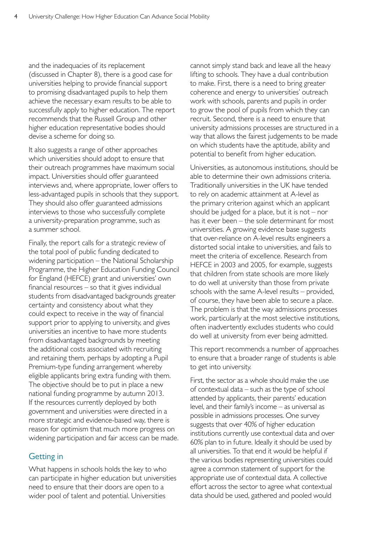and the inadequacies of its replacement (discussed in Chapter 8), there is a good case for universities helping to provide financial support to promising disadvantaged pupils to help them achieve the necessary exam results to be able to successfully apply to higher education. The report recommends that the Russell Group and other higher education representative bodies should devise a scheme for doing so*.* 

It also suggests a range of other approaches which universities should adopt to ensure that their outreach programmes have maximum social impact. Universities should offer guaranteed interviews and, where appropriate, lower offers to less-advantaged pupils in schools that they support. They should also offer guaranteed admissions interviews to those who successfully complete a university-preparation programme, such as a summer school.

Finally, the report calls for a strategic review of the total pool of public funding dedicated to widening participation – the National Scholarship Programme, the Higher Education Funding Council for England (HEFCE) grant and universities' own financial resources – so that it gives individual students from disadvantaged backgrounds greater certainty and consistency about what they could expect to receive in the way of financial support prior to applying to university, and gives universities an incentive to have more students from disadvantaged backgrounds by meeting the additional costs associated with recruiting and retaining them, perhaps by adopting a Pupil Premium-type funding arrangement whereby eligible applicants bring extra funding with them. The objective should be to put in place a new national funding programme by autumn 2013. If the resources currently deployed by both government and universities were directed in a more strategic and evidence-based way, there is reason for optimism that much more progress on widening participation and fair access can be made.

#### Getting in

What happens in schools holds the key to who can participate in higher education but universities need to ensure that their doors are open to a wider pool of talent and potential. Universities

cannot simply stand back and leave all the heavy lifting to schools. They have a dual contribution to make. First, there is a need to bring greater coherence and energy to universities' outreach work with schools, parents and pupils in order to grow the pool of pupils from which they can recruit. Second, there is a need to ensure that university admissions processes are structured in a way that allows the fairest judgements to be made on which students have the aptitude, ability and potential to benefit from higher education.

Universities, as autonomous institutions, should be able to determine their own admissions criteria. Traditionally universities in the UK have tended to rely on academic attainment at A-level as the primary criterion against which an applicant should be judged for a place, but it is not  $-$  nor has it ever been – the sole determinant for most universities. A growing evidence base suggests that over-reliance on A-level results engineers a distorted social intake to universities, and fails to meet the criteria of excellence. Research from HEFCE in 2003 and 2005, for example, suggests that children from state schools are more likely to do well at university than those from private schools with the same A-level results – provided, of course, they have been able to secure a place. The problem is that the way admissions processes work, particularly at the most selective institutions, often inadvertently excludes students who could do well at university from ever being admitted.

This report recommends a number of approaches to ensure that a broader range of students is able to get into university.

First, the sector as a whole should make the use of contextual data – such as the type of school attended by applicants, their parents' education level, and their family's income – as universal as possible in admissions processes. One survey suggests that over 40% of higher education institutions currently use contextual data and over 60% plan to in future. Ideally it should be used by all universities. To that end it would be helpful if the various bodies representing universities could agree a common statement of support for the appropriate use of contextual data. A collective effort across the sector to agree what contextual data should be used, gathered and pooled would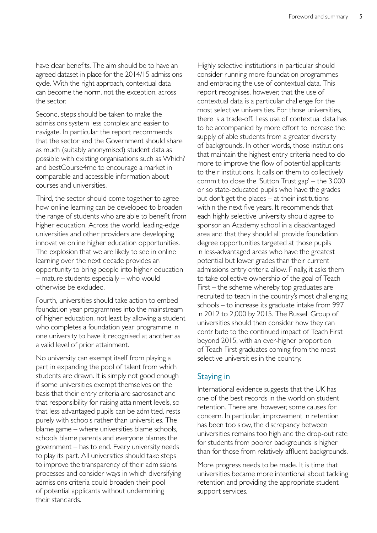have clear benefits. The aim should be to have an agreed dataset in place for the 2014/15 admissions cycle. With the right approach, contextual data can become the norm, not the exception, across the sector.

Second, steps should be taken to make the admissions system less complex and easier to navigate. In particular the report recommends that the sector and the Government should share as much (suitably anonymised) student data as possible with existing organisations such as Which? and bestCourse4me to encourage a market in comparable and accessible information about courses and universities.

Third, the sector should come together to agree how online learning can be developed to broaden the range of students who are able to benefit from higher education. Across the world, leading-edge universities and other providers are developing innovative online higher education opportunities. The explosion that we are likely to see in online learning over the next decade provides an opportunity to bring people into higher education – mature students especially – who would otherwise be excluded.

Fourth, universities should take action to embed foundation year programmes into the mainstream of higher education, not least by allowing a student who completes a foundation year programme in one university to have it recognised at another as a valid level of prior attainment.

No university can exempt itself from playing a part in expanding the pool of talent from which students are drawn. It is simply not good enough if some universities exempt themselves on the basis that their entry criteria are sacrosanct and that responsibility for raising attainment levels, so that less advantaged pupils can be admitted, rests purely with schools rather than universities. The blame game – where universities blame schools, schools blame parents and everyone blames the government – has to end. Every university needs to play its part. All universities should take steps to improve the transparency of their admissions processes and consider ways in which diversifying admissions criteria could broaden their pool of potential applicants without undermining their standards.

Highly selective institutions in particular should consider running more foundation programmes and embracing the use of contextual data. This report recognises, however, that the use of contextual data is a particular challenge for the most selective universities. For those universities, there is a trade-off. Less use of contextual data has to be accompanied by more effort to increase the supply of able students from a greater diversity of backgrounds. In other words, those institutions that maintain the highest entry criteria need to do more to improve the flow of potential applicants to their institutions. It calls on them to collectively commit to close the 'Sutton Trust gap' – the 3,000 or so state-educated pupils who have the grades but don't get the places – at their institutions within the next five years. It recommends that each highly selective university should agree to sponsor an Academy school in a disadvantaged area and that they should all provide foundation degree opportunities targeted at those pupils in less-advantaged areas who have the greatest potential but lower grades than their current admissions entry criteria allow. Finally, it asks them to take collective ownership of the goal of Teach First – the scheme whereby top graduates are recruited to teach in the country's most challenging schools – to increase its graduate intake from 997 in 2012 to 2,000 by 2015. The Russell Group of universities should then consider how they can contribute to the continued impact of Teach First beyond 2015, with an ever-higher proportion of Teach First graduates coming from the most selective universities in the country.

#### Staying in

International evidence suggests that the UK has one of the best records in the world on student retention. There are, however, some causes for concern. In particular, improvement in retention has been too slow, the discrepancy between universities remains too high and the drop-out rate for students from poorer backgrounds is higher than for those from relatively affluent backgrounds.

More progress needs to be made. It is time that universities became more intentional about tackling retention and providing the appropriate student support services.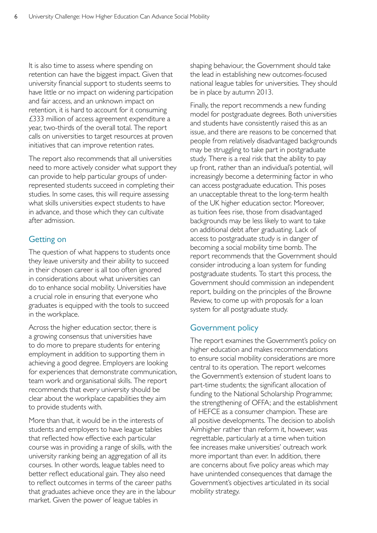It is also time to assess where spending on retention can have the biggest impact. Given that university financial support to students seems to have little or no impact on widening participation and fair access, and an unknown impact on retention, it is hard to account for it consuming £333 million of access agreement expenditure a year, two-thirds of the overall total. The report calls on universities to target resources at proven initiatives that can improve retention rates.

The report also recommends that all universities need to more actively consider what support they can provide to help particular groups of underrepresented students succeed in completing their studies. In some cases, this will require assessing what skills universities expect students to have in advance, and those which they can cultivate after admission.

#### Getting on

The question of what happens to students once they leave university and their ability to succeed in their chosen career is all too often ignored in considerations about what universities can do to enhance social mobility. Universities have a crucial role in ensuring that everyone who graduates is equipped with the tools to succeed in the workplace.

Across the higher education sector, there is a growing consensus that universities have to do more to prepare students for entering employment in addition to supporting them in achieving a good degree. Employers are looking for experiences that demonstrate communication, team work and organisational skills. The report recommends that every university should be clear about the workplace capabilities they aim to provide students with.

More than that, it would be in the interests of students and employers to have league tables that reflected how effective each particular course was in providing a range of skills, with the university ranking being an aggregation of all its courses. In other words, league tables need to better reflect educational gain. They also need to reflect outcomes in terms of the career paths that graduates achieve once they are in the labour market. Given the power of league tables in

shaping behaviour, the Government should take the lead in establishing new outcomes-focused national league tables for universities. They should be in place by autumn 2013.

Finally, the report recommends a new funding model for postgraduate degrees. Both universities and students have consistently raised this as an issue, and there are reasons to be concerned that people from relatively disadvantaged backgrounds may be struggling to take part in postgraduate study. There is a real risk that the ability to pay up front, rather than an individual's potential, will increasingly become a determining factor in who can access postgraduate education. This poses an unacceptable threat to the long-term health of the UK higher education sector. Moreover, as tuition fees rise, those from disadvantaged backgrounds may be less likely to want to take on additional debt after graduating. Lack of access to postgraduate study is in danger of becoming a social mobility time bomb. The report recommends that the Government should consider introducing a loan system for funding postgraduate students. To start this process, the Government should commission an independent report, building on the principles of the Browne Review, to come up with proposals for a loan system for all postgraduate study.

#### Government policy

The report examines the Government's policy on higher education and makes recommendations to ensure social mobility considerations are more central to its operation. The report welcomes the Government's extension of student loans to part-time students; the significant allocation of funding to the National Scholarship Programme; the strengthening of OFFA; and the establishment of HEFCE as a consumer champion. These are all positive developments. The decision to abolish Aimhigher rather than reform it, however, was regrettable, particularly at a time when tuition fee increases make universities' outreach work more important than ever. In addition, there are concerns about five policy areas which may have unintended consequences that damage the Government's objectives articulated in its social mobility strategy.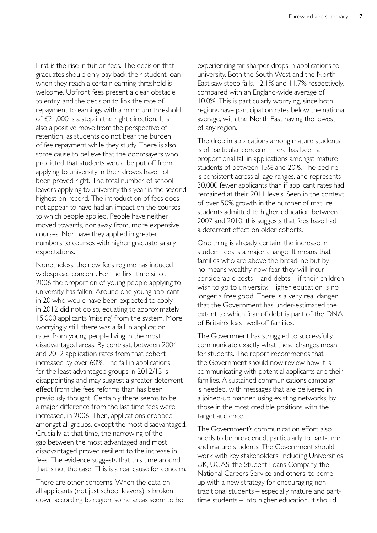First is the rise in tuition fees. The decision that graduates should only pay back their student loan when they reach a certain earning threshold is welcome. Upfront fees present a clear obstacle to entry, and the decision to link the rate of repayment to earnings with a minimum threshold of £21,000 is a step in the right direction. It is also a positive move from the perspective of retention, as students do not bear the burden of fee repayment while they study. There is also some cause to believe that the doomsayers who predicted that students would be put off from applying to university in their droves have not been proved right. The total number of school leavers applying to university this year is the second highest on record. The introduction of fees does not appear to have had an impact on the courses to which people applied. People have neither moved towards, nor away from, more expensive courses. Nor have they applied in greater numbers to courses with higher graduate salary expectations.

Nonetheless, the new fees regime has induced widespread concern. For the first time since 2006 the proportion of young people applying to university has fallen. Around one young applicant in 20 who would have been expected to apply in 2012 did not do so, equating to approximately 15,000 applicants 'missing' from the system. More worryingly still, there was a fall in application rates from young people living in the most disadvantaged areas. By contrast, between 2004 and 2012 application rates from that cohort increased by over 60%. The fall in applications for the least advantaged groups in 2012/13 is disappointing and may suggest a greater deterrent effect from the fees reforms than has been previously thought. Certainly there seems to be a major difference from the last time fees were increased, in 2006. Then, applications dropped amongst all groups, except the most disadvantaged. Crucially, at that time, the narrowing of the gap between the most advantaged and most disadvantaged proved resilient to the increase in fees. The evidence suggests that this time around that is not the case. This is a real cause for concern.

There are other concerns. When the data on all applicants (not just school leavers) is broken down according to region, some areas seem to be experiencing far sharper drops in applications to university. Both the South West and the North East saw steep falls, 12.1% and 11.7% respectively, compared with an England-wide average of 10.0%. This is particularly worrying, since both regions have participation rates below the national average, with the North East having the lowest of any region.

The drop in applications among mature students is of particular concern. There has been a proportional fall in applications amongst mature students of between 15% and 20%. The decline is consistent across all age ranges, and represents 30,000 fewer applicants than if applicant rates had remained at their 2011 levels. Seen in the context of over 50% growth in the number of mature students admitted to higher education between 2007 and 2010, this suggests that fees have had a deterrent effect on older cohorts.

One thing is already certain: the increase in student fees is a major change. It means that families who are above the breadline but by no means wealthy now fear they will incur considerable costs – and debts – if their children wish to go to university. Higher education is no longer a free good. There is a very real danger that the Government has under-estimated the extent to which fear of debt is part of the DNA of Britain's least well-off families.

The Government has struggled to successfully communicate exactly what these changes mean for students. The report recommends that the Government should now review how it is communicating with potential applicants and their families. A sustained communications campaign is needed, with messages that are delivered in a joined-up manner, using existing networks, by those in the most credible positions with the target audience.

The Government's communication effort also needs to be broadened, particularly to part-time and mature students. The Government should work with key stakeholders, including Universities UK, UCAS, the Student Loans Company, the National Careers Service and others, to come up with a new strategy for encouraging nontraditional students – especially mature and parttime students – into higher education. It should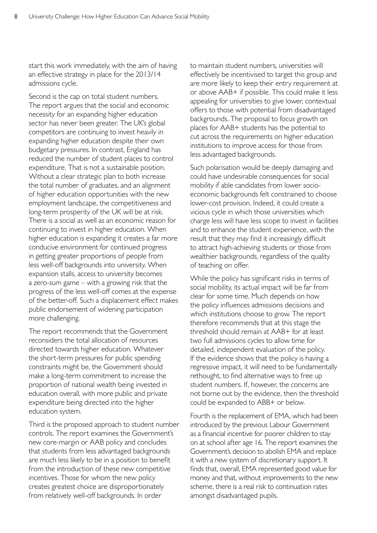start this work immediately, with the aim of having an effective strategy in place for the 2013/14 admissions cycle.

Second is the cap on total student numbers. The report argues that the social and economic necessity for an expanding higher education sector has never been greater. The UK's global competitors are continuing to invest heavily in expanding higher education despite their own budgetary pressures. In contrast, England has reduced the number of student places to control expenditure. That is not a sustainable position. Without a clear strategic plan to both increase the total number of graduates, and an alignment of higher education opportunities with the new employment landscape, the competitiveness and long-term prosperity of the UK will be at risk. There is a social as well as an economic reason for continuing to invest in higher education. When higher education is expanding it creates a far more conducive environment for continued progress in getting greater proportions of people from less well-off backgrounds into university. When expansion stalls, access to university becomes a zero-sum game – with a growing risk that the progress of the less well-off comes at the expense of the better-off. Such a displacement effect makes public endorsement of widening participation more challenging.

The report recommends that the Government reconsiders the total allocation of resources directed towards higher education. Whatever the short-term pressures for public spending constraints might be, the Government should make a long-term commitment to increase the proportion of national wealth being invested in education overall, with more public and private expenditure being directed into the higher education system.

Third is the proposed approach to student number controls. The report examines the Government's new core-margin or AAB policy and concludes that students from less advantaged backgrounds are much less likely to be in a position to benefit from the introduction of these new competitive incentives. Those for whom the new policy creates greatest choice are disproportionately from relatively well-off backgrounds. In order

to maintain student numbers, universities will effectively be incentivised to target this group and are more likely to keep their entry requirement at or above AAB+ if possible. This could make it less appealing for universities to give lower, contextual offers to those with potential from disadvantaged backgrounds. The proposal to focus growth on places for AAB+ students has the potential to cut across the requirements on higher education institutions to improve access for those from less advantaged backgrounds.

Such polarisation would be deeply damaging and could have undesirable consequences for social mobility if able candidates from lower socioeconomic backgrounds felt constrained to choose lower-cost provision. Indeed, it could create a vicious cycle in which those universities which charge less will have less scope to invest in facilities and to enhance the student experience, with the result that they may find it increasingly difficult to attract high-achieving students or those from wealthier backgrounds, regardless of the quality of teaching on offer.

While the policy has significant risks in terms of social mobility, its actual impact will be far from clear for some time. Much depends on how the policy influences admissions decisions and which institutions choose to grow. The report therefore recommends that at this stage the threshold should remain at AAB+ for at least two full admissions cycles to allow time for detailed, independent evaluation of the policy. If the evidence shows that the policy is having a regressive impact, it will need to be fundamentally rethought, to find alternative ways to free up student numbers. If, however, the concerns are not borne out by the evidence, then the threshold could be expanded to ABB+ or below*.* 

Fourth is the replacement of EMA, which had been introduced by the previous Labour Government as a financial incentive for poorer children to stay on at school after age 16. The report examines the Government's decision to abolish EMA and replace it with a new system of discretionary support. It finds that, overall, EMA represented good value for money and that, without improvements to the new scheme, there is a real risk to continuation rates amongst disadvantaged pupils.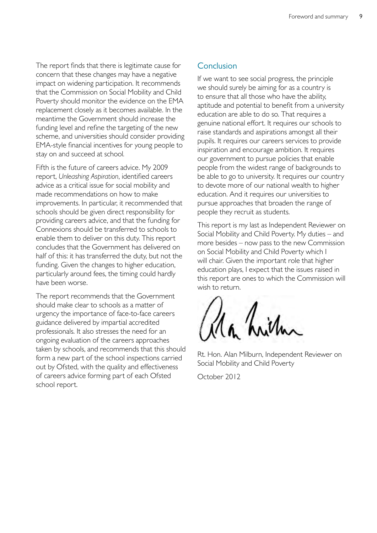The report finds that there is legitimate cause for concern that these changes may have a negative impact on widening participation. It recommends that the Commission on Social Mobility and Child Poverty should monitor the evidence on the EMA replacement closely as it becomes available. In the meantime the Government should increase the funding level and refine the targeting of the new scheme, and universities should consider providing EMA-style financial incentives for young people to stay on and succeed at school*.* 

Fifth is the future of careers advice. My 2009 report, *Unleashing Aspiration*, identified careers advice as a critical issue for social mobility and made recommendations on how to make improvements. In particular, it recommended that schools should be given direct responsibility for providing careers advice, and that the funding for Connexions should be transferred to schools to enable them to deliver on this duty. This report concludes that the Government has delivered on half of this: it has transferred the duty, but not the funding. Given the changes to higher education, particularly around fees, the timing could hardly have been worse.

The report recommends that the Government should make clear to schools as a matter of urgency the importance of face-to-face careers guidance delivered by impartial accredited professionals. It also stresses the need for an ongoing evaluation of the careers approaches taken by schools, and recommends that this should form a new part of the school inspections carried out by Ofsted, with the quality and effectiveness of careers advice forming part of each Ofsted school report.

#### **Conclusion**

If we want to see social progress, the principle we should surely be aiming for as a country is to ensure that all those who have the ability, aptitude and potential to benefit from a university education are able to do so. That requires a genuine national effort. It requires our schools to raise standards and aspirations amongst all their pupils. It requires our careers services to provide inspiration and encourage ambition. It requires our government to pursue policies that enable people from the widest range of backgrounds to be able to go to university. It requires our country to devote more of our national wealth to higher education. And it requires our universities to pursue approaches that broaden the range of people they recruit as students.

This report is my last as Independent Reviewer on Social Mobility and Child Poverty. My duties – and more besides – now pass to the new Commission on Social Mobility and Child Poverty which I will chair. Given the important role that higher education plays, I expect that the issues raised in this report are ones to which the Commission will wish to return.

Rt. Hon. Alan Milburn, Independent Reviewer on Social Mobility and Child Poverty

October 2012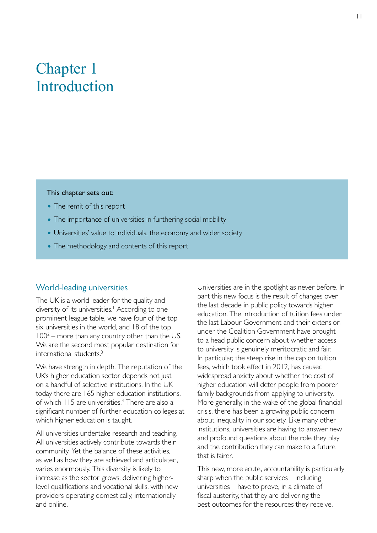## <span id="page-13-0"></span>Chapter 1 Introduction

#### This chapter sets out:

- The remit of this report
- The importance of universities in furthering social mobility
- Universities' value to individuals, the economy and wider society
- The methodology and contents of this report

#### World-leading universities

The UK is a world leader for the quality and diversity of its universities.<sup>1</sup> According to one prominent league table, we have four of the top six universities in the world, and 18 of the top 1002 – more than any country other than the US. We are the second most popular destination for international students.3

We have strength in depth. The reputation of the UK's higher education sector depends not just on a handful of selective institutions. In the UK today there are 165 higher education institutions, of which 115 are universities.<sup>4</sup> There are also a significant number of further education colleges at which higher education is taught.

All universities undertake research and teaching. All universities actively contribute towards their community. Yet the balance of these activities, as well as how they are achieved and articulated, varies enormously. This diversity is likely to increase as the sector grows, delivering higherlevel qualifications and vocational skills, with new providers operating domestically, internationally and online.

Universities are in the spotlight as never before. In part this new focus is the result of changes over the last decade in public policy towards higher education. The introduction of tuition fees under the last Labour Government and their extension under the Coalition Government have brought to a head public concern about whether access to university is genuinely meritocratic and fair. In particular, the steep rise in the cap on tuition fees, which took effect in 2012, has caused widespread anxiety about whether the cost of higher education will deter people from poorer family backgrounds from applying to university. More generally, in the wake of the global financial crisis, there has been a growing public concern about inequality in our society. Like many other institutions, universities are having to answer new and profound questions about the role they play and the contribution they can make to a future that is fairer.

This new, more acute, accountability is particularly sharp when the public services – including universities – have to prove, in a climate of fiscal austerity, that they are delivering the best outcomes for the resources they receive.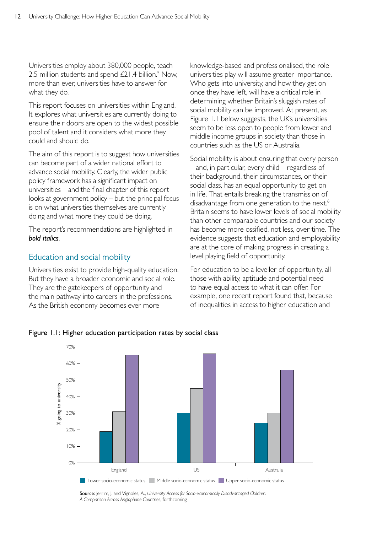Universities employ about 380,000 people, teach 2.5 million students and spend  $E21.4$  billion.<sup>5</sup> Now, more than ever, universities have to answer for what they do.

This report focuses on universities within England. It explores what universities are currently doing to ensure their doors are open to the widest possible pool of talent and it considers what more they could and should do.

The aim of this report is to suggest how universities can become part of a wider national effort to advance social mobility. Clearly, the wider public policy framework has a significant impact on universities – and the final chapter of this report looks at government policy – but the principal focus is on what universities themselves are currently doing and what more they could be doing.

The report's recommendations are highlighted in *bold italics*.

#### Education and social mobility

Universities exist to provide high-quality education. But they have a broader economic and social role. They are the gatekeepers of opportunity and the main pathway into careers in the professions. As the British economy becomes ever more

knowledge-based and professionalised, the role universities play will assume greater importance. Who gets into university, and how they get on once they have left, will have a critical role in determining whether Britain's sluggish rates of social mobility can be improved. At present, as Figure 1.1 below suggests, the UK's universities seem to be less open to people from lower and middle income groups in society than those in countries such as the US or Australia.

Social mobility is about ensuring that every person – and, in particular, every child – regardless of their background, their circumstances, or their social class, has an equal opportunity to get on in life. That entails breaking the transmission of disadvantage from one generation to the next.<sup>6</sup> Britain seems to have lower levels of social mobility than other comparable countries and our society has become more ossified, not less, over time. The evidence suggests that education and employability are at the core of making progress in creating a level playing field of opportunity.

For education to be a leveller of opportunity, all those with ability, aptitude and potential need to have equal access to what it can offer. For example, one recent report found that, because of inequalities in access to higher education and



Figure 1.1: Higher education participation rates by social class

Source: Jerrim, J. and Vignoles, A., *University Access for Socio-economically Disadvantaged Children: A Comparison Across Anglophone Countries*, forthcoming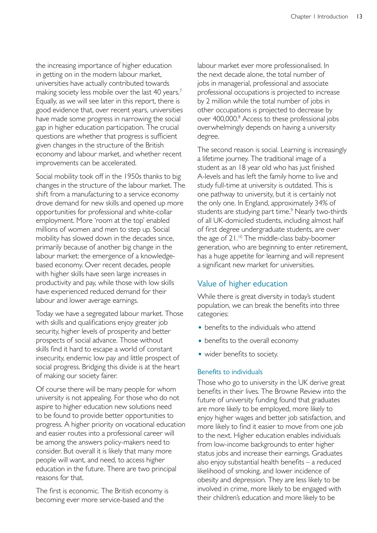the increasing importance of higher education in getting on in the modern labour market, universities have actually contributed towards making society less mobile over the last 40 years.<sup>7</sup> Equally, as we will see later in this report, there is good evidence that, over recent years, universities have made some progress in narrowing the social gap in higher education participation. The crucial questions are whether that progress is sufficient given changes in the structure of the British economy and labour market, and whether recent improvements can be accelerated.

Social mobility took off in the 1950s thanks to big changes in the structure of the labour market. The shift from a manufacturing to a service economy drove demand for new skills and opened up more opportunities for professional and white-collar employment. More 'room at the top' enabled millions of women and men to step up. Social mobility has slowed down in the decades since, primarily because of another big change in the labour market: the emergence of a knowledgebased economy. Over recent decades, people with higher skills have seen large increases in productivity and pay, while those with low skills have experienced reduced demand for their labour and lower average earnings.

Today we have a segregated labour market. Those with skills and qualifications enjoy greater job security, higher levels of prosperity and better prospects of social advance. Those without skills find it hard to escape a world of constant insecurity, endemic low pay and little prospect of social progress. Bridging this divide is at the heart of making our society fairer.

Of course there will be many people for whom university is not appealing. For those who do not aspire to higher education new solutions need to be found to provide better opportunities to progress. A higher priority on vocational education and easier routes into a professional career will be among the answers policy-makers need to consider. But overall it is likely that many more people will want, and need, to access higher education in the future. There are two principal reasons for that.

The first is economic. The British economy is becoming ever more service-based and the

labour market ever more professionalised. In the next decade alone, the total number of jobs in managerial, professional and associate professional occupations is projected to increase by 2 million while the total number of jobs in other occupations is projected to decrease by over 400,000.<sup>8</sup> Access to these professional jobs overwhelmingly depends on having a university degree.

The second reason is social. Learning is increasingly a lifetime journey. The traditional image of a student as an 18 year old who has just finished A-levels and has left the family home to live and study full-time at university is outdated. This is one pathway to university, but it is certainly not the only one. In England, approximately 34% of students are studying part time.<sup>9</sup> Nearly two-thirds of all UK-domiciled students, including almost half of first degree undergraduate students, are over the age of 21.<sup>10</sup> The middle-class baby-boomer generation, who are beginning to enter retirement, has a huge appetite for learning and will represent a significant new market for universities.

#### Value of higher education

While there is great diversity in today's student population, we can break the benefits into three categories:

- benefits to the individuals who attend
- benefits to the overall economy
- wider benefits to society.

#### Benefits to individuals

Those who go to university in the UK derive great benefits in their lives. The Browne Review into the future of university funding found that graduates are more likely to be employed, more likely to enjoy higher wages and better job satisfaction, and more likely to find it easier to move from one job to the next. Higher education enables individuals from low-income backgrounds to enter higher status jobs and increase their earnings. Graduates also enjoy substantial health benefits – a reduced likelihood of smoking, and lower incidence of obesity and depression. They are less likely to be involved in crime, more likely to be engaged with their children's education and more likely to be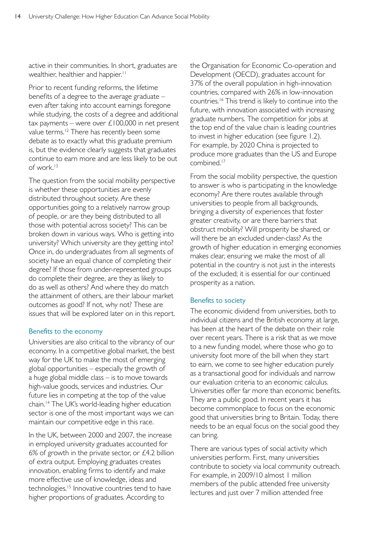active in their communities. In short, graduates are wealthier, healthier and happier.<sup>11</sup>

Prior to recent funding reforms, the lifetime benefits of a degree to the average graduate – even after taking into account earnings foregone while studying, the costs of a degree and additional tax payments – were over  $\angle 100,000$  in net present value terms.<sup>12</sup> There has recently been some debate as to exactly what this graduate premium is, but the evidence clearly suggests that graduates continue to earn more and are less likely to be out of work.13

The question from the social mobility perspective is whether these opportunities are evenly distributed throughout society. Are these opportunities going to a relatively narrow group of people, or are they being distributed to all those with potential across society? This can be broken down in various ways. Who is getting into university? Which university are they getting into? Once in, do undergraduates from all segments of society have an equal chance of completing their degree? If those from under-represented groups do complete their degree, are they as likely to do as well as others? And where they do match the attainment of others, are their labour market outcomes as good? If not, why not? These are issues that will be explored later on in this report.

#### Benefits to the economy

Universities are also critical to the vibrancy of our economy. In a competitive global market, the best way for the UK to make the most of emerging global opportunities – especially the growth of a huge global middle class – is to move towards high-value goods, services and industries. Our future lies in competing at the top of the value chain.14 The UK's world-leading higher education sector is one of the most important ways we can maintain our competitive edge in this race.

In the UK, between 2000 and 2007, the increase in employed university graduates accounted for 6% of growth in the private sector, or £4.2 billion of extra output. Employing graduates creates innovation, enabling firms to identify and make more effective use of knowledge, ideas and technologies.<sup>15</sup> Innovative countries tend to have higher proportions of graduates. According to

the Organisation for Economic Co-operation and Development (OECD), graduates account for 37% of the overall population in high-innovation countries, compared with 26% in low-innovation countries.16 This trend is likely to continue into the future, with innovation associated with increasing graduate numbers. The competition for jobs at the top end of the value chain is leading countries to invest in higher education (see figure 1.2). For example, by 2020 China is projected to produce more graduates than the US and Europe combined.17

From the social mobility perspective, the question to answer is who is participating in the knowledge economy? Are there routes available through universities to people from all backgrounds, bringing a diversity of experiences that foster greater creativity, or are there barriers that obstruct mobility? Will prosperity be shared, or will there be an excluded under-class? As the growth of higher education in emerging economies makes clear, ensuring we make the most of all potential in the country is not just in the interests of the excluded; it is essential for our continued prosperity as a nation.

#### Benefits to society

The economic dividend from universities, both to individual citizens and the British economy at large, has been at the heart of the debate on their role over recent years. There is a risk that as we move to a new funding model, where those who go to university foot more of the bill when they start to earn, we come to see higher education purely as a transactional good for individuals and narrow our evaluation criteria to an economic calculus. Universities offer far more than economic benefits. They are a public good. In recent years it has become commonplace to focus on the economic good that universities bring to Britain. Today, there needs to be an equal focus on the social good they can bring.

There are various types of social activity which universities perform. First, many universities contribute to society via local community outreach. For example, in 2009/10 almost 1 million members of the public attended free university lectures and just over 7 million attended free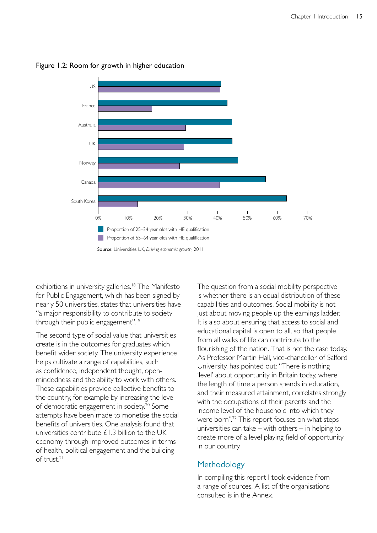

Figure 1.2: Room for growth in higher education

exhibitions in university galleries.<sup>18</sup> The Manifesto for Public Engagement, which has been signed by nearly 50 universities, states that universities have "a major responsibility to contribute to society through their public engagement".19

The second type of social value that universities create is in the outcomes for graduates which benefit wider society. The university experience helps cultivate a range of capabilities, such as confidence, independent thought, openmindedness and the ability to work with others. These capabilities provide collective benefits to the country, for example by increasing the level of democratic engagement in society.<sup>20</sup> Some attempts have been made to monetise the social benefits of universities. One analysis found that universities contribute £1.3 billion to the UK economy through improved outcomes in terms of health, political engagement and the building of trust.<sup>21</sup>

The question from a social mobility perspective is whether there is an equal distribution of these capabilities and outcomes. Social mobility is not just about moving people up the earnings ladder. It is also about ensuring that access to social and educational capital is open to all, so that people from all walks of life can contribute to the flourishing of the nation. That is not the case today. As Professor Martin Hall, vice-chancellor of Salford University, has pointed out: "There is nothing 'level' about opportunity in Britain today, where the length of time a person spends in education, and their measured attainment, correlates strongly with the occupations of their parents and the income level of the household into which they were born".<sup>22</sup> This report focuses on what steps universities can take – with others – in helping to create more of a level playing field of opportunity in our country.

#### Methodology

In compiling this report I took evidence from a range of sources. A list of the organisations consulted is in the Annex.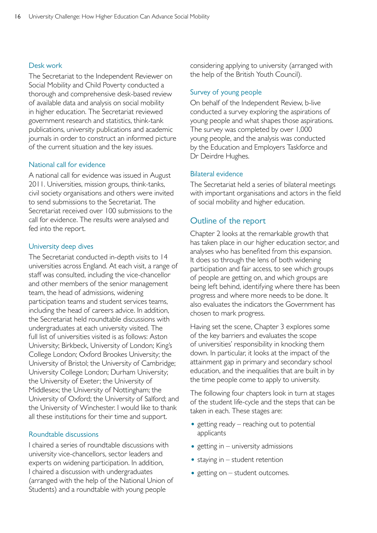#### Desk work

The Secretariat to the Independent Reviewer on Social Mobility and Child Poverty conducted a thorough and comprehensive desk-based review of available data and analysis on social mobility in higher education. The Secretariat reviewed government research and statistics, think-tank publications, university publications and academic journals in order to construct an informed picture of the current situation and the key issues.

#### National call for evidence

A national call for evidence was issued in August 2011. Universities, mission groups, think-tanks, civil society organisations and others were invited to send submissions to the Secretariat. The Secretariat received over 100 submissions to the call for evidence. The results were analysed and fed into the report.

#### University deep dives

The Secretariat conducted in-depth visits to 14 universities across England. At each visit, a range of staff was consulted, including the vice-chancellor and other members of the senior management team, the head of admissions, widening participation teams and student services teams, including the head of careers advice. In addition, the Secretariat held roundtable discussions with undergraduates at each university visited. The full list of universities visited is as follows: Aston University; Birkbeck, University of London; King's College London; Oxford Brookes University; the University of Bristol; the University of Cambridge; University College London; Durham University; the University of Exeter; the University of Middlesex; the University of Nottingham; the University of Oxford; the University of Salford; and the University of Winchester. I would like to thank all these institutions for their time and support.

#### Roundtable discussions

I chaired a series of roundtable discussions with university vice-chancellors, sector leaders and experts on widening participation. In addition, I chaired a discussion with undergraduates (arranged with the help of the National Union of Students) and a roundtable with young people

considering applying to university (arranged with the help of the British Youth Council).

#### Survey of young people

On behalf of the Independent Review, b-live conducted a survey exploring the aspirations of young people and what shapes those aspirations. The survey was completed by over 1,000 young people, and the analysis was conducted by the Education and Employers Taskforce and Dr Deirdre Hughes.

#### Bilateral evidence

The Secretariat held a series of bilateral meetings with important organisations and actors in the field of social mobility and higher education.

#### Outline of the report

Chapter 2 looks at the remarkable growth that has taken place in our higher education sector, and analyses who has benefited from this expansion. It does so through the lens of both widening participation and fair access, to see which groups of people are getting on, and which groups are being left behind, identifying where there has been progress and where more needs to be done. It also evaluates the indicators the Government has chosen to mark progress.

Having set the scene, Chapter 3 explores some of the key barriers and evaluates the scope of universities' responsibility in knocking them down. In particular, it looks at the impact of the attainment gap in primary and secondary school education, and the inequalities that are built in by the time people come to apply to university.

The following four chapters look in turn at stages of the student life-cycle and the steps that can be taken in each. These stages are:

- getting ready  $-$  reaching out to potential applicants
- $\bullet$  getting in university admissions
- $\bullet$  staying in student retention
- $\bullet$  getting on student outcomes.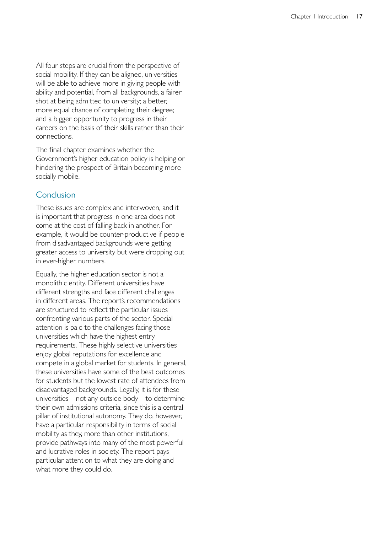All four steps are crucial from the perspective of social mobility. If they can be aligned, universities will be able to achieve more in giving people with ability and potential, from all backgrounds, a fairer shot at being admitted to university; a better, more equal chance of completing their degree; and a bigger opportunity to progress in their careers on the basis of their skills rather than their connections.

The final chapter examines whether the Government's higher education policy is helping or hindering the prospect of Britain becoming more socially mobile.

#### **Conclusion**

These issues are complex and interwoven, and it is important that progress in one area does not come at the cost of falling back in another. For example, it would be counter-productive if people from disadvantaged backgrounds were getting greater access to university but were dropping out in ever-higher numbers.

Equally, the higher education sector is not a monolithic entity. Different universities have different strengths and face different challenges in different areas. The report's recommendations are structured to reflect the particular issues confronting various parts of the sector. Special attention is paid to the challenges facing those universities which have the highest entry requirements. These highly selective universities enjoy global reputations for excellence and compete in a global market for students. In general, these universities have some of the best outcomes for students but the lowest rate of attendees from disadvantaged backgrounds. Legally, it is for these universities – not any outside body – to determine their own admissions criteria, since this is a central pillar of institutional autonomy. They do, however, have a particular responsibility in terms of social mobility as they, more than other institutions, provide pathways into many of the most powerful and lucrative roles in society. The report pays particular attention to what they are doing and what more they could do.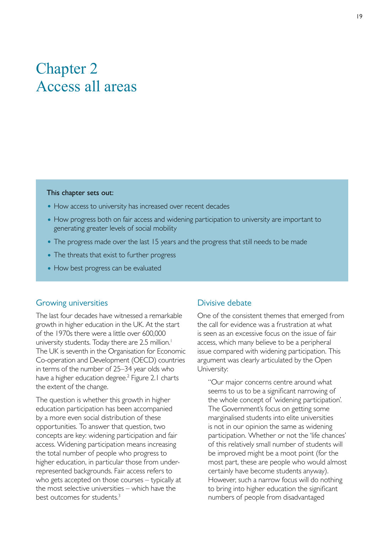### <span id="page-21-0"></span>Chapter 2 Access all areas

#### This chapter sets out:

- How access to university has increased over recent decades
- How progress both on fair access and widening participation to university are important to generating greater levels of social mobility
- The progress made over the last 15 years and the progress that still needs to be made
- The threats that exist to further progress
- How best progress can be evaluated

#### Growing universities

The last four decades have witnessed a remarkable growth in higher education in the UK. At the start of the 1970s there were a little over 600,000 university students. Today there are 2.5 million.<sup>1</sup> The UK is seventh in the Organisation for Economic Co-operation and Development (OECD) countries in terms of the number of 25–34 year olds who have a higher education degree.<sup>2</sup> Figure 2.1 charts the extent of the change.

The question is whether this growth in higher education participation has been accompanied by a more even social distribution of these opportunities. To answer that question, two concepts are key: widening participation and fair access. Widening participation means increasing the total number of people who progress to higher education, in particular those from underrepresented backgrounds. Fair access refers to who gets accepted on those courses – typically at the most selective universities – which have the best outcomes for students.3

#### Divisive debate

One of the consistent themes that emerged from the call for evidence was a frustration at what is seen as an excessive focus on the issue of fair access, which many believe to be a peripheral issue compared with widening participation. This argument was clearly articulated by the Open University:

"Our major concerns centre around what seems to us to be a significant narrowing of the whole concept of 'widening participation'. The Government's focus on getting some marginalised students into elite universities is not in our opinion the same as widening participation. Whether or not the 'life chances' of this relatively small number of students will be improved might be a moot point (for the most part, these are people who would almost certainly have become students anyway). However, such a narrow focus will do nothing to bring into higher education the significant numbers of people from disadvantaged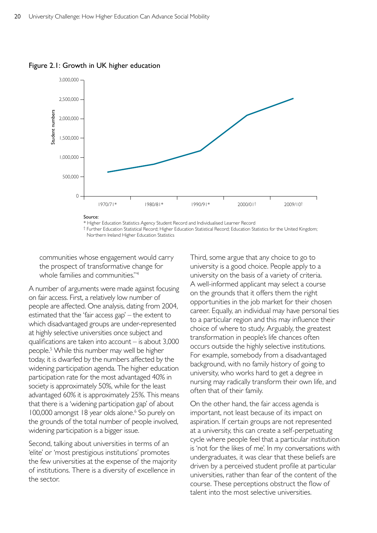

Figure 2.1: Growth in UK higher education

\* Higher Education Statistics Agency Student Record and Individualised Learner Record

† Further Education Statistical Record; Higher Education Statistical Record; Education Statistics for the United Kingdom; Northern Ireland Higher Education Statistics

communities whose engagement would carry the prospect of transformative change for whole families and communities."4

A number of arguments were made against focusing on fair access. First, a relatively low number of people are affected. One analysis, dating from 2004, estimated that the 'fair access gap' – the extent to which disadvantaged groups are under-represented at highly selective universities once subject and qualifications are taken into account – is about 3,000 people.5 While this number may well be higher today, it is dwarfed by the numbers affected by the widening participation agenda. The higher education participation rate for the most advantaged 40% in society is approximately 50%, while for the least advantaged 60% it is approximately 25%. This means that there is a 'widening participation gap' of about 100,000 amongst 18 year olds alone.<sup>6</sup> So purely on the grounds of the total number of people involved, widening participation is a bigger issue.

Second, talking about universities in terms of an 'elite' or 'most prestigious institutions' promotes the few universities at the expense of the majority of institutions. There is a diversity of excellence in the sector.

Third, some argue that any choice to go to university is a good choice. People apply to a university on the basis of a variety of criteria. A well-informed applicant may select a course on the grounds that it offers them the right opportunities in the job market for their chosen career. Equally, an individual may have personal ties to a particular region and this may influence their choice of where to study. Arguably, the greatest transformation in people's life chances often occurs outside the highly selective institutions. For example, somebody from a disadvantaged background, with no family history of going to university, who works hard to get a degree in nursing may radically transform their own life, and often that of their family.

On the other hand, the fair access agenda is important, not least because of its impact on aspiration. If certain groups are not represented at a university, this can create a self-perpetuating cycle where people feel that a particular institution is 'not for the likes of me'. In my conversations with undergraduates, it was clear that these beliefs are driven by a perceived student profile at particular universities, rather than fear of the content of the course. These perceptions obstruct the flow of talent into the most selective universities.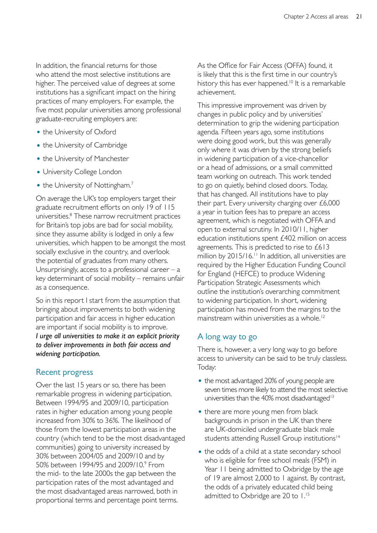In addition, the financial returns for those who attend the most selective institutions are higher. The perceived value of degrees at some institutions has a significant impact on the hiring practices of many employers. For example, the five most popular universities among professional graduate-recruiting employers are:

- the University of Oxford
- the University of Cambridge
- the University of Manchester
- University College London
- the University of Nottingham.<sup>7</sup>

On average the UK's top employers target their graduate recruitment efforts on only 19 of 115 universities.8 These narrow recruitment practices for Britain's top jobs are bad for social mobility, since they assume ability is lodged in only a few universities, which happen to be amongst the most socially exclusive in the country, and overlook the potential of graduates from many others. Unsurprisingly, access to a professional career  $-$  a key determinant of social mobility – remains unfair as a consequence.

So in this report I start from the assumption that bringing about improvements to both widening participation and fair access in higher education are important if social mobility is to improve. *I urge all universities to make it an explicit priority to deliver improvements in both fair access and widening participation.* 

#### Recent progress

Over the last 15 years or so, there has been remarkable progress in widening participation. Between 1994/95 and 2009/10, participation rates in higher education among young people increased from 30% to 36%. The likelihood of those from the lowest participation areas in the country (which tend to be the most disadvantaged communities) going to university increased by 30% between 2004/05 and 2009/10 and by 50% between 1994/95 and 2009/10.<sup>9</sup> From the mid- to the late 2000s the gap between the participation rates of the most advantaged and the most disadvantaged areas narrowed, both in proportional terms and percentage point terms.

As the Office for Fair Access (OFFA) found, it is likely that this is the first time in our country's history this has ever happened.<sup>10</sup> It is a remarkable achievement.

This impressive improvement was driven by changes in public policy and by universities' determination to grip the widening participation agenda. Fifteen years ago, some institutions were doing good work, but this was generally only where it was driven by the strong beliefs in widening participation of a vice-chancellor or a head of admissions, or a small committed team working on outreach. This work tended to go on quietly, behind closed doors. Today, that has changed. All institutions have to play their part. Every university charging over £6,000 a year in tuition fees has to prepare an access agreement, which is negotiated with OFFA and open to external scrutiny. In 2010/11, higher education institutions spent £402 million on access agreements. This is predicted to rise to £613 million by 2015/16.<sup>11</sup> In addition, all universities are required by the Higher Education Funding Council for England (HEFCE) to produce Widening Participation Strategic Assessments which outline the institution's overarching commitment to widening participation. In short, widening participation has moved from the margins to the mainstream within universities as a whole.<sup>12</sup>

#### A long way to go

There is, however, a very long way to go before access to university can be said to be truly classless. Today:

- the most advantaged 20% of young people are seven times more likely to attend the most selective universities than the  $40\%$  most disadvantaged<sup>13</sup>
- there are more young men from black backgrounds in prison in the UK than there are UK-domiciled undergraduate black male students attending Russell Group institutions<sup>14</sup>
- the odds of a child at a state secondary school who is eligible for free school meals (FSM) in Year 11 being admitted to Oxbridge by the age of 19 are almost 2,000 to 1 against. By contrast, the odds of a privately educated child being admitted to Oxbridge are 20 to 1.<sup>15</sup>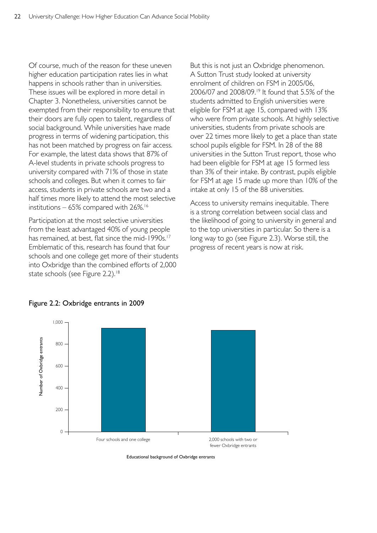Of course, much of the reason for these uneven higher education participation rates lies in what happens in schools rather than in universities. These issues will be explored in more detail in Chapter 3. Nonetheless, universities cannot be exempted from their responsibility to ensure that their doors are fully open to talent, regardless of social background. While universities have made progress in terms of widening participation, this has not been matched by progress on fair access. For example, the latest data shows that 87% of A-level students in private schools progress to university compared with 71% of those in state schools and colleges. But when it comes to fair access, students in private schools are two and a half times more likely to attend the most selective institutions  $-65\%$  compared with 26%.<sup>16</sup>

Participation at the most selective universities from the least advantaged 40% of young people has remained, at best, flat since the mid-1990s.<sup>17</sup> Emblematic of this, research has found that four schools and one college get more of their students into Oxbridge than the combined efforts of 2,000 state schools (see Figure 2.2).<sup>18</sup>

But this is not just an Oxbridge phenomenon. A Sutton Trust study looked at university enrolment of children on FSM in 2005/06, 2006/07 and 2008/09.19 It found that 5.5% of the students admitted to English universities were eligible for FSM at age 15, compared with 13% who were from private schools. At highly selective universities, students from private schools are over 22 times more likely to get a place than state school pupils eligible for FSM. In 28 of the 88 universities in the Sutton Trust report, those who had been eligible for FSM at age 15 formed less than 3% of their intake. By contrast, pupils eligible for FSM at age 15 made up more than 10% of the intake at only 15 of the 88 universities.

Access to university remains inequitable. There is a strong correlation between social class and the likelihood of going to university in general and to the top universities in particular. So there is a long way to go (see Figure 2.3). Worse still, the progress of recent years is now at risk.



Figure 2.2: Oxbridge entrants in 2009

Educational background of Oxbridge entrants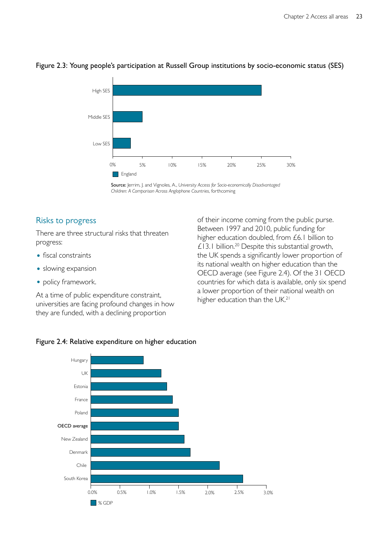

#### Figure 2.3: Young people's participation at Russell Group institutions by socio-economic status (SES)



#### Risks to progress

There are three structural risks that threaten progress:

- fiscal constraints
- slowing expansion
- policy framework.

At a time of public expenditure constraint, universities are facing profound changes in how they are funded, with a declining proportion

of their income coming from the public purse. Between 1997 and 2010, public funding for higher education doubled, from £6.1 billion to £13.1 billion.<sup>20</sup> Despite this substantial growth, the UK spends a significantly lower proportion of its national wealth on higher education than the OECD average (see Figure 2.4). Of the 31 OECD countries for which data is available, only six spend a lower proportion of their national wealth on higher education than the UK.<sup>21</sup>



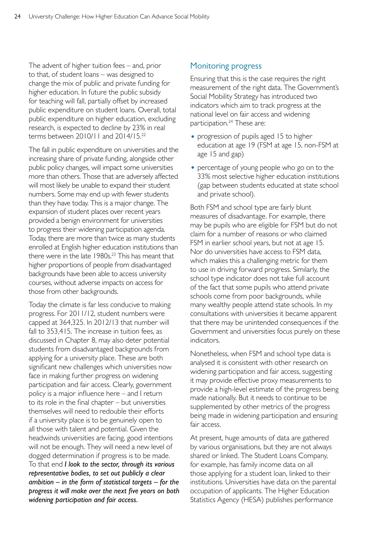The advent of higher tuition fees – and, prior to that, of student loans – was designed to change the mix of public and private funding for higher education. In future the public subsidy for teaching will fall, partially offset by increased public expenditure on student loans. Overall, total public expenditure on higher education, excluding research, is expected to decline by 23% in real terms between 2010/11 and 2014/15.22

The fall in public expenditure on universities and the increasing share of private funding, alongside other public policy changes, will impact some universities more than others. Those that are adversely affected will most likely be unable to expand their student numbers. Some may end up with fewer students than they have today. This is a major change. The expansion of student places over recent years provided a benign environment for universities to progress their widening participation agenda. Today, there are more than twice as many students enrolled at English higher education institutions than there were in the late 1980s.<sup>23</sup> This has meant that higher proportions of people from disadvantaged backgrounds have been able to access university courses, without adverse impacts on access for those from other backgrounds.

Today the climate is far less conducive to making progress. For 2011/12, student numbers were capped at 364,325. In 2012/13 that number will fall to 353,415. The increase in tuition fees, as discussed in Chapter 8, may also deter potential students from disadvantaged backgrounds from applying for a university place. These are both significant new challenges which universities now face in making further progress on widening participation and fair access. Clearly, government policy is a major influence here – and I return to its role in the final chapter – but universities themselves will need to redouble their efforts if a university place is to be genuinely open to all those with talent and potential. Given the headwinds universities are facing, good intentions will not be enough. They will need a new level of dogged determination if progress is to be made. To that end *I look to the sector, through its various representative bodies, to set out publicly a clear ambition – in the form of statistical targets – for the progress it will make over the next five years on both widening participation and fair access.* 

#### Monitoring progress

Ensuring that this is the case requires the right measurement of the right data. The Government's Social Mobility Strategy has introduced two indicators which aim to track progress at the national level on fair access and widening participation.<sup>24</sup> These are:

- progression of pupils aged 15 to higher education at age 19 (FSM at age 15, non-FSM at age 15 and gap)
- percentage of young people who go on to the 33% most selective higher education institutions (gap between students educated at state school and private school).

Both FSM and school type are fairly blunt measures of disadvantage. For example, there may be pupils who are eligible for FSM but do not claim for a number of reasons or who claimed FSM in earlier school years, but not at age 15. Nor do universities have access to FSM data, which makes this a challenging metric for them to use in driving forward progress. Similarly, the school type indicator does not take full account of the fact that some pupils who attend private schools come from poor backgrounds, while many wealthy people attend state schools. In my consultations with universities it became apparent that there may be unintended consequences if the Government and universities focus purely on these indicators.

Nonetheless, when FSM and school type data is analysed it is consistent with other research on widening participation and fair access, suggesting it may provide effective proxy measurements to provide a high-level estimate of the progress being made nationally. But it needs to continue to be supplemented by other metrics of the progress being made in widening participation and ensuring fair access.

At present, huge amounts of data are gathered by various organisations, but they are not always shared or linked. The Student Loans Company, for example, has family income data on all those applying for a student loan, linked to their institutions. Universities have data on the parental occupation of applicants. The Higher Education Statistics Agency (HESA) publishes performance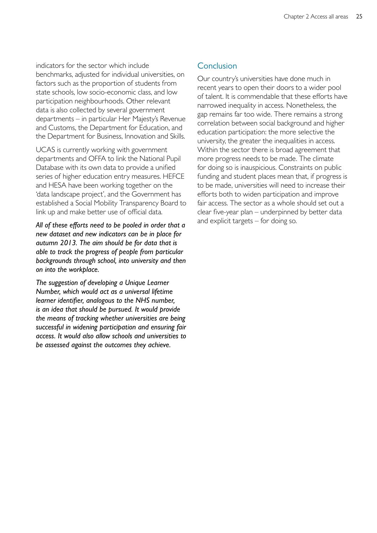indicators for the sector which include benchmarks, adjusted for individual universities, on factors such as the proportion of students from state schools, low socio-economic class, and low participation neighbourhoods. Other relevant data is also collected by several government departments – in particular Her Majesty's Revenue and Customs, the Department for Education, and the Department for Business, Innovation and Skills.

UCAS is currently working with government departments and OFFA to link the National Pupil Database with its own data to provide a unified series of higher education entry measures. HEFCE and HESA have been working together on the 'data landscape project', and the Government has established a Social Mobility Transparency Board to link up and make better use of official data.

*All of these efforts need to be pooled in order that a new dataset and new indicators can be in place for autumn 2013. The aim should be for data that is able to track the progress of people from particular backgrounds through school, into university and then on into the workplace.* 

*The suggestion of developing a Unique Learner Number, which would act as a universal lifetime learner identifier, analogous to the NHS number, is an idea that should be pursued. It would provide the means of tracking whether universities are being successful in widening participation and ensuring fair access. It would also allow schools and universities to be assessed against the outcomes they achieve.* 

#### **Conclusion**

Our country's universities have done much in recent years to open their doors to a wider pool of talent. It is commendable that these efforts have narrowed inequality in access. Nonetheless, the gap remains far too wide. There remains a strong correlation between social background and higher education participation: the more selective the university, the greater the inequalities in access. Within the sector there is broad agreement that more progress needs to be made. The climate for doing so is inauspicious. Constraints on public funding and student places mean that, if progress is to be made, universities will need to increase their efforts both to widen participation and improve fair access. The sector as a whole should set out a clear five-year plan – underpinned by better data and explicit targets – for doing so.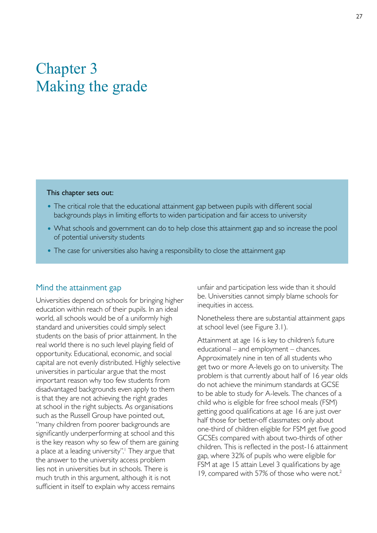## <span id="page-29-0"></span>Chapter 3 Making the grade

#### This chapter sets out:

- The critical role that the educational attainment gap between pupils with different social backgrounds plays in limiting efforts to widen participation and fair access to university
- What schools and government can do to help close this attainment gap and so increase the pool of potential university students
- The case for universities also having a responsibility to close the attainment gap

#### Mind the attainment gap

Universities depend on schools for bringing higher education within reach of their pupils. In an ideal world, all schools would be of a uniformly high standard and universities could simply select students on the basis of prior attainment. In the real world there is no such level playing field of opportunity. Educational, economic, and social capital are not evenly distributed. Highly selective universities in particular argue that the most important reason why too few students from disadvantaged backgrounds even apply to them is that they are not achieving the right grades at school in the right subjects. As organisations such as the Russell Group have pointed out, "many children from poorer backgrounds are significantly underperforming at school and this is the key reason why so few of them are gaining a place at a leading university".<sup>1</sup> They argue that the answer to the university access problem lies not in universities but in schools. There is much truth in this argument, although it is not sufficient in itself to explain why access remains

unfair and participation less wide than it should be. Universities cannot simply blame schools for inequities in access.

Nonetheless there are substantial attainment gaps at school level (see Figure 3.1).

Attainment at age 16 is key to children's future educational – and employment – chances. Approximately nine in ten of all students who get two or more A-levels go on to university. The problem is that currently about half of 16 year olds do not achieve the minimum standards at GCSE to be able to study for A-levels. The chances of a child who is eligible for free school meals (FSM) getting good qualifications at age 16 are just over half those for better-off classmates: only about one-third of children eligible for FSM get five good GCSEs compared with about two-thirds of other children. This is reflected in the post-16 attainment gap, where 32% of pupils who were eligible for FSM at age 15 attain Level 3 qualifications by age 19, compared with 57% of those who were not.<sup>2</sup>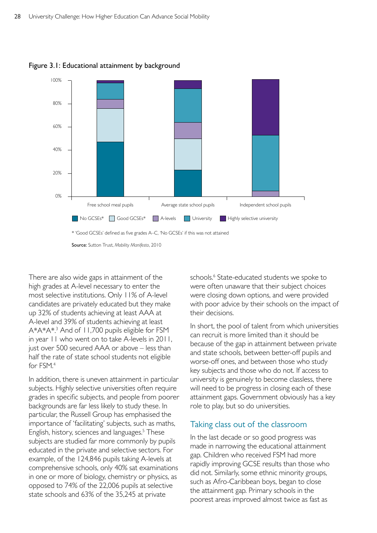

Figure 3.1: Educational attainment by background

Source: Sutton Trust, *Mobility Manifesto*, 2010

There are also wide gaps in attainment of the high grades at A-level necessary to enter the most selective institutions. Only 11% of A-level candidates are privately educated but they make up 32% of students achieving at least AAA at A-level and 39% of students achieving at least A\*A\*A\*.<sup>3</sup> And of 11,700 pupils eligible for FSM in year 11 who went on to take A-levels in 2011, just over 500 secured AAA or above – less than half the rate of state school students not eligible for FSM.4

In addition, there is uneven attainment in particular subjects. Highly selective universities often require grades in specific subjects, and people from poorer backgrounds are far less likely to study these. In particular, the Russell Group has emphasised the importance of 'facilitating' subjects, such as maths, English, history, sciences and languages.<sup>5</sup> These subjects are studied far more commonly by pupils educated in the private and selective sectors. For example, of the 124,846 pupils taking A-levels at comprehensive schools, only 40% sat examinations in one or more of biology, chemistry or physics, as opposed to 74% of the 22,006 pupils at selective state schools and 63% of the 35,245 at private

schools.<sup>6</sup> State-educated students we spoke to were often unaware that their subject choices were closing down options, and were provided with poor advice by their schools on the impact of their decisions.

In short, the pool of talent from which universities can recruit is more limited than it should be because of the gap in attainment between private and state schools, between better-off pupils and worse-off ones, and between those who study key subjects and those who do not. If access to university is genuinely to become classless, there will need to be progress in closing each of these attainment gaps. Government obviously has a key role to play, but so do universities.

#### Taking class out of the classroom

In the last decade or so good progress was made in narrowing the educational attainment gap. Children who received FSM had more rapidly improving GCSE results than those who did not. Similarly, some ethnic minority groups, such as Afro-Caribbean boys, began to close the attainment gap. Primary schools in the poorest areas improved almost twice as fast as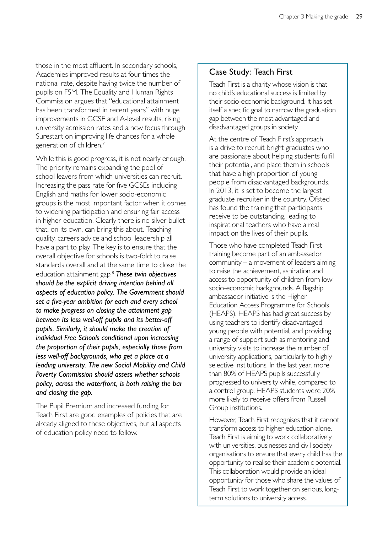those in the most affluent. In secondary schools, Academies improved results at four times the national rate, despite having twice the number of pupils on FSM. The Equality and Human Rights Commission argues that "educational attainment has been transformed in recent years" with huge improvements in GCSE and A-level results, rising university admission rates and a new focus through Surestart on improving life chances for a whole generation of children.7

While this is good progress, it is not nearly enough. The priority remains expanding the pool of school leavers from which universities can recruit. Increasing the pass rate for five GCSEs including English and maths for lower socio-economic groups is the most important factor when it comes to widening participation and ensuring fair access in higher education. Clearly there is no silver bullet that, on its own, can bring this about. Teaching quality, careers advice and school leadership all have a part to play. The key is to ensure that the overall objective for schools is two-fold: to raise standards overall and at the same time to close the education attainment gap.8 *These twin objectives should be the explicit driving intention behind all aspects of education policy. The Government should set a five-year ambition for each and every school to make progress on closing the attainment gap between its less well-off pupils and its better-off pupils. Similarly, it should make the creation of individual Free Schools conditional upon increasing the proportion of their pupils, especially those from less well-off backgrounds, who get a place at a leading university. The new Social Mobility and Child Poverty Commission should assess whether schools policy, across the waterfront, is both raising the bar and closing the gap.* 

The Pupil Premium and increased funding for Teach First are good examples of policies that are already aligned to these objectives, but all aspects of education policy need to follow.

#### Case Study: Teach First

Teach First is a charity whose vision is that no child's educational success is limited by their socio-economic background. It has set itself a specific goal to narrow the graduation gap between the most advantaged and disadvantaged groups in society.

At the centre of Teach First's approach is a drive to recruit bright graduates who are passionate about helping students fulfil their potential, and place them in schools that have a high proportion of young people from disadvantaged backgrounds. In 2013, it is set to become the largest graduate recruiter in the country. Ofsted has found the training that participants receive to be outstanding, leading to inspirational teachers who have a real impact on the lives of their pupils.

Those who have completed Teach First training become part of an ambassador community – a movement of leaders aiming to raise the achievement, aspiration and access to opportunity of children from low socio-economic backgrounds. A flagship ambassador initiative is the Higher Education Access Programme for Schools (HEAPS). HEAPS has had great success by using teachers to identify disadvantaged young people with potential, and providing a range of support such as mentoring and university visits to increase the number of university applications, particularly to highly selective institutions. In the last year, more than 80% of HEAPS pupils successfully progressed to university while, compared to a control group, HEAPS students were 20% more likely to receive offers from Russell Group institutions.

However, Teach First recognises that it cannot transform access to higher education alone. Teach First is aiming to work collaboratively with universities, businesses and civil society organisations to ensure that every child has the opportunity to realise their academic potential. This collaboration would provide an ideal opportunity for those who share the values of Teach First to work together on serious, longterm solutions to university access.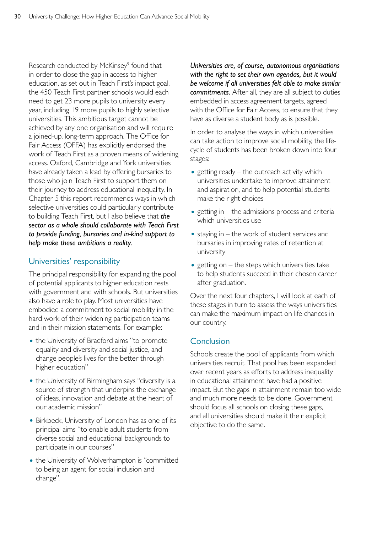Research conducted by McKinsey<sup>9</sup> found that in order to close the gap in access to higher education, as set out in Teach First's impact goal, the 450 Teach First partner schools would each need to get 23 more pupils to university every year, including 19 more pupils to highly selective universities. This ambitious target cannot be achieved by any one organisation and will require a joined-up, long-term approach. The Office for Fair Access (OFFA) has explicitly endorsed the work of Teach First as a proven means of widening access. Oxford, Cambridge and York universities have already taken a lead by offering bursaries to those who join Teach First to support them on their journey to address educational inequality. In Chapter 5 this report recommends ways in which selective universities could particularly contribute to building Teach First, but I also believe that *the sector as a whole should collaborate with Teach First to provide funding, bursaries and in-kind support to help make these ambitions a reality.* 

### Universities' responsibility

The principal responsibility for expanding the pool of potential applicants to higher education rests with government and with schools. But universities also have a role to play. Most universities have embodied a commitment to social mobility in the hard work of their widening participation teams and in their mission statements. For example:

- the University of Bradford aims "to promote equality and diversity and social justice, and change people's lives for the better through higher education"
- the University of Birmingham says "diversity is a source of strength that underpins the exchange of ideas, innovation and debate at the heart of our academic mission"
- Birkbeck, University of London has as one of its principal aims "to enable adult students from diverse social and educational backgrounds to participate in our courses"
- the University of Wolverhampton is "committed to being an agent for social inclusion and change".

*Universities are, of course, autonomous organisations with the right to set their own agendas, but it would be welcome if all universities felt able to make similar commitments.* After all, they are all subject to duties embedded in access agreement targets, agreed with the Office for Fair Access, to ensure that they have as diverse a student body as is possible.

In order to analyse the ways in which universities can take action to improve social mobility, the lifecycle of students has been broken down into four stages:

- getting ready  $-$  the outreach activity which universities undertake to improve attainment and aspiration, and to help potential students make the right choices
- $\bullet$  getting in the admissions process and criteria which universities use
- $\bullet$  staying in the work of student services and bursaries in improving rates of retention at university
- getting on  $-$  the steps which universities take to help students succeed in their chosen career after graduation.

Over the next four chapters, I will look at each of these stages in turn to assess the ways universities can make the maximum impact on life chances in our country.

#### Conclusion

Schools create the pool of applicants from which universities recruit. That pool has been expanded over recent years as efforts to address inequality in educational attainment have had a positive impact. But the gaps in attainment remain too wide and much more needs to be done. Government should focus all schools on closing these gaps, and all universities should make it their explicit objective to do the same.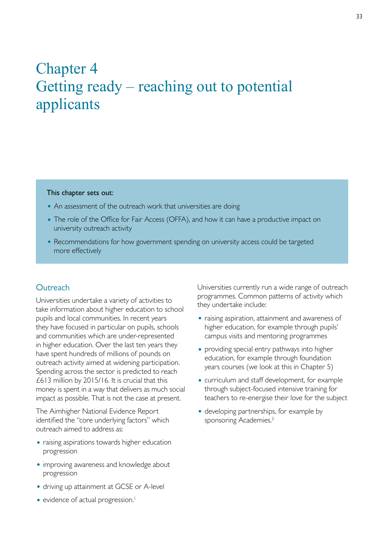## <span id="page-34-0"></span>Chapter 4 Getting ready – reaching out to potential applicants

#### This chapter sets out:

- An assessment of the outreach work that universities are doing
- The role of the Office for Fair Access (OFFA), and how it can have a productive impact on university outreach activity
- Recommendations for how government spending on university access could be targeted more effectively

#### **Outreach**

Universities undertake a variety of activities to take information about higher education to school pupils and local communities. In recent years they have focused in particular on pupils, schools and communities which are under-represented in higher education. Over the last ten years they have spent hundreds of millions of pounds on outreach activity aimed at widening participation. Spending across the sector is predicted to reach £613 million by 2015/16. It is crucial that this money is spent in a way that delivers as much social impact as possible. That is not the case at present.

The Aimhigher National Evidence Report identified the "core underlying factors" which outreach aimed to address as:

- raising aspirations towards higher education progression
- improving awareness and knowledge about progression
- driving up attainment at GCSE or A-level
- evidence of actual progression.<sup>1</sup>

Universities currently run a wide range of outreach programmes. Common patterns of activity which they undertake include:

- raising aspiration, attainment and awareness of higher education, for example through pupils' campus visits and mentoring programmes
- providing special entry pathways into higher education, for example through foundation years courses (we look at this in Chapter 5)
- curriculum and staff development, for example through subject-focused intensive training for teachers to re-energise their love for the subject
- developing partnerships, for example by sponsoring Academies.<sup>2</sup>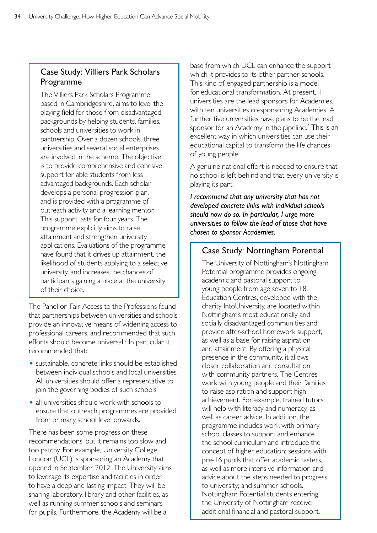### Case Study: Villiers Park Scholars Programme

The Villiers Park Scholars Programme, based in Cambridgeshire, aims to level the playing field for those from disadvantaged backgrounds by helping students, families, schools and universities to work in partnership. Over a dozen schools, three universities and several social enterprises are involved in the scheme. The objective is to provide comprehensive and cohesive support for able students from less advantaged backgrounds. Each scholar develops a personal progression plan, and is provided with a programme of outreach activity and a learning mentor. This support lasts for four years. The programme explicitly aims to raise attainment and strengthen university applications. Evaluations of the programme have found that it drives up attainment, the likelihood of students applying to a selective university, and increases the chances of participants gaining a place at the university of their choice.

The Panel on Fair Access to the Professions found that partnerships between universities and schools provide an innovative means of widening access to professional careers, and recommended that such efforts should become universal.<sup>3</sup> In particular, it recommended that:

- sustainable, concrete links should be established between individual schools and local universities. All universities should offer a representative to join the governing bodies of such schools
- all universities should work with schools to ensure that outreach programmes are provided from primary school level onwards.

There has been some progress on these recommendations, but it remains too slow and too patchy. For example, University College London (UCL) is sponsoring an Academy that opened in September 2012. The University aims to leverage its expertise and facilities in order to have a deep and lasting impact. They will be sharing laboratory, library and other facilities, as well as running summer schools and seminars for pupils. Furthermore, the Academy will be a

base from which UCL can enhance the support which it provides to its other partner schools. This kind of engaged partnership is a model for educational transformation. At present, 11 universities are the lead sponsors for Academies, with ten universities co-sponsoring Academies. A further five universities have plans to be the lead sponsor for an Academy in the pipeline.<sup>4</sup> This is an excellent way in which universities can use their educational capital to transform the life chances of young people.

A genuine national effort is needed to ensure that no school is left behind and that every university is playing its part.

*I recommend that any university that has not developed concrete links with individual schools should now do so. In particular, I urge more universities to follow the lead of those that have chosen to sponsor Academies.* 

#### Case Study: Nottingham Potential

The University of Nottingham's Nottingham Potential programme provides ongoing academic and pastoral support to young people from age seven to 18. Education Centres, developed with the charity IntoUniversity, are located within Nottingham's most educationally and socially disadvantaged communities and provide after-school homework support, as well as a base for raising aspiration and attainment. By offering a physical presence in the community, it allows closer collaboration and consultation with community partners. The Centres work with young people and their families to raise aspiration and support high achievement. For example, trained tutors will help with literacy and numeracy, as well as career advice. In addition, the programme includes work with primary school classes to support and enhance the school curriculum and introduce the concept of higher education; sessions with pre-16 pupils that offer academic tasters, as well as more intensive information and advice about the steps needed to progress to university; and summer schools. Nottingham Potential students entering the University of Nottingham receive additional financial and pastoral support.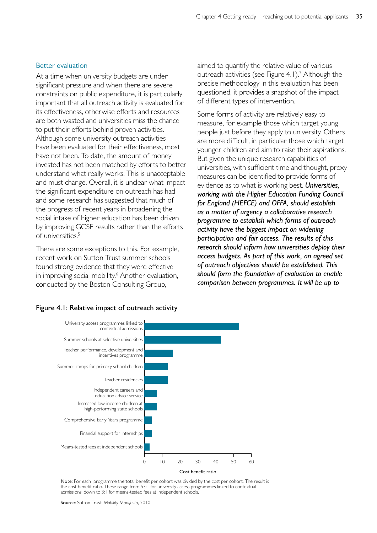#### Better evaluation

At a time when university budgets are under significant pressure and when there are severe constraints on public expenditure, it is particularly important that all outreach activity is evaluated for its effectiveness, otherwise efforts and resources are both wasted and universities miss the chance to put their efforts behind proven activities. Although some university outreach activities have been evaluated for their effectiveness, most have not been. To date, the amount of money invested has not been matched by efforts to better understand what really works. This is unacceptable and must change. Overall, it is unclear what impact the significant expenditure on outreach has had and some research has suggested that much of the progress of recent years in broadening the social intake of higher education has been driven by improving GCSE results rather than the efforts of universities.<sup>5</sup>

There are some exceptions to this. For example, recent work on Sutton Trust summer schools found strong evidence that they were effective in improving social mobility.<sup>6</sup> Another evaluation, conducted by the Boston Consulting Group,

Figure 4.1: Relative impact of outreach activity

aimed to quantify the relative value of various outreach activities (see Figure 4.1).<sup>7</sup> Although the precise methodology in this evaluation has been questioned, it provides a snapshot of the impact of different types of intervention.

Some forms of activity are relatively easy to measure, for example those which target young people just before they apply to university. Others are more difficult, in particular those which target younger children and aim to raise their aspirations. But given the unique research capabilities of universities, with sufficient time and thought, proxy measures can be identified to provide forms of evidence as to what is working best. *Universities, working with the Higher Education Funding Council for England (HEFCE) and OFFA, should establish as a matter of urgency a collaborative research programme to establish which forms of outreach activity have the biggest impact on widening participation and fair access. The results of this research should inform how universities deploy their access budgets. As part of this work, an agreed set of outreach objectives should be established. This should form the foundation of evaluation to enable comparison between programmes. It will be up to* 

## University access programmes linked to contextual admissions Summer schools at selective universities Teacher performance, development and incentives programme Summer camps for primary school children Teacher residencies



Note: For each programme the total benefit per cohort was divided by the cost per cohort. The result is the cost benefit ratio. These range from 53:1 for university access programmes linked to contextual admissions, down to 3:1 for means-tested fees at independent schools.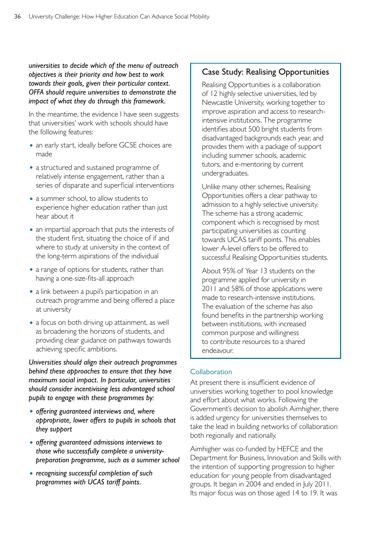*universities to decide which of the menu of outreach objectives is their priority and how best to work towards their goals, given their particular context. OFFA should require universities to demonstrate the impact of what they do through this framework.* 

In the meantime, the evidence I have seen suggests that universities' work with schools should have the following features:

- an early start, ideally before GCSE choices are made
- a structured and sustained programme of relatively intense engagement, rather than a series of disparate and superficial interventions
- a summer school, to allow students to experience higher education rather than just hear about it
- an impartial approach that puts the interests of the student first, situating the choice of if and where to study at university in the context of the long-term aspirations of the individual
- a range of options for students, rather than having a one-size-fits-all approach
- a link between a pupil's participation in an outreach programme and being offered a place at university
- a focus on both driving up attainment, as well as broadening the horizons of students, and providing clear guidance on pathways towards achieving specific ambitions.

*Universities should align their outreach programmes behind these approaches to ensure that they have maximum social impact. In particular, universities should consider incentivising less advantaged school pupils to engage with these programmes by:* 

- • *offering guaranteed interviews and, where appropriate, lower offers to pupils in schools that they support*
- • *offering guaranteed admissions interviews to those who successfully complete a universitypreparation programme, such as a summer school*
- • *recognising successful completion of such programmes with UCAS tariff points.*

## Case Study: Realising Opportunities

Realising Opportunities is a collaboration of 12 highly selective universities, led by Newcastle University, working together to improve aspiration and access to researchintensive institutions. The programme identifies about 500 bright students from disadvantaged backgrounds each year, and provides them with a package of support including summer schools, academic tutors, and e-mentoring by current undergraduates.

Unlike many other schemes, Realising Opportunities offers a clear pathway to admission to a highly selective university. The scheme has a strong academic component which is recognised by most participating universities as counting towards UCAS tariff points. This enables lower A-level offers to be offered to successful Realising Opportunities students.

About 95% of Year 13 students on the programme applied for university in 2011 and 58% of those applications were made to research-intensive institutions. The evaluation of the scheme has also found benefits in the partnership working between institutions, with increased common purpose and willingness to contribute resources to a shared endeavour.

#### Collaboration

At present there is insufficient evidence of universities working together to pool knowledge and effort about what works. Following the Government's decision to abolish Aimhigher, there is added urgency for universities themselves to take the lead in building networks of collaboration both regionally and nationally.

Aimhigher was co-funded by HEFCE and the Department for Business, Innovation and Skills with the intention of supporting progression to higher education for young people from disadvantaged groups. It began in 2004 and ended in July 2011. Its major focus was on those aged 14 to 19. It was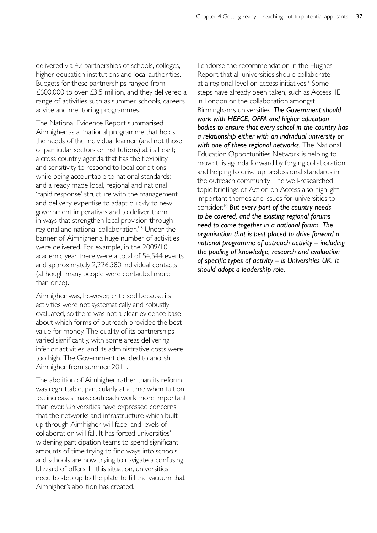delivered via 42 partnerships of schools, colleges, higher education institutions and local authorities. Budgets for these partnerships ranged from £600,000 to over £3.5 million, and they delivered a range of activities such as summer schools, careers advice and mentoring programmes.

The National Evidence Report summarised Aimhigher as a "national programme that holds the needs of the individual learner (and not those of particular sectors or institutions) at its heart; a cross country agenda that has the flexibility and sensitivity to respond to local conditions while being accountable to national standards; and a ready made local, regional and national 'rapid response' structure with the management and delivery expertise to adapt quickly to new government imperatives and to deliver them in ways that strengthen local provision through regional and national collaboration."8 Under the banner of Aimhigher a huge number of activities were delivered. For example, in the 2009/10 academic year there were a total of 54,544 events and approximately 2,226,580 individual contacts (although many people were contacted more than once).

Aimhigher was, however, criticised because its activities were not systematically and robustly evaluated, so there was not a clear evidence base about which forms of outreach provided the best value for money. The quality of its partnerships varied significantly, with some areas delivering inferior activities, and its administrative costs were too high. The Government decided to abolish Aimhigher from summer 2011.

The abolition of Aimhigher rather than its reform was regrettable, particularly at a time when tuition fee increases make outreach work more important than ever. Universities have expressed concerns that the networks and infrastructure which built up through Aimhigher will fade, and levels of collaboration will fall. It has forced universities' widening participation teams to spend significant amounts of time trying to find ways into schools, and schools are now trying to navigate a confusing blizzard of offers. In this situation, universities need to step up to the plate to fill the vacuum that Aimhigher's abolition has created.

I endorse the recommendation in the Hughes Report that all universities should collaborate at a regional level on access initiatives.<sup>9</sup> Some steps have already been taken, such as AccessHE in London or the collaboration amongst Birmingham's universities. *The Government should work with HEFCE, OFFA and higher education bodies to ensure that every school in the country has a relationship either with an individual university or with one of these regional networks.* The National Education Opportunities Network is helping to move this agenda forward by forging collaboration and helping to drive up professional standards in the outreach community. The well-researched topic briefings of Action on Access also highlight important themes and issues for universities to consider.10 *But every part of the country needs to be covered, and the existing regional forums need to come together in a national forum. The organisation that is best placed to drive forward a national programme of outreach activity – including the pooling of knowledge, research and evaluation of specific types of activity – is Universities UK. It should adopt a leadership role.*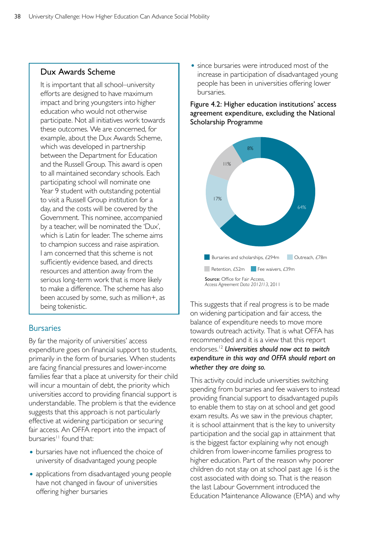## Dux Awards Scheme

It is important that all school–university efforts are designed to have maximum impact and bring youngsters into higher education who would not otherwise participate. Not all initiatives work towards these outcomes. We are concerned, for example, about the Dux Awards Scheme, which was developed in partnership between the Department for Education and the Russell Group. This award is open to all maintained secondary schools. Each participating school will nominate one Year 9 student with outstanding potential to visit a Russell Group institution for a day, and the costs will be covered by the Government. This nominee, accompanied by a teacher, will be nominated the 'Dux', which is Latin for leader. The scheme aims to champion success and raise aspiration. I am concerned that this scheme is not sufficiently evidence based, and directs resources and attention away from the serious long-term work that is more likely to make a difference. The scheme has also been accused by some, such as million+, as being tokenistic.

## **Bursaries**

By far the majority of universities' access expenditure goes on financial support to students, primarily in the form of bursaries. When students are facing financial pressures and lower-income families fear that a place at university for their child will incur a mountain of debt, the priority which universities accord to providing financial support is understandable. The problem is that the evidence suggests that this approach is not particularly effective at widening participation or securing fair access. An OFFA report into the impact of bursaries<sup>11</sup> found that:

- bursaries have not influenced the choice of university of disadvantaged young people
- applications from disadvantaged young people have not changed in favour of universities offering higher bursaries

• since bursaries were introduced most of the increase in participation of disadvantaged young people has been in universities offering lower bursaries.

Figure 4.2: Higher education institutions' access agreement expenditure, excluding the National Scholarship Programme



This suggests that if real progress is to be made on widening participation and fair access, the balance of expenditure needs to move more towards outreach activity. That is what OFFA has recommended and it is a view that this report endorses.12 *Universities should now act to switch expenditure in this way and OFFA should report on whether they are doing so.*

This activity could include universities switching spending from bursaries and fee waivers to instead providing financial support to disadvantaged pupils to enable them to stay on at school and get good exam results. As we saw in the previous chapter, it is school attainment that is the key to university participation and the social gap in attainment that is the biggest factor explaining why not enough children from lower-income families progress to higher education. Part of the reason why poorer children do not stay on at school past age 16 is the cost associated with doing so. That is the reason the last Labour Government introduced the Education Maintenance Allowance (EMA) and why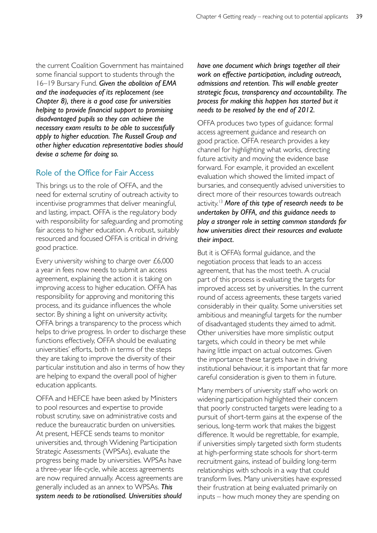the current Coalition Government has maintained some financial support to students through the 16–19 Bursary Fund. *Given the abolition of EMA and the inadequacies of its replacement (see Chapter 8), there is a good case for universities helping to provide financial support to promising disadvantaged pupils so they can achieve the necessary exam results to be able to successfully apply to higher education. The Russell Group and other higher education representative bodies should devise a scheme for doing so.* 

## Role of the Office for Fair Access

This brings us to the role of OFFA, and the need for external scrutiny of outreach activity to incentivise programmes that deliver meaningful, and lasting, impact. OFFA is the regulatory body with responsibility for safeguarding and promoting fair access to higher education. A robust, suitably resourced and focused OFFA is critical in driving good practice.

Every university wishing to charge over £6,000 a year in fees now needs to submit an access agreement, explaining the action it is taking on improving access to higher education. OFFA has responsibility for approving and monitoring this process, and its guidance influences the whole sector. By shining a light on university activity, OFFA brings a transparency to the process which helps to drive progress. In order to discharge these functions effectively, OFFA should be evaluating universities' efforts, both in terms of the steps they are taking to improve the diversity of their particular institution and also in terms of how they are helping to expand the overall pool of higher education applicants.

OFFA and HEFCE have been asked by Ministers to pool resources and expertise to provide robust scrutiny, save on administrative costs and reduce the bureaucratic burden on universities. At present, HEFCE sends teams to monitor universities and, through Widening Participation Strategic Assessments (WPSAs), evaluate the progress being made by universities. WPSAs have a three-year life-cycle, while access agreements are now required annually. Access agreements are generally included as an annex to WPSAs. *This system needs to be rationalised. Universities should* 

*have one document which brings together all their work on effective participation, including outreach, admissions and retention. This will enable greater strategic focus, transparency and accountability. The process for making this happen has started but it needs to be resolved by the end of 2012.* 

OFFA produces two types of guidance: formal access agreement guidance and research on good practice. OFFA research provides a key channel for highlighting what works, directing future activity and moving the evidence base forward. For example, it provided an excellent evaluation which showed the limited impact of bursaries, and consequently advised universities to direct more of their resources towards outreach activity.13 *More of this type of research needs to be undertaken by OFFA, and this guidance needs to play a stronger role in setting common standards for how universities direct their resources and evaluate their impact.* 

But it is OFFA's formal guidance, and the negotiation process that leads to an access agreement, that has the most teeth. A crucial part of this process is evaluating the targets for improved access set by universities. In the current round of access agreements, these targets varied considerably in their quality. Some universities set ambitious and meaningful targets for the number of disadvantaged students they aimed to admit. Other universities have more simplistic output targets, which could in theory be met while having little impact on actual outcomes. Given the importance these targets have in driving institutional behaviour, it is important that far more careful consideration is given to them in future.

Many members of university staff who work on widening participation highlighted their concern that poorly constructed targets were leading to a pursuit of short-term gains at the expense of the serious, long-term work that makes the biggest difference. It would be regrettable, for example, if universities simply targeted sixth form students at high-performing state schools for short-term recruitment gains, instead of building long-term relationships with schools in a way that could transform lives. Many universities have expressed their frustration at being evaluated primarily on inputs – how much money they are spending on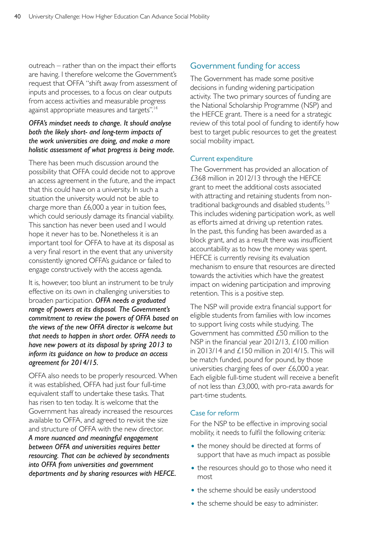outreach – rather than on the impact their efforts are having. I therefore welcome the Government's request that OFFA "shift away from assessment of inputs and processes, to a focus on clear outputs from access activities and measurable progress against appropriate measures and targets".14

#### *OFFA's mindset needs to change. It should analyse both the likely short- and long-term impacts of the work universities are doing, and make a more holistic assessment of what progress is being made.*

There has been much discussion around the possibility that OFFA could decide not to approve an access agreement in the future, and the impact that this could have on a university. In such a situation the university would not be able to charge more than £6,000 a year in tuition fees, which could seriously damage its financial viability. This sanction has never been used and I would hope it never has to be. Nonetheless it is an important tool for OFFA to have at its disposal as a very final resort in the event that any university consistently ignored OFFA's guidance or failed to engage constructively with the access agenda.

It is, however, too blunt an instrument to be truly effective on its own in challenging universities to broaden participation. *OFFA needs a graduated range of powers at its disposal. The Government's commitment to review the powers of OFFA based on the views of the new OFFA director is welcome but that needs to happen in short order. OFFA needs to have new powers at its disposal by spring 2013 to inform its guidance on how to produce an access agreement for 2014/15.* 

OFFA also needs to be properly resourced. When it was established, OFFA had just four full-time equivalent staff to undertake these tasks. That has risen to ten today. It is welcome that the Government has already increased the resources available to OFFA, and agreed to revisit the size and structure of OFFA with the new director. *A more nuanced and meaningful engagement between OFFA and universities requires better resourcing. That can be achieved by secondments into OFFA from universities and government departments and by sharing resources with HEFCE.* 

## Government funding for access

The Government has made some positive decisions in funding widening participation activity. The two primary sources of funding are the National Scholarship Programme (NSP) and the HEFCE grant. There is a need for a strategic review of this total pool of funding to identify how best to target public resources to get the greatest social mobility impact.

#### Current expenditure

The Government has provided an allocation of £368 million in 2012/13 through the HEFCE grant to meet the additional costs associated with attracting and retaining students from nontraditional backgrounds and disabled students.15 This includes widening participation work, as well as efforts aimed at driving up retention rates. In the past, this funding has been awarded as a block grant, and as a result there was insufficient accountability as to how the money was spent. HEFCE is currently revising its evaluation mechanism to ensure that resources are directed towards the activities which have the greatest impact on widening participation and improving retention. This is a positive step.

The NSP will provide extra financial support for eligible students from families with low incomes to support living costs while studying. The Government has committed £50 million to the NSP in the financial year 2012/13, £100 million in 2013/14 and £150 million in 2014/15. This will be match funded, pound for pound, by those universities charging fees of over £6,000 a year. Each eligible full-time student will receive a benefit of not less than £3,000, with pro-rata awards for part-time students.

#### Case for reform

For the NSP to be effective in improving social mobility, it needs to fulfil the following criteria:

- the money should be directed at forms of support that have as much impact as possible
- the resources should go to those who need it most
- the scheme should be easily understood
- the scheme should be easy to administer.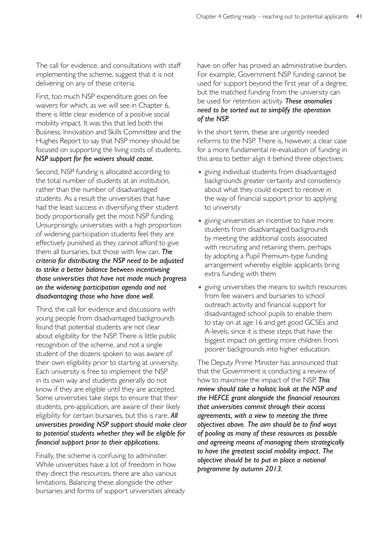The call for evidence, and consultations with staff implementing the scheme, suggest that it is not delivering on any of these criteria.

First, too much NSP expenditure goes on fee waivers for which, as we will see in Chapter 6, there is little clear evidence of a positive social mobility impact. It was this that led both the Business, Innovation and Skills Committee and the Hughes Report to say that NSP money should be focused on supporting the living costs of students. *NSP support for fee waivers should cease.* 

Second, NSP funding is allocated according to the total number of students at an institution, rather than the number of disadvantaged students. As a result the universities that have had the least success in diversifying their student body proportionally get the most NSP funding. Unsurprisingly, universities with a high proportion of widening participation students feel they are effectively punished as they cannot afford to give them all bursaries, but those with few can. *The criteria for distributing the NSP need to be adjusted to strike a better balance between incentivising those universities that have not made much progress on the widening participation agenda and not disadvantaging those who have done well.* 

Third, the call for evidence and discussions with young people from disadvantaged backgrounds found that potential students are not clear about eligibility for the NSP. There is little public recognition of the scheme, and not a single student of the dozens spoken to was aware of their own eligibility prior to starting at university. Each university is free to implement the NSP in its own way and students generally do not know if they are eligible until they are accepted. Some universities take steps to ensure that their students, pre-application, are aware of their likely eligibility for certain bursaries, but this is rare. *All universities providing NSP support should make clear to potential students whether they will be eligible for financial support prior to their applications.* 

Finally, the scheme is confusing to administer. While universities have a lot of freedom in how they direct the resources, there are also various limitations. Balancing these alongside the other bursaries and forms of support universities already have on offer has proved an administrative burden. For example, Government NSP funding cannot be used for support beyond the first year of a degree, but the matched funding from the university can be used for retention activity. *These anomalies need to be sorted out to simplify the operation of the NSP.* 

In the short term, these are urgently needed reforms to the NSP. There is, however, a clear case for a more fundamental re-evaluation of funding in this area to better align it behind three objectives:

- giving individual students from disadvantaged backgrounds greater certainty and consistency about what they could expect to receive in the way of financial support prior to applying to university
- giving universities an incentive to have more students from disadvantaged backgrounds by meeting the additional costs associated with recruiting and retaining them, perhaps by adopting a Pupil Premium-type funding arrangement whereby eligible applicants bring extra funding with them
- giving universities the means to switch resources from fee waivers and bursaries to school outreach activity and financial support for disadvantaged school pupils to enable them to stay on at age 16 and get good GCSEs and A-levels, since it is these steps that have the biggest impact on getting more children from poorer backgrounds into higher education.

The Deputy Prime Minister has announced that that the Government is conducting a review of how to maximise the impact of the NSP. *This review should take a holistic look at the NSP and the HEFCE grant alongside the financial resources that universities commit through their access agreements, with a view to meeting the three objectives above. The aim should be to find ways of pooling as many of these resources as possible and agreeing means of managing them strategically to have the greatest social mobility impact. The objective should be to put in place a national programme by autumn 2013.*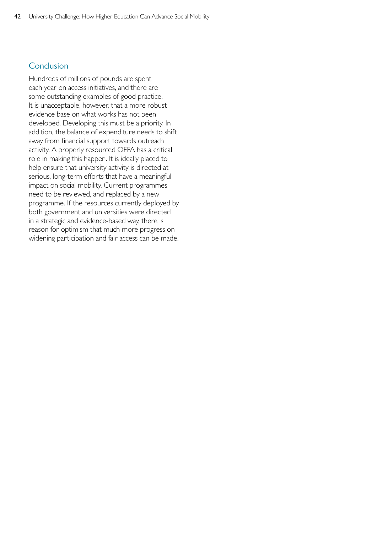## **Conclusion**

Hundreds of millions of pounds are spent each year on access initiatives, and there are some outstanding examples of good practice. It is unacceptable, however, that a more robust evidence base on what works has not been developed. Developing this must be a priority. In addition, the balance of expenditure needs to shift away from financial support towards outreach activity. A properly resourced OFFA has a critical role in making this happen. It is ideally placed to help ensure that university activity is directed at serious, long-term efforts that have a meaningful impact on social mobility. Current programmes need to be reviewed, and replaced by a new programme. If the resources currently deployed by both government and universities were directed in a strategic and evidence-based way, there is reason for optimism that much more progress on widening participation and fair access can be made.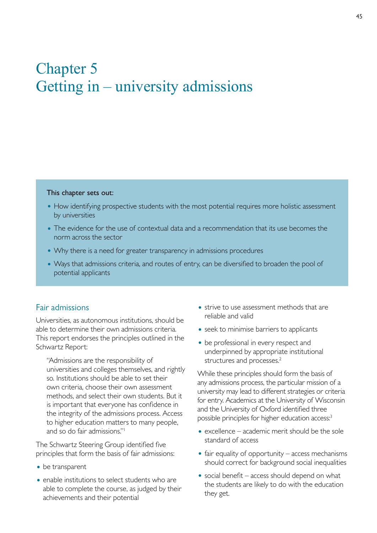# Chapter 5 Getting in – university admissions

#### This chapter sets out:

- How identifying prospective students with the most potential requires more holistic assessment by universities
- The evidence for the use of contextual data and a recommendation that its use becomes the norm across the sector
- Why there is a need for greater transparency in admissions procedures
- Ways that admissions criteria, and routes of entry, can be diversified to broaden the pool of potential applicants

#### Fair admissions

Universities, as autonomous institutions, should be able to determine their own admissions criteria. This report endorses the principles outlined in the Schwartz Report:

"Admissions are the responsibility of universities and colleges themselves, and rightly so. Institutions should be able to set their own criteria, choose their own assessment methods, and select their own students. But it is important that everyone has confidence in the integrity of the admissions process. Access to higher education matters to many people, and so do fair admissions."1

The Schwartz Steering Group identified five principles that form the basis of fair admissions:

- be transparent
- enable institutions to select students who are able to complete the course, as judged by their achievements and their potential
- strive to use assessment methods that are reliable and valid
- seek to minimise barriers to applicants
- be professional in every respect and underpinned by appropriate institutional structures and processes.<sup>2</sup>

While these principles should form the basis of any admissions process, the particular mission of a university may lead to different strategies or criteria for entry. Academics at the University of Wisconsin and the University of Oxford identified three possible principles for higher education access:<sup>3</sup>

- $\bullet$  excellence academic merit should be the sole standard of access
- $\bullet$  fair equality of opportunity access mechanisms should correct for background social inequalities
- $\bullet$  social benefit access should depend on what the students are likely to do with the education they get.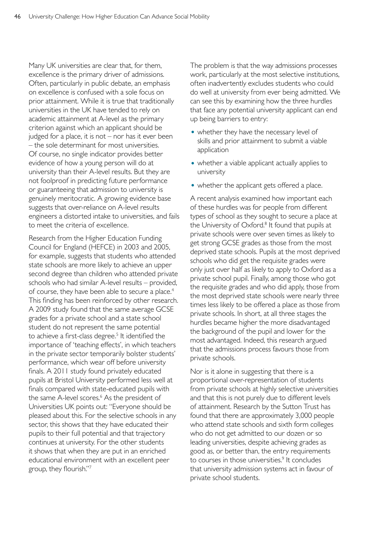Many UK universities are clear that, for them, excellence is the primary driver of admissions. Often, particularly in public debate, an emphasis on excellence is confused with a sole focus on prior attainment. While it is true that traditionally universities in the UK have tended to rely on academic attainment at A-level as the primary criterion against which an applicant should be judged for a place, it is not – nor has it ever been – the sole determinant for most universities. Of course, no single indicator provides better evidence of how a young person will do at university than their A-level results. But they are not foolproof in predicting future performance or guaranteeing that admission to university is genuinely meritocratic. A growing evidence base suggests that over-reliance on A-level results engineers a distorted intake to universities, and fails to meet the criteria of excellence.

Research from the Higher Education Funding Council for England (HEFCE) in 2003 and 2005, for example, suggests that students who attended state schools are more likely to achieve an upper second degree than children who attended private schools who had similar A-level results – provided, of course, they have been able to secure a place.<sup>4</sup> This finding has been reinforced by other research. A 2009 study found that the same average GCSE grades for a private school and a state school student do not represent the same potential to achieve a first-class degree.<sup>5</sup> It identified the importance of 'teaching effects', in which teachers in the private sector temporarily bolster students' performance, which wear off before university finals. A 2011 study found privately educated pupils at Bristol University performed less well at finals compared with state-educated pupils with the same A-level scores.<sup>6</sup> As the president of Universities UK points out: "Everyone should be pleased about this. For the selective schools in any sector, this shows that they have educated their pupils to their full potential and that trajectory continues at university. For the other students it shows that when they are put in an enriched educational environment with an excellent peer group, they flourish."7

The problem is that the way admissions processes work, particularly at the most selective institutions, often inadvertently excludes students who could do well at university from ever being admitted. We can see this by examining how the three hurdles that face any potential university applicant can end up being barriers to entry:

- whether they have the necessary level of skills and prior attainment to submit a viable application
- whether a viable applicant actually applies to university
- whether the applicant gets offered a place.

A recent analysis examined how important each of these hurdles was for people from different types of school as they sought to secure a place at the University of Oxford. $8$  It found that pupils at private schools were over seven times as likely to get strong GCSE grades as those from the most deprived state schools. Pupils at the most deprived schools who did get the requisite grades were only just over half as likely to apply to Oxford as a private school pupil. Finally, among those who got the requisite grades and who did apply, those from the most deprived state schools were nearly three times less likely to be offered a place as those from private schools. In short, at all three stages the hurdles became higher the more disadvantaged the background of the pupil and lower for the most advantaged. Indeed, this research argued that the admissions process favours those from private schools.

Nor is it alone in suggesting that there is a proportional over-representation of students from private schools at highly selective universities and that this is not purely due to different levels of attainment. Research by the Sutton Trust has found that there are approximately 3,000 people who attend state schools and sixth form colleges who do not get admitted to our dozen or so leading universities, despite achieving grades as good as, or better than, the entry requirements to courses in those universities.<sup>9</sup> It concludes that university admission systems act in favour of private school students.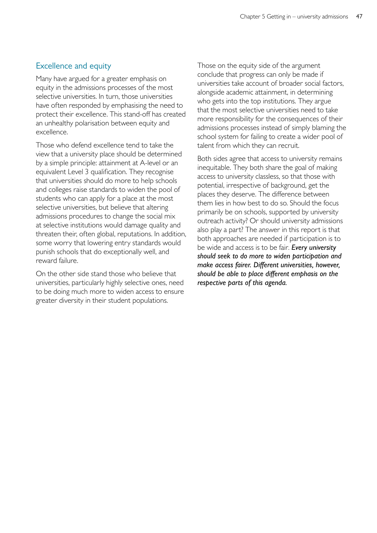## Excellence and equity

Many have argued for a greater emphasis on equity in the admissions processes of the most selective universities. In turn, those universities have often responded by emphasising the need to protect their excellence. This stand-off has created an unhealthy polarisation between equity and excellence.

Those who defend excellence tend to take the view that a university place should be determined by a simple principle: attainment at A-level or an equivalent Level 3 qualification. They recognise that universities should do more to help schools and colleges raise standards to widen the pool of students who can apply for a place at the most selective universities, but believe that altering admissions procedures to change the social mix at selective institutions would damage quality and threaten their, often global, reputations. In addition, some worry that lowering entry standards would punish schools that do exceptionally well, and reward failure.

On the other side stand those who believe that universities, particularly highly selective ones, need to be doing much more to widen access to ensure greater diversity in their student populations.

Those on the equity side of the argument conclude that progress can only be made if universities take account of broader social factors, alongside academic attainment, in determining who gets into the top institutions. They argue that the most selective universities need to take more responsibility for the consequences of their admissions processes instead of simply blaming the school system for failing to create a wider pool of talent from which they can recruit.

Both sides agree that access to university remains inequitable. They both share the goal of making access to university classless, so that those with potential, irrespective of background, get the places they deserve. The difference between them lies in how best to do so. Should the focus primarily be on schools, supported by university outreach activity? Or should university admissions also play a part? The answer in this report is that both approaches are needed if participation is to be wide and access is to be fair*. Every university should seek to do more to widen participation and make access fairer. Different universities, however, should be able to place different emphasis on the respective parts of this agenda.*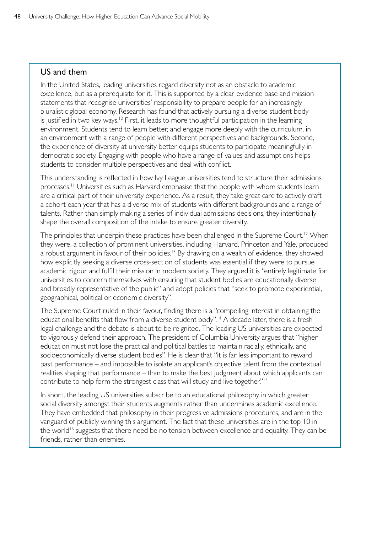#### US and them

In the United States, leading universities regard diversity not as an obstacle to academic excellence, but as a prerequisite for it. This is supported by a clear evidence base and mission statements that recognise universities' responsibility to prepare people for an increasingly pluralistic global economy. Research has found that actively pursuing a diverse student body is justified in two key ways.<sup>10</sup> First, it leads to more thoughtful participation in the learning environment. Students tend to learn better, and engage more deeply with the curriculum, in an environment with a range of people with different perspectives and backgrounds. Second, the experience of diversity at university better equips students to participate meaningfully in democratic society. Engaging with people who have a range of values and assumptions helps students to consider multiple perspectives and deal with conflict.

This understanding is reflected in how Ivy League universities tend to structure their admissions processes.<sup>11</sup> Universities such as Harvard emphasise that the people with whom students learn are a critical part of their university experience. As a result, they take great care to actively craft a cohort each year that has a diverse mix of students with different backgrounds and a range of talents. Rather than simply making a series of individual admissions decisions, they intentionally shape the overall composition of the intake to ensure greater diversity.

The principles that underpin these practices have been challenged in the Supreme Court.<sup>12</sup> When they were, a collection of prominent universities, including Harvard, Princeton and Yale, produced a robust argument in favour of their policies.<sup>13</sup> By drawing on a wealth of evidence, they showed how explicitly seeking a diverse cross-section of students was essential if they were to pursue academic rigour and fulfil their mission in modern society. They argued it is "entirely legitimate for universities to concern themselves with ensuring that student bodies are educationally diverse and broadly representative of the public" and adopt policies that "seek to promote experiential, geographical, political or economic diversity".

The Supreme Court ruled in their favour, finding there is a "compelling interest in obtaining the educational benefits that flow from a diverse student body".<sup>14</sup> A decade later, there is a fresh legal challenge and the debate is about to be reignited. The leading US universities are expected to vigorously defend their approach. The president of Columbia University argues that "higher education must not lose the practical and political battles to maintain racially, ethnically, and socioeconomically diverse student bodies". He is clear that "it is far less important to reward past performance – and impossible to isolate an applicant's objective talent from the contextual realities shaping that performance – than to make the best judgment about which applicants can contribute to help form the strongest class that will study and live together."<sup>15</sup>

In short, the leading US universities subscribe to an educational philosophy in which greater social diversity amongst their students augments rather than undermines academic excellence. They have embedded that philosophy in their progressive admissions procedures, and are in the vanguard of publicly winning this argument. The fact that these universities are in the top 10 in the world<sup>16</sup> suggests that there need be no tension between excellence and equality. They can be friends, rather than enemies.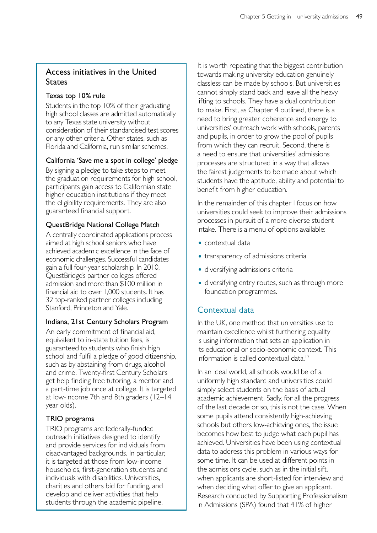## Access initiatives in the United **States**

#### Texas top 10% rule

Students in the top 10% of their graduating high school classes are admitted automatically to any Texas state university without consideration of their standardised test scores or any other criteria. Other states, such as Florida and California, run similar schemes.

## California 'Save me a spot in college' pledge

By signing a pledge to take steps to meet the graduation requirements for high school, participants gain access to Californian state higher education institutions if they meet the eligibility requirements. They are also guaranteed financial support.

## QuestBridge National College Match

A centrally coordinated applications process aimed at high school seniors who have achieved academic excellence in the face of economic challenges. Successful candidates gain a full four-year scholarship. In 2010, QuestBridge's partner colleges offered admission and more than \$100 million in financial aid to over 1,000 students. It has 32 top-ranked partner colleges including Stanford, Princeton and Yale.

#### Indiana, 21st Century Scholars Program

An early commitment of financial aid, equivalent to in-state tuition fees, is guaranteed to students who finish high school and fulfil a pledge of good citizenship, such as by abstaining from drugs, alcohol and crime. Twenty-first Century Scholars get help finding free tutoring, a mentor and a part-time job once at college. It is targeted at low-income 7th and 8th graders (12–14 year olds).

## TRIO programs

TRIO programs are federally-funded outreach initiatives designed to identify and provide services for individuals from disadvantaged backgrounds. In particular, it is targeted at those from low-income households, first-generation students and individuals with disabilities. Universities, charities and others bid for funding, and develop and deliver activities that help students through the academic pipeline.

It is worth repeating that the biggest contribution towards making university education genuinely classless can be made by schools. But universities cannot simply stand back and leave all the heavy lifting to schools. They have a dual contribution to make. First, as Chapter 4 outlined, there is a need to bring greater coherence and energy to universities' outreach work with schools, parents and pupils, in order to grow the pool of pupils from which they can recruit. Second, there is a need to ensure that universities' admissions processes are structured in a way that allows the fairest judgements to be made about which students have the aptitude, ability and potential to benefit from higher education.

In the remainder of this chapter I focus on how universities could seek to improve their admissions processes in pursuit of a more diverse student intake. There is a menu of options available:

- contextual data
- transparency of admissions criteria
- diversifying admissions criteria
- diversifying entry routes, such as through more foundation programmes.

## Contextual data

In the UK, one method that universities use to maintain excellence whilst furthering equality is using information that sets an application in its educational or socio-economic context. This information is called contextual data.17

In an ideal world, all schools would be of a uniformly high standard and universities could simply select students on the basis of actual academic achievement. Sadly, for all the progress of the last decade or so, this is not the case. When some pupils attend consistently high-achieving schools but others low-achieving ones, the issue becomes how best to judge what each pupil has achieved. Universities have been using contextual data to address this problem in various ways for some time. It can be used at different points in the admissions cycle, such as in the initial sift, when applicants are short-listed for interview and when deciding what offer to give an applicant. Research conducted by Supporting Professionalism in Admissions (SPA) found that 41% of higher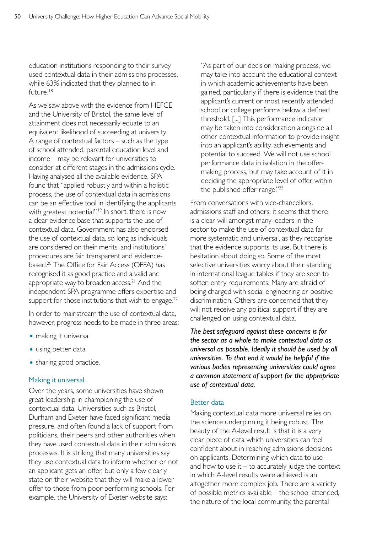education institutions responding to their survey used contextual data in their admissions processes, while 63% indicated that they planned to in future.<sup>18</sup>

As we saw above with the evidence from HEFCE and the University of Bristol, the same level of attainment does not necessarily equate to an equivalent likelihood of succeeding at university. A range of contextual factors – such as the type of school attended, parental education level and income – may be relevant for universities to consider at different stages in the admissions cycle. Having analysed all the available evidence, SPA found that "applied robustly and within a holistic process, the use of contextual data in admissions can be an effective tool in identifying the applicants with greatest potential".<sup>19</sup> In short, there is now a clear evidence base that supports the use of contextual data. Government has also endorsed the use of contextual data, so long as individuals are considered on their merits, and institutions' procedures are fair, transparent and evidencebased.<sup>20</sup> The Office for Fair Access (OFFA) has recognised it as good practice and a valid and appropriate way to broaden access.<sup>21</sup> And the independent SPA programme offers expertise and support for those institutions that wish to engage. $22$ 

In order to mainstream the use of contextual data, however, progress needs to be made in three areas:

- making it universal
- using better data
- sharing good practice.

#### Making it universal

Over the years, some universities have shown great leadership in championing the use of contextual data. Universities such as Bristol, Durham and Exeter have faced significant media pressure, and often found a lack of support from politicians, their peers and other authorities when they have used contextual data in their admissions processes. It is striking that many universities say they use contextual data to inform whether or not an applicant gets an offer, but only a few clearly state on their website that they will make a lower offer to those from poor-performing schools. For example, the University of Exeter website says:

"As part of our decision making process, we may take into account the educational context in which academic achievements have been gained, particularly if there is evidence that the applicant's current or most recently attended school or college performs below a defined threshold. [...] This performance indicator may be taken into consideration alongside all other contextual information to provide insight into an applicant's ability, achievements and potential to succeed. We will not use school performance data in isolation in the offermaking process, but may take account of it in deciding the appropriate level of offer within the published offer range."<sup>23</sup>

From conversations with vice-chancellors, admissions staff and others, it seems that there is a clear will amongst many leaders in the sector to make the use of contextual data far more systematic and universal, as they recognise that the evidence supports its use. But there is hesitation about doing so. Some of the most selective universities worry about their standing in international league tables if they are seen to soften entry requirements. Many are afraid of being charged with social engineering or positive discrimination. Others are concerned that they will not receive any political support if they are challenged on using contextual data.

*The best safeguard against these concerns is for the sector as a whole to make contextual data as universal as possible. Ideally it should be used by all universities. To that end it would be helpful if the various bodies representing universities could agree a common statement of support for the appropriate use of contextual data.* 

#### Better data

Making contextual data more universal relies on the science underpinning it being robust. The beauty of the A-level result is that it is a very clear piece of data which universities can feel confident about in reaching admissions decisions on applicants. Determining which data to use – and how to use it  $-$  to accurately judge the context in which A-level results were achieved is an altogether more complex job. There are a variety of possible metrics available – the school attended, the nature of the local community, the parental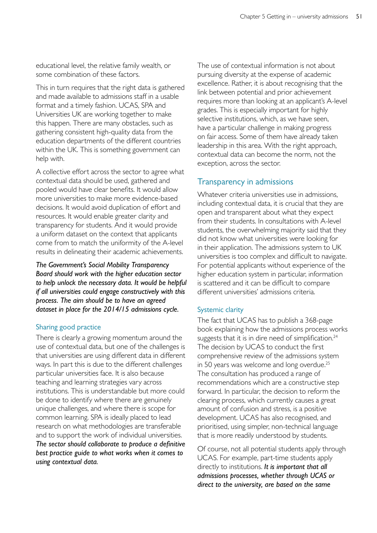educational level, the relative family wealth, or some combination of these factors.

This in turn requires that the right data is gathered and made available to admissions staff in a usable format and a timely fashion. UCAS, SPA and Universities UK are working together to make this happen. There are many obstacles, such as gathering consistent high-quality data from the education departments of the different countries within the UK. This is something government can help with.

A collective effort across the sector to agree what contextual data should be used, gathered and pooled would have clear benefits. It would allow more universities to make more evidence-based decisions. It would avoid duplication of effort and resources. It would enable greater clarity and transparency for students. And it would provide a uniform dataset on the context that applicants come from to match the uniformity of the A-level results in delineating their academic achievements.

*The Government's Social Mobility Transparency Board should work with the higher education sector to help unlock the necessary data. It would be helpful if all universities could engage constructively with this process. The aim should be to have an agreed dataset in place for the 2014/15 admissions cycle.* 

#### Sharing good practice

There is clearly a growing momentum around the use of contextual data, but one of the challenges is that universities are using different data in different ways. In part this is due to the different challenges particular universities face. It is also because teaching and learning strategies vary across institutions. This is understandable but more could be done to identify where there are genuinely unique challenges, and where there is scope for common learning. SPA is ideally placed to lead research on what methodologies are transferable and to support the work of individual universities. *The sector should collaborate to produce a definitive best practice guide to what works when it comes to using contextual data.* 

The use of contextual information is not about pursuing diversity at the expense of academic excellence. Rather, it is about recognising that the link between potential and prior achievement requires more than looking at an applicant's A-level grades. This is especially important for highly selective institutions, which, as we have seen, have a particular challenge in making progress on fair access. Some of them have already taken leadership in this area. With the right approach, contextual data can become the norm, not the exception, across the sector.

## Transparency in admissions

Whatever criteria universities use in admissions, including contextual data, it is crucial that they are open and transparent about what they expect from their students. In consultations with A-level students, the overwhelming majority said that they did not know what universities were looking for in their application. The admissions system to UK universities is too complex and difficult to navigate. For potential applicants without experience of the higher education system in particular, information is scattered and it can be difficult to compare different universities' admissions criteria.

#### Systemic clarity

The fact that UCAS has to publish a 368-page book explaining how the admissions process works suggests that it is in dire need of simplification.<sup>24</sup> The decision by UCAS to conduct the first comprehensive review of the admissions system in 50 years was welcome and long overdue.<sup>25</sup> The consultation has produced a range of recommendations which are a constructive step forward. In particular, the decision to reform the clearing process, which currently causes a great amount of confusion and stress, is a positive development. UCAS has also recognised, and prioritised, using simpler, non-technical language that is more readily understood by students.

Of course, not all potential students apply through UCAS. For example, part-time students apply directly to institutions. *It is important that all admissions processes, whether through UCAS or direct to the university, are based on the same*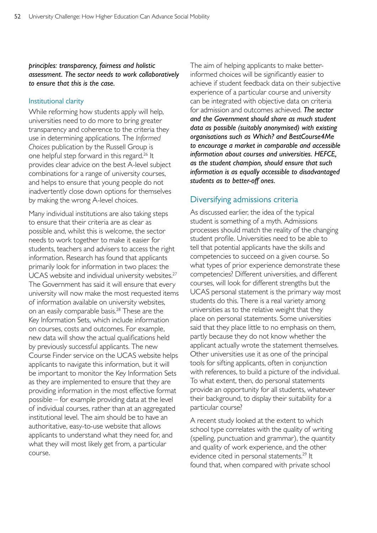#### *principles: transparency, fairness and holistic assessment. The sector needs to work collaboratively to ensure that this is the case.*

#### Institutional clarity

While reforming how students apply will help, universities need to do more to bring greater transparency and coherence to the criteria they use in determining applications. The *Informed Choices* publication by the Russell Group is one helpful step forward in this regard.26 It provides clear advice on the best A-level subject combinations for a range of university courses, and helps to ensure that young people do not inadvertently close down options for themselves by making the wrong A-level choices.

Many individual institutions are also taking steps to ensure that their criteria are as clear as possible and, whilst this is welcome, the sector needs to work together to make it easier for students, teachers and advisers to access the right information. Research has found that applicants primarily look for information in two places: the UCAS website and individual university websites.<sup>27</sup> The Government has said it will ensure that every university will now make the most requested items of information available on university websites, on an easily comparable basis.<sup>28</sup> These are the Key Information Sets, which include information on courses, costs and outcomes. For example, new data will show the actual qualifications held by previously successful applicants. The new Course Finder service on the UCAS website helps applicants to navigate this information, but it will be important to monitor the Key Information Sets as they are implemented to ensure that they are providing information in the most effective format possible – for example providing data at the level of individual courses, rather than at an aggregated institutional level. The aim should be to have an authoritative, easy-to-use website that allows applicants to understand what they need for, and what they will most likely get from, a particular course.

The aim of helping applicants to make betterinformed choices will be significantly easier to achieve if student feedback data on their subjective experience of a particular course and university can be integrated with objective data on criteria for admission and outcomes achieved. *The sector and the Government should share as much student data as possible (suitably anonymised) with existing organisations such as Which? and BestCourse4Me to encourage a market in comparable and accessible information about courses and universities. HEFCE, as the student champion, should ensure that such information is as equally accessible to disadvantaged students as to better-off ones.* 

## Diversifying admissions criteria

As discussed earlier, the idea of the typical student is something of a myth. Admissions processes should match the reality of the changing student profile. Universities need to be able to tell that potential applicants have the skills and competencies to succeed on a given course. So what types of prior experience demonstrate these competencies? Different universities, and different courses, will look for different strengths but the UCAS personal statement is the primary way most students do this. There is a real variety among universities as to the relative weight that they place on personal statements. Some universities said that they place little to no emphasis on them, partly because they do not know whether the applicant actually wrote the statement themselves. Other universities use it as one of the principal tools for sifting applicants, often in conjunction with references, to build a picture of the individual. To what extent, then, do personal statements provide an opportunity for all students, whatever their background, to display their suitability for a particular course?

A recent study looked at the extent to which school type correlates with the quality of writing (spelling, punctuation and grammar), the quantity and quality of work experience, and the other evidence cited in personal statements.<sup>29</sup> It found that, when compared with private school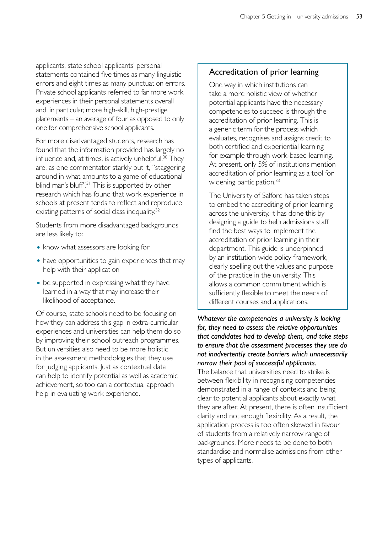applicants, state school applicants' personal statements contained five times as many linguistic errors and eight times as many punctuation errors. Private school applicants referred to far more work experiences in their personal statements overall and, in particular, more high-skill, high-prestige placements – an average of four as opposed to only one for comprehensive school applicants.

For more disadvantaged students, research has found that the information provided has largely no influence and, at times, is actively unhelpful.<sup>30</sup> They are, as one commentator starkly put it, "staggering around in what amounts to a game of educational blind man's bluff'.<sup>31</sup> This is supported by other research which has found that work experience in schools at present tends to reflect and reproduce existing patterns of social class inequality.<sup>32</sup>

Students from more disadvantaged backgrounds are less likely to:

- know what assessors are looking for
- have opportunities to gain experiences that may help with their application
- be supported in expressing what they have learned in a way that may increase their likelihood of acceptance.

Of course, state schools need to be focusing on how they can address this gap in extra-curricular experiences and universities can help them do so by improving their school outreach programmes. But universities also need to be more holistic in the assessment methodologies that they use for judging applicants. Just as contextual data can help to identify potential as well as academic achievement, so too can a contextual approach help in evaluating work experience.

## Accreditation of prior learning

One way in which institutions can take a more holistic view of whether potential applicants have the necessary competencies to succeed is through the accreditation of prior learning. This is a generic term for the process which evaluates, recognises and assigns credit to both certified and experiential learning – for example through work-based learning. At present, only 5% of institutions mention accreditation of prior learning as a tool for widening participation.<sup>33</sup>

The University of Salford has taken steps to embed the accrediting of prior learning across the university. It has done this by designing a guide to help admissions staff find the best ways to implement the accreditation of prior learning in their department. This guide is underpinned by an institution-wide policy framework, clearly spelling out the values and purpose of the practice in the university. This allows a common commitment which is sufficiently flexible to meet the needs of different courses and applications.

## *Whatever the competencies a university is looking for, they need to assess the relative opportunities that candidates had to develop them, and take steps to ensure that the assessment processes they use do not inadvertently create barriers which unnecessarily narrow their pool of successful applicants.*

The balance that universities need to strike is between flexibility in recognising competencies demonstrated in a range of contexts and being clear to potential applicants about exactly what they are after. At present, there is often insufficient clarity and not enough flexibility. As a result, the application process is too often skewed in favour of students from a relatively narrow range of backgrounds. More needs to be done to both standardise and normalise admissions from other types of applicants.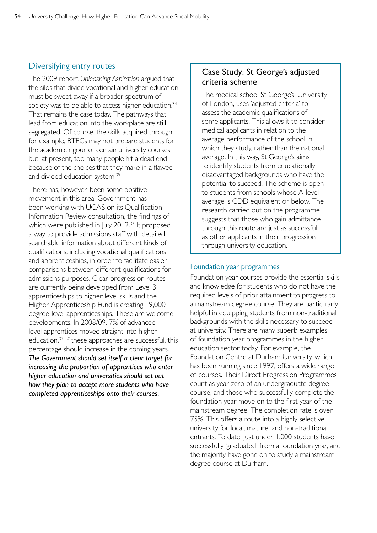## Diversifying entry routes

The 2009 report *Unleashing Aspiration* argued that the silos that divide vocational and higher education must be swept away if a broader spectrum of society was to be able to access higher education.<sup>34</sup> That remains the case today. The pathways that lead from education into the workplace are still segregated. Of course, the skills acquired through, for example, BTECs may not prepare students for the academic rigour of certain university courses but, at present, too many people hit a dead end because of the choices that they make in a flawed and divided education system.35

There has, however, been some positive movement in this area. Government has been working with UCAS on its Qualification Information Review consultation, the findings of which were published in July 2012.<sup>36</sup> It proposed a way to provide admissions staff with detailed, searchable information about different kinds of qualifications, including vocational qualifications and apprenticeships, in order to facilitate easier comparisons between different qualifications for admissions purposes. Clear progression routes are currently being developed from Level 3 apprenticeships to higher level skills and the Higher Apprenticeship Fund is creating 19,000 degree-level apprenticeships. These are welcome developments. In 2008/09, 7% of advancedlevel apprentices moved straight into higher education.37 If these approaches are successful, this percentage should increase in the coming years. *The Government should set itself a clear target for increasing the proportion of apprentices who enter higher education and universities should set out how they plan to accept more students who have completed apprenticeships onto their courses.* 

## Case Study: St George's adjusted criteria scheme

The medical school St George's, University of London, uses 'adjusted criteria' to assess the academic qualifications of some applicants. This allows it to consider medical applicants in relation to the average performance of the school in which they study, rather than the national average. In this way, St George's aims to identify students from educationally disadvantaged backgrounds who have the potential to succeed. The scheme is open to students from schools whose A-level average is CDD equivalent or below. The research carried out on the programme suggests that those who gain admittance through this route are just as successful as other applicants in their progression through university education.

#### Foundation year programmes

Foundation year courses provide the essential skills and knowledge for students who do not have the required levels of prior attainment to progress to a mainstream degree course. They are particularly helpful in equipping students from non-traditional backgrounds with the skills necessary to succeed at university. There are many superb examples of foundation year programmes in the higher education sector today. For example, the Foundation Centre at Durham University, which has been running since 1997, offers a wide range of courses. Their Direct Progression Programmes count as year zero of an undergraduate degree course, and those who successfully complete the foundation year move on to the first year of the mainstream degree. The completion rate is over 75%. This offers a route into a highly selective university for local, mature, and non-traditional entrants. To date, just under 1,000 students have successfully 'graduated' from a foundation year, and the majority have gone on to study a mainstream degree course at Durham.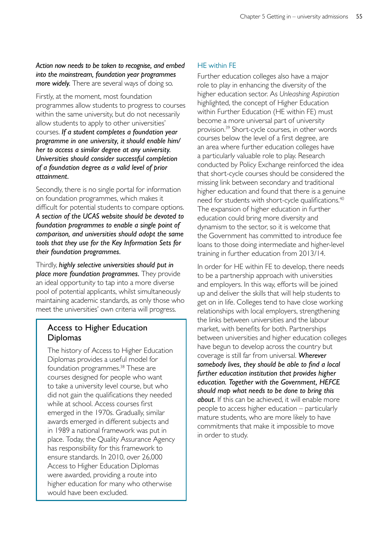#### *Action now needs to be taken to recognise, and embed into the mainstream, foundation year programmes more widely.* There are several ways of doing so.

Firstly, at the moment, most foundation programmes allow students to progress to courses within the same university, but do not necessarily allow students to apply to other universities' courses. *If a student completes a foundation year programme in one university, it should enable him/ her to access a similar degree at any university. Universities should consider successful completion of a foundation degree as a valid level of prior attainment.* 

Secondly, there is no single portal for information on foundation programmes, which makes it difficult for potential students to compare options. *A section of the UCAS website should be devoted to foundation programmes to enable a single point of comparison, and universities should adopt the same tools that they use for the Key Information Sets for their foundation programmes.* 

Thirdly, *highly selective universities should put in place more foundation programmes.* They provide an ideal opportunity to tap into a more diverse pool of potential applicants, whilst simultaneously maintaining academic standards, as only those who meet the universities' own criteria will progress.

## Access to Higher Education Diplomas

The history of Access to Higher Education Diplomas provides a useful model for foundation programmes.<sup>38</sup> These are courses designed for people who want to take a university level course, but who did not gain the qualifications they needed while at school. Access courses first emerged in the 1970s. Gradually, similar awards emerged in different subjects and in 1989 a national framework was put in place. Today, the Quality Assurance Agency has responsibility for this framework to ensure standards. In 2010, over 26,000 Access to Higher Education Diplomas were awarded, providing a route into higher education for many who otherwise would have been excluded.

## HE within FE

Further education colleges also have a major role to play in enhancing the diversity of the higher education sector. As *Unleashing Aspiration*  highlighted, the concept of Higher Education within Further Education (HE within FE) must become a more universal part of university provision.39 Short-cycle courses, in other words courses below the level of a first degree, are an area where further education colleges have a particularly valuable role to play. Research conducted by Policy Exchange reinforced the idea that short-cycle courses should be considered the missing link between secondary and traditional higher education and found that there is a genuine need for students with short-cycle qualifications.40 The expansion of higher education in further education could bring more diversity and dynamism to the sector, so it is welcome that the Government has committed to introduce fee loans to those doing intermediate and higher-level training in further education from 2013/14.

In order for HE within FE to develop, there needs to be a partnership approach with universities and employers. In this way, efforts will be joined up and deliver the skills that will help students to get on in life. Colleges tend to have close working relationships with local employers, strengthening the links between universities and the labour market, with benefits for both. Partnerships between universities and higher education colleges have begun to develop across the country but coverage is still far from universal. *Wherever somebody lives, they should be able to find a local further education institution that provides higher education. Together with the Government, HEFCE should map what needs to be done to bring this about.* If this can be achieved, it will enable more people to access higher education – particularly mature students, who are more likely to have commitments that make it impossible to move in order to study.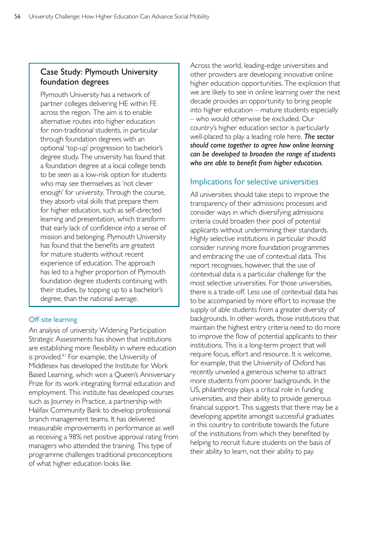## Case Study: Plymouth University foundation degrees

Plymouth University has a network of partner colleges delivering HE within FE across the region. The aim is to enable alternative routes into higher education for non-traditional students, in particular through foundation degrees with an optional 'top-up' progression to bachelor's degree study. The university has found that a foundation degree at a local college tends to be seen as a low-risk option for students who may see themselves as 'not clever enough' for university. Through the course, they absorb vital skills that prepare them for higher education, such as self-directed learning and presentation, which transform that early lack of confidence into a sense of mission and belonging. Plymouth University has found that the benefits are greatest for mature students without recent experience of education. The approach has led to a higher proportion of Plymouth foundation degree students continuing with their studies, by topping up to a bachelor's degree, than the national average.

## Off-site learning

An analysis of university Widening Participation Strategic Assessments has shown that institutions are establishing more flexibility in where education is provided.<sup>41</sup> For example, the University of Middlesex has developed the Institute for Work Based Learning, which won a Queen's Anniversary Prize for its work integrating formal education and employment. This institute has developed courses such as Journey in Practice, a partnership with Halifax Community Bank to develop professional branch management teams. It has delivered measurable improvements in performance as well as receiving a 98% net positive approval rating from managers who attended the training. This type of programme challenges traditional preconceptions of what higher education looks like.

Across the world, leading-edge universities and other providers are developing innovative online higher education opportunities. The explosion that we are likely to see in online learning over the next decade provides an opportunity to bring people into higher education – mature students especially – who would otherwise be excluded. Our country's higher education sector is particularly well-placed to play a leading role here. *The sector should come together to agree how online learning can be developed to broaden the range of students who are able to benefit from higher education.* 

## Implications for selective universities

All universities should take steps to improve the transparency of their admissions processes and consider ways in which diversifying admissions criteria could broaden their pool of potential applicants without undermining their standards. Highly selective institutions in particular should consider running more foundation programmes and embracing the use of contextual data. This report recognises, however, that the use of contextual data is a particular challenge for the most selective universities. For those universities, there is a trade-off. Less use of contextual data has to be accompanied by more effort to increase the supply of able students from a greater diversity of backgrounds. In other words, those institutions that maintain the highest entry criteria need to do more to improve the flow of potential applicants to their institutions. This is a long-term project that will require focus, effort and resource. It is welcome, for example, that the University of Oxford has recently unveiled a generous scheme to attract more students from poorer backgrounds. In the US, philanthropy plays a critical role in funding universities, and their ability to provide generous financial support. This suggests that there may be a developing appetite amongst successful graduates in this country to contribute towards the future of the institutions from which they benefited by helping to recruit future students on the basis of their ability to learn, not their ability to pay.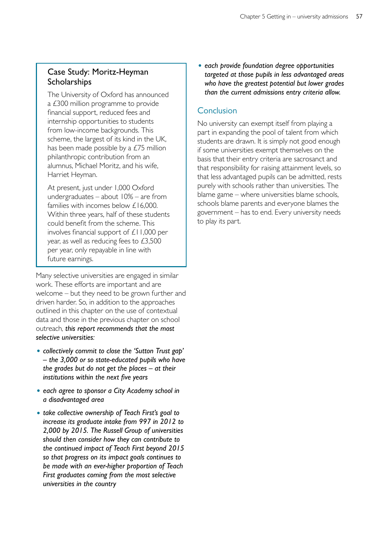## Case Study: Moritz-Heyman **Scholarships**

The University of Oxford has announced a £300 million programme to provide financial support, reduced fees and internship opportunities to students from low-income backgrounds. This scheme, the largest of its kind in the UK, has been made possible by a £75 million philanthropic contribution from an alumnus, Michael Moritz, and his wife, Harriet Heyman.

At present, just under 1,000 Oxford undergraduates – about 10% – are from families with incomes below £16,000. Within three years, half of these students could benefit from the scheme. This involves financial support of £11,000 per year, as well as reducing fees to £3,500 per year, only repayable in line with future earnings.

Many selective universities are engaged in similar work. These efforts are important and are welcome – but they need to be grown further and driven harder. So, in addition to the approaches outlined in this chapter on the use of contextual data and those in the previous chapter on school outreach*, this report recommends that the most selective universities:* 

- • *collectively commit to close the 'Sutton Trust gap' – the 3,000 or so state-educated pupils who have the grades but do not get the places – at their institutions within the next five years*
- • *each agree to sponsor a City Academy school in a disadvantaged area*
- • *take collective ownership of Teach First's goal to increase its graduate intake from 997 in 2012 to 2,000 by 2015. The Russell Group of universities should then consider how they can contribute to the continued impact of Teach First beyond 2015 so that progress on its impact goals continues to be made with an ever-higher proportion of Teach First graduates coming from the most selective universities in the country*

• *each provide foundation degree opportunities targeted at those pupils in less advantaged areas who have the greatest potential but lower grades than the current admissions entry criteria allow.* 

## **Conclusion**

No university can exempt itself from playing a part in expanding the pool of talent from which students are drawn. It is simply not good enough if some universities exempt themselves on the basis that their entry criteria are sacrosanct and that responsibility for raising attainment levels, so that less advantaged pupils can be admitted, rests purely with schools rather than universities. The blame game – where universities blame schools, schools blame parents and everyone blames the government – has to end. Every university needs to play its part.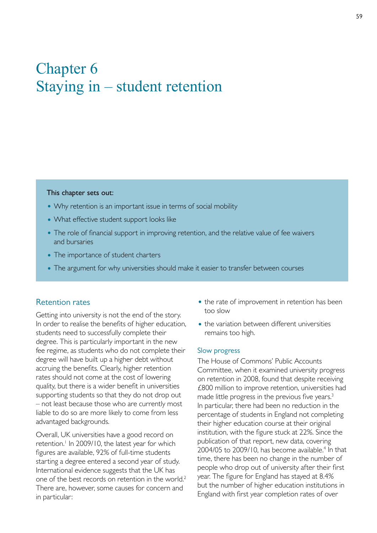# Chapter 6 Staying in – student retention

#### This chapter sets out:

- Why retention is an important issue in terms of social mobility
- What effective student support looks like
- The role of financial support in improving retention, and the relative value of fee waivers and bursaries
- The importance of student charters
- The argument for why universities should make it easier to transfer between courses

#### Retention rates

Getting into university is not the end of the story. In order to realise the benefits of higher education, students need to successfully complete their degree. This is particularly important in the new fee regime, as students who do not complete their degree will have built up a higher debt without accruing the benefits. Clearly, higher retention rates should not come at the cost of lowering quality, but there is a wider benefit in universities supporting students so that they do not drop out – not least because those who are currently most liable to do so are more likely to come from less advantaged backgrounds.

Overall, UK universities have a good record on retention.<sup>1</sup> In 2009/10, the latest year for which figures are available, 92% of full-time students starting a degree entered a second year of study. International evidence suggests that the UK has one of the best records on retention in the world.2 There are, however, some causes for concern and in particular:

- the rate of improvement in retention has been too slow
- the variation between different universities remains too high.

#### Slow progress

The House of Commons' Public Accounts Committee, when it examined university progress on retention in 2008, found that despite receiving £800 million to improve retention, universities had made little progress in the previous five years.<sup>3</sup> In particular, there had been no reduction in the percentage of students in England not completing their higher education course at their original institution, with the figure stuck at 22%. Since the publication of that report, new data, covering 2004/05 to 2009/10, has become available.<sup>4</sup> In that time, there has been no change in the number of people who drop out of university after their first year. The figure for England has stayed at 8.4% but the number of higher education institutions in England with first year completion rates of over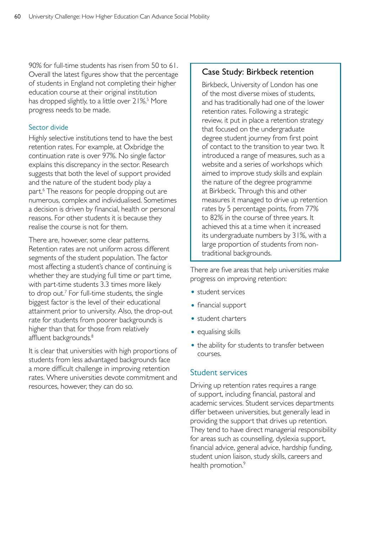90% for full-time students has risen from 50 to 61. Overall the latest figures show that the percentage of students in England not completing their higher education course at their original institution has dropped slightly, to a little over 21%.<sup>5</sup> More progress needs to be made.

#### Sector divide

Highly selective institutions tend to have the best retention rates. For example, at Oxbridge the continuation rate is over 97%. No single factor explains this discrepancy in the sector. Research suggests that both the level of support provided and the nature of the student body play a part.<sup>6</sup> The reasons for people dropping out are numerous, complex and individualised. Sometimes a decision is driven by financial, health or personal reasons. For other students it is because they realise the course is not for them.

There are, however, some clear patterns. Retention rates are not uniform across different segments of the student population. The factor most affecting a student's chance of continuing is whether they are studying full time or part time, with part-time students 3.3 times more likely to drop out.<sup>7</sup> For full-time students, the single biggest factor is the level of their educational attainment prior to university. Also, the drop-out rate for students from poorer backgrounds is higher than that for those from relatively affluent backgrounds.<sup>8</sup>

It is clear that universities with high proportions of students from less advantaged backgrounds face a more difficult challenge in improving retention rates. Where universities devote commitment and resources, however, they can do so.

## Case Study: Birkbeck retention

Birkbeck, University of London has one of the most diverse mixes of students, and has traditionally had one of the lower retention rates. Following a strategic review, it put in place a retention strategy that focused on the undergraduate degree student journey from first point of contact to the transition to year two. It introduced a range of measures, such as a website and a series of workshops which aimed to improve study skills and explain the nature of the degree programme at Birkbeck. Through this and other measures it managed to drive up retention rates by 5 percentage points, from 77% to 82% in the course of three years. It achieved this at a time when it increased its undergraduate numbers by 31%, with a large proportion of students from nontraditional backgrounds.

There are five areas that help universities make progress on improving retention:

- student services
- financial support
- student charters
- equalising skills
- the ability for students to transfer between courses.

#### Student services

Driving up retention rates requires a range of support, including financial, pastoral and academic services. Student services departments differ between universities, but generally lead in providing the support that drives up retention. They tend to have direct managerial responsibility for areas such as counselling, dyslexia support, financial advice, general advice, hardship funding, student union liaison, study skills, careers and health promotion.<sup>9</sup>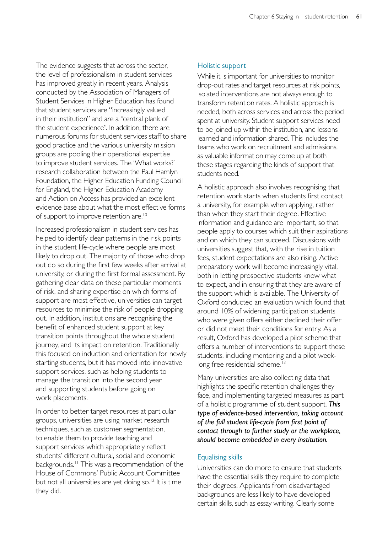The evidence suggests that across the sector, the level of professionalism in student services has improved greatly in recent years. Analysis conducted by the Association of Managers of Student Services in Higher Education has found that student services are "increasingly valued in their institution" and are a "central plank of the student experience". In addition, there are numerous forums for student services staff to share good practice and the various university mission groups are pooling their operational expertise to improve student services. The 'What works?' research collaboration between the Paul Hamlyn Foundation, the Higher Education Funding Council for England, the Higher Education Academy and Action on Access has provided an excellent evidence base about what the most effective forms of support to improve retention are.<sup>10</sup>

Increased professionalism in student services has helped to identify clear patterns in the risk points in the student life-cycle where people are most likely to drop out. The majority of those who drop out do so during the first few weeks after arrival at university, or during the first formal assessment. By gathering clear data on these particular moments of risk, and sharing expertise on which forms of support are most effective, universities can target resources to minimise the risk of people dropping out. In addition, institutions are recognising the benefit of enhanced student support at key transition points throughout the whole student journey, and its impact on retention. Traditionally this focused on induction and orientation for newly starting students, but it has moved into innovative support services, such as helping students to manage the transition into the second year and supporting students before going on work placements.

In order to better target resources at particular groups, universities are using market research techniques, such as customer segmentation, to enable them to provide teaching and support services which appropriately reflect students' different cultural, social and economic backgrounds.<sup>11</sup> This was a recommendation of the House of Commons' Public Account Committee but not all universities are yet doing so.<sup>12</sup> It is time they did.

#### Holistic support

While it is important for universities to monitor drop-out rates and target resources at risk points, isolated interventions are not always enough to transform retention rates. A holistic approach is needed, both across services and across the period spent at university. Student support services need to be joined up within the institution, and lessons learned and information shared. This includes the teams who work on recruitment and admissions, as valuable information may come up at both these stages regarding the kinds of support that students need.

A holistic approach also involves recognising that retention work starts when students first contact a university, for example when applying, rather than when they start their degree. Effective information and guidance are important, so that people apply to courses which suit their aspirations and on which they can succeed. Discussions with universities suggest that, with the rise in tuition fees, student expectations are also rising. Active preparatory work will become increasingly vital, both in letting prospective students know what to expect, and in ensuring that they are aware of the support which is available. The University of Oxford conducted an evaluation which found that around 10% of widening participation students who were given offers either declined their offer or did not meet their conditions for entry. As a result, Oxford has developed a pilot scheme that offers a number of interventions to support these students, including mentoring and a pilot weeklong free residential scheme.<sup>13</sup>

Many universities are also collecting data that highlights the specific retention challenges they face, and implementing targeted measures as part of a holistic programme of student support. *This type of evidence-based intervention, taking account of the full student life-cycle from first point of contact through to further study or the workplace, should become embedded in every institution.* 

#### Equalising skills

Universities can do more to ensure that students have the essential skills they require to complete their degrees. Applicants from disadvantaged backgrounds are less likely to have developed certain skills, such as essay writing. Clearly some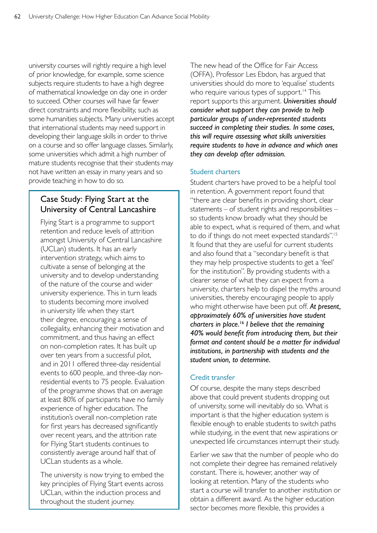university courses will rightly require a high level of prior knowledge, for example, some science subjects require students to have a high degree of mathematical knowledge on day one in order to succeed. Other courses will have far fewer direct constraints and more flexibility, such as some humanities subjects. Many universities accept that international students may need support in developing their language skills in order to thrive on a course and so offer language classes. Similarly, some universities which admit a high number of mature students recognise that their students may not have written an essay in many years and so provide teaching in how to do so.

## Case Study: Flying Start at the University of Central Lancashire

Flying Start is a programme to support retention and reduce levels of attrition amongst University of Central Lancashire (UCLan) students. It has an early intervention strategy, which aims to cultivate a sense of belonging at the university and to develop understanding of the nature of the course and wider university experience. This in turn leads to students becoming more involved in university life when they start their degree, encouraging a sense of collegiality, enhancing their motivation and commitment, and thus having an effect on non-completion rates. It has built up over ten years from a successful pilot, and in 2011 offered three-day residential events to 600 people, and three-day nonresidential events to 75 people. Evaluation of the programme shows that on average at least 80% of participants have no family experience of higher education. The institution's overall non-completion rate for first years has decreased significantly over recent years, and the attrition rate for Flying Start students continues to consistently average around half that of UCLan students as a whole.

The university is now trying to embed the key principles of Flying Start events across UCLan, within the induction process and throughout the student journey.

The new head of the Office for Fair Access (OFFA), Professor Les Ebdon, has argued that universities should do more to 'equalise' students who require various types of support.<sup>14</sup> This report supports this argument. *Universities should consider what support they can provide to help particular groups of under-represented students succeed in completing their studies. In some cases, this will require assessing what skills universities require students to have in advance and which ones they can develop after admission.* 

## Student charters

Student charters have proved to be a helpful tool in retention. A government report found that "there are clear benefits in providing short, clear statements – of student rights and responsibilities – so students know broadly what they should be able to expect, what is required of them, and what to do if things do not meet expected standards".<sup>15</sup> It found that they are useful for current students and also found that a "secondary benefit is that they may help prospective students to get a 'feel' for the institution". By providing students with a clearer sense of what they can expect from a university, charters help to dispel the myths around universities, thereby encouraging people to apply who might otherwise have been put off. *At present, approximately 60% of universities have student charters in place.*16 *I believe that the remaining 40% would benefit from introducing them, but their format and content should be a matter for individual institutions, in partnership with students and the student union, to determine.* 

## Credit transfer

Of course, despite the many steps described above that could prevent students dropping out of university, some will inevitably do so. What is important is that the higher education system is flexible enough to enable students to switch paths while studying, in the event that new aspirations or unexpected life circumstances interrupt their study.

Earlier we saw that the number of people who do not complete their degree has remained relatively constant. There is, however, another way of looking at retention. Many of the students who start a course will transfer to another institution or obtain a different award. As the higher education sector becomes more flexible, this provides a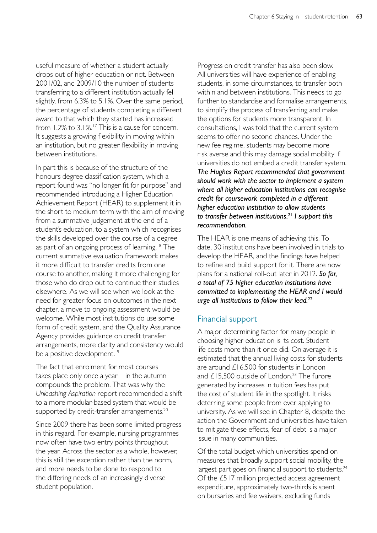useful measure of whether a student actually drops out of higher education or not. Between 2001/02, and 2009/10 the number of students transferring to a different institution actually fell slightly, from 6.3% to 5.1%. Over the same period, the percentage of students completing a different award to that which they started has increased from  $1.2\%$  to  $3.1\%$ .<sup>17</sup> This is a cause for concern. It suggests a growing flexibility in moving within an institution, but no greater flexibility in moving between institutions.

In part this is because of the structure of the honours degree classification system, which a report found was "no longer fit for purpose" and recommended introducing a Higher Education Achievement Report (HEAR) to supplement it in the short to medium term with the aim of moving from a summative judgement at the end of a student's education, to a system which recognises the skills developed over the course of a degree as part of an ongoing process of learning.18 The current summative evaluation framework makes it more difficult to transfer credits from one course to another, making it more challenging for those who do drop out to continue their studies elsewhere. As we will see when we look at the need for greater focus on outcomes in the next chapter, a move to ongoing assessment would be welcome. While most institutions do use some form of credit system, and the Quality Assurance Agency provides guidance on credit transfer arrangements, more clarity and consistency would be a positive development.<sup>19</sup>

The fact that enrolment for most courses takes place only once a year  $-$  in the autumn  $$ compounds the problem. That was why the *Unleashing Aspiration* report recommended a shift to a more modular-based system that would be supported by credit-transfer arrangements.<sup>20</sup>

Since 2009 there has been some limited progress in this regard. For example, nursing programmes now often have two entry points throughout the year. Across the sector as a whole, however, this is still the exception rather than the norm, and more needs to be done to respond to the differing needs of an increasingly diverse student population.

Progress on credit transfer has also been slow. All universities will have experience of enabling students, in some circumstances, to transfer both within and between institutions. This needs to go further to standardise and formalise arrangements, to simplify the process of transferring and make the options for students more transparent. In consultations, I was told that the current system seems to offer no second chances. Under the new fee regime, students may become more risk averse and this may damage social mobility if universities do not embed a credit transfer system. *The Hughes Report recommended that government should work with the sector to implement a system where all higher education institutions can recognise credit for coursework completed in a different higher education institution to allow students to transfer between institutions.*<sup>21</sup> *I support this recommendation.* 

The HEAR is one means of achieving this. To date, 30 institutions have been involved in trials to develop the HEAR, and the findings have helped to refine and build support for it. There are now plans for a national roll-out later in 2012. *So far, a total of 75 higher education institutions have committed to implementing the HEAR and I would urge all institutions to follow their lead.*<sup>22</sup>

## Financial support

A major determining factor for many people in choosing higher education is its cost. Student life costs more than it once did. On average it is estimated that the annual living costs for students are around £16,500 for students in London and  $£15,500$  outside of London.<sup>23</sup> The furore generated by increases in tuition fees has put the cost of student life in the spotlight. It risks deterring some people from ever applying to university. As we will see in Chapter 8, despite the action the Government and universities have taken to mitigate these effects, fear of debt is a major issue in many communities.

Of the total budget which universities spend on measures that broadly support social mobility, the largest part goes on financial support to students.<sup>24</sup> Of the £517 million projected access agreement expenditure, approximately two-thirds is spent on bursaries and fee waivers, excluding funds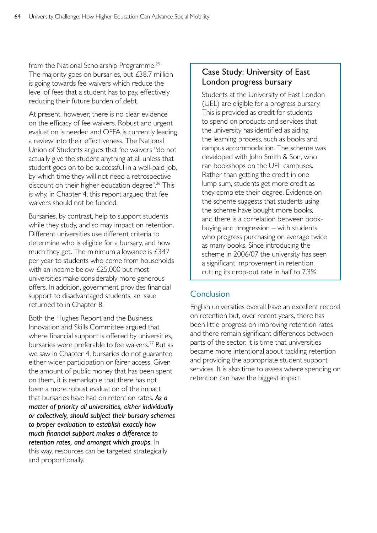from the National Scholarship Programme.<sup>25</sup> The majority goes on bursaries, but £38.7 million is going towards fee waivers which reduce the level of fees that a student has to pay, effectively reducing their future burden of debt.

At present, however, there is no clear evidence on the efficacy of fee waivers. Robust and urgent evaluation is needed and OFFA is currently leading a review into their effectiveness. The National Union of Students argues that fee waivers "do not actually give the student anything at all unless that student goes on to be successful in a well-paid job, by which time they will not need a retrospective discount on their higher education degree".<sup>26</sup> This is why, in Chapter 4, this report argued that fee waivers should not be funded.

Bursaries, by contrast, help to support students while they study, and so may impact on retention. Different universities use different criteria to determine who is eligible for a bursary, and how much they get. The minimum allowance is £347 per year to students who come from households with an income below £25,000 but most universities make considerably more generous offers. In addition, government provides financial support to disadvantaged students, an issue returned to in Chapter 8.

Both the Hughes Report and the Business, Innovation and Skills Committee argued that where financial support is offered by universities, bursaries were preferable to fee waivers.<sup>27</sup> But as we saw in Chapter 4, bursaries do not guarantee either wider participation or fairer access. Given the amount of public money that has been spent on them, it is remarkable that there has not been a more robust evaluation of the impact that bursaries have had on retention rates. *As a matter of priority all universities, either individually or collectively, should subject their bursary schemes to proper evaluation to establish exactly how much financial support makes a difference to retention rates, and amongst which groups.* In this way, resources can be targeted strategically and proportionally.

## Case Study: University of East London progress bursary

Students at the University of East London (UEL) are eligible for a progress bursary. This is provided as credit for students to spend on products and services that the university has identified as aiding the learning process, such as books and campus accommodation. The scheme was developed with John Smith & Son, who ran bookshops on the UEL campuses. Rather than getting the credit in one lump sum, students get more credit as they complete their degree. Evidence on the scheme suggests that students using the scheme have bought more books, and there is a correlation between bookbuying and progression – with students who progress purchasing on average twice as many books. Since introducing the scheme in 2006/07 the university has seen a significant improvement in retention, cutting its drop-out rate in half to 7.3%.

## **Conclusion**

English universities overall have an excellent record on retention but, over recent years, there has been little progress on improving retention rates and there remain significant differences between parts of the sector. It is time that universities became more intentional about tackling retention and providing the appropriate student support services. It is also time to assess where spending on retention can have the biggest impact.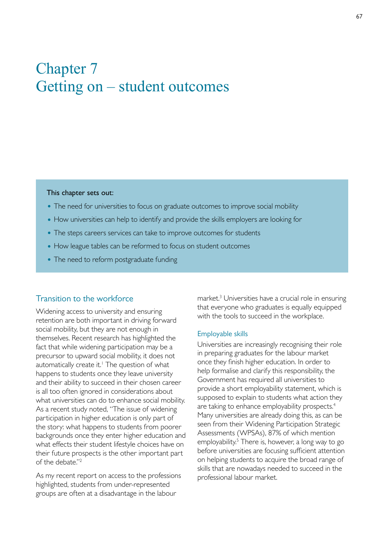# Chapter 7 Getting on – student outcomes

#### This chapter sets out:

- The need for universities to focus on graduate outcomes to improve social mobility
- How universities can help to identify and provide the skills employers are looking for
- The steps careers services can take to improve outcomes for students
- How league tables can be reformed to focus on student outcomes
- The need to reform postgraduate funding

#### Transition to the workforce

Widening access to university and ensuring retention are both important in driving forward social mobility, but they are not enough in themselves. Recent research has highlighted the fact that while widening participation may be a precursor to upward social mobility, it does not automatically create it.<sup>1</sup> The question of what happens to students once they leave university and their ability to succeed in their chosen career is all too often ignored in considerations about what universities can do to enhance social mobility. As a recent study noted, "The issue of widening participation in higher education is only part of the story: what happens to students from poorer backgrounds once they enter higher education and what effects their student lifestyle choices have on their future prospects is the other important part of the debate."2

As my recent report on access to the professions highlighted, students from under-represented groups are often at a disadvantage in the labour

market.<sup>3</sup> Universities have a crucial role in ensuring that everyone who graduates is equally equipped with the tools to succeed in the workplace.

#### Employable skills

Universities are increasingly recognising their role in preparing graduates for the labour market once they finish higher education. In order to help formalise and clarify this responsibility, the Government has required all universities to provide a short employability statement, which is supposed to explain to students what action they are taking to enhance employability prospects.<sup>4</sup> Many universities are already doing this, as can be seen from their Widening Participation Strategic Assessments (WPSAs), 87% of which mention employability.<sup>5</sup> There is, however, a long way to go before universities are focusing sufficient attention on helping students to acquire the broad range of skills that are nowadays needed to succeed in the professional labour market.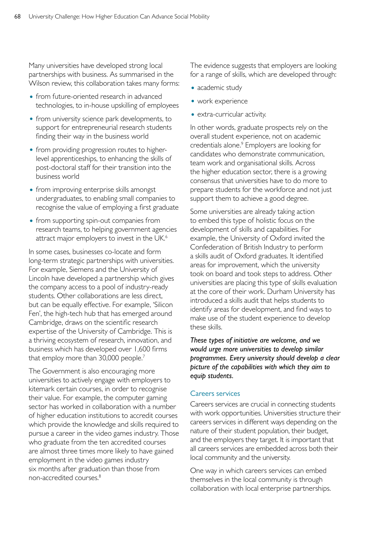Many universities have developed strong local partnerships with business. As summarised in the Wilson review, this collaboration takes many forms:

- from future-oriented research in advanced technologies, to in-house upskilling of employees
- from university science park developments, to support for entrepreneurial research students finding their way in the business world
- from providing progression routes to higherlevel apprenticeships, to enhancing the skills of post-doctoral staff for their transition into the business world
- from improving enterprise skills amongst undergraduates, to enabling small companies to recognise the value of employing a first graduate
- from supporting spin-out companies from research teams, to helping government agencies attract major employers to invest in the UK.<sup>6</sup>

In some cases, businesses co-locate and form long-term strategic partnerships with universities. For example, Siemens and the University of Lincoln have developed a partnership which gives the company access to a pool of industry-ready students. Other collaborations are less direct, but can be equally effective. For example, 'Silicon Fen', the high-tech hub that has emerged around Cambridge, draws on the scientific research expertise of the University of Cambridge. This is a thriving ecosystem of research, innovation, and business which has developed over 1,600 firms that employ more than 30,000 people.<sup>7</sup>

The Government is also encouraging more universities to actively engage with employers to kitemark certain courses, in order to recognise their value. For example, the computer gaming sector has worked in collaboration with a number of higher education institutions to accredit courses which provide the knowledge and skills required to pursue a career in the video games industry. Those who graduate from the ten accredited courses are almost three times more likely to have gained employment in the video games industry six months after graduation than those from non-accredited courses.8

The evidence suggests that employers are looking for a range of skills, which are developed through:

- academic study
- work experience
- extra-curricular activity.

In other words, graduate prospects rely on the overall student experience, not on academic credentials alone.<sup>9</sup> Employers are looking for candidates who demonstrate communication, team work and organisational skills. Across the higher education sector, there is a growing consensus that universities have to do more to prepare students for the workforce and not just support them to achieve a good degree.

Some universities are already taking action to embed this type of holistic focus on the development of skills and capabilities. For example, the University of Oxford invited the Confederation of British Industry to perform a skills audit of Oxford graduates. It identified areas for improvement, which the university took on board and took steps to address. Other universities are placing this type of skills evaluation at the core of their work. Durham University has introduced a skills audit that helps students to identify areas for development, and find ways to make use of the student experience to develop these skills.

*These types of initiative are welcome, and we would urge more universities to develop similar programmes. Every university should develop a clear picture of the capabilities with which they aim to equip students.* 

#### Careers services

Careers services are crucial in connecting students with work opportunities. Universities structure their careers services in different ways depending on the nature of their student population, their budget, and the employers they target. It is important that all careers services are embedded across both their local community and the university.

One way in which careers services can embed themselves in the local community is through collaboration with local enterprise partnerships.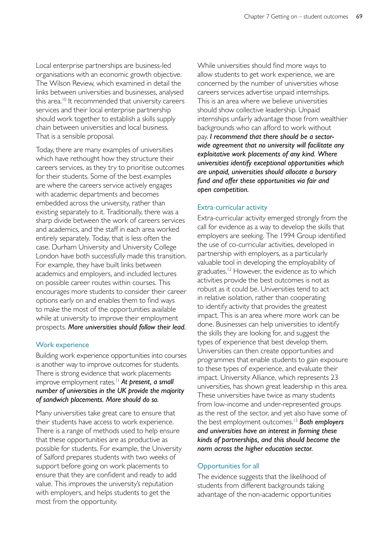Local enterprise partnerships are business-led organisations with an economic growth objective. The Wilson Review, which examined in detail the links between universities and businesses, analysed this area.<sup>10</sup> It recommended that university careers services and their local enterprise partnership should work together to establish a skills supply chain between universities and local business. That is a sensible proposal.

Today, there are many examples of universities which have rethought how they structure their careers services, as they try to prioritise outcomes for their students. Some of the best examples are where the careers service actively engages with academic departments and becomes embedded across the university, rather than existing separately to it. Traditionally, there was a sharp divide between the work of careers services and academics, and the staff in each area worked entirely separately. Today, that is less often the case. Durham University and University College London have both successfully made this transition. For example, they have built links between academics and employers, and included lectures on possible career routes within courses. This encourages more students to consider their career options early on and enables them to find ways to make the most of the opportunities available while at university to improve their employment prospects. *More universities should follow their lead.* 

#### Work experience

Building work experience opportunities into courses is another way to improve outcomes for students. There is strong evidence that work placements improve employment rates.<sup>11</sup> At present, a small *number of universities in the UK provide the majority of sandwich placements. More should do so.* 

Many universities take great care to ensure that their students have access to work experience. There is a range of methods used to help ensure that these opportunities are as productive as possible for students. For example, the University of Salford prepares students with two weeks of support before going on work placements to ensure that they are confident and ready to add value. This improves the university's reputation with employers, and helps students to get the most from the opportunity.

While universities should find more ways to allow students to get work experience, we are concerned by the number of universities whose careers services advertise unpaid internships. This is an area where we believe universities should show collective leadership. Unpaid internships unfairly advantage those from wealthier backgrounds who can afford to work without pay. *I recommend that there should be a sectorwide agreement that no university will facilitate any exploitative work placements of any kind. Where universities identify exceptional opportunities which are unpaid, universities should allocate a bursary fund and offer these opportunities via fair and open competition.* 

#### Extra-curricular activity

Extra-curricular activity emerged strongly from the call for evidence as a way to develop the skills that employers are seeking. The 1994 Group identified the use of co-curricular activities, developed in partnership with employers, as a particularly valuable tool in developing the employability of graduates.<sup>12</sup> However, the evidence as to which activities provide the best outcomes is not as robust as it could be. Universities tend to act in relative isolation, rather than cooperating to identify activity that provides the greatest impact. This is an area where more work can be done. Businesses can help universities to identify the skills they are looking for, and suggest the types of experience that best develop them. Universities can then create opportunities and programmes that enable students to gain exposure to these types of experience, and evaluate their impact. University Alliance, which represents 23 universities, has shown great leadership in this area. These universities have twice as many students from low-income and under-represented groups as the rest of the sector, and yet also have some of the best employment outcomes.13 *Both employers and universities have an interest in forming these kinds of partnerships, and this should become the norm across the higher education sector.* 

#### Opportunities for all

The evidence suggests that the likelihood of students from different backgrounds taking advantage of the non-academic opportunities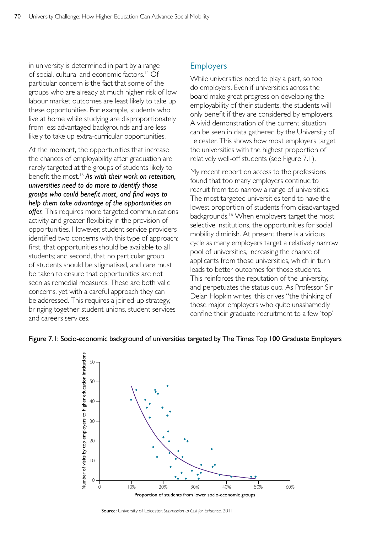in university is determined in part by a range of social, cultural and economic factors.14 Of particular concern is the fact that some of the groups who are already at much higher risk of low labour market outcomes are least likely to take up these opportunities. For example, students who live at home while studying are disproportionately from less advantaged backgrounds and are less likely to take up extra-curricular opportunities.

At the moment, the opportunities that increase the chances of employability after graduation are rarely targeted at the groups of students likely to benefit the most.15 *As with their work on retention, universities need to do more to identify those groups who could benefit most, and find ways to help them take advantage of the opportunities on offer.* This requires more targeted communications activity and greater flexibility in the provision of opportunities. However, student service providers identified two concerns with this type of approach: first, that opportunities should be available to all students; and second, that no particular group of students should be stigmatised, and care must be taken to ensure that opportunities are not seen as remedial measures. These are both valid concerns, yet with a careful approach they can be addressed. This requires a joined-up strategy, bringing together student unions, student services and careers services.

## Employers

While universities need to play a part, so too do employers. Even if universities across the board make great progress on developing the employability of their students, the students will only benefit if they are considered by employers. A vivid demonstration of the current situation can be seen in data gathered by the University of Leicester. This shows how most employers target the universities with the highest proportion of relatively well-off students (see Figure 7.1).

My recent report on access to the professions found that too many employers continue to recruit from too narrow a range of universities. The most targeted universities tend to have the lowest proportion of students from disadvantaged backgrounds.16 When employers target the most selective institutions, the opportunities for social mobility diminish. At present there is a vicious cycle as many employers target a relatively narrow pool of universities, increasing the chance of applicants from those universities, which in turn leads to better outcomes for those students. This reinforces the reputation of the university, and perpetuates the status quo. As Professor Sir Deian Hopkin writes, this drives "the thinking of those major employers who quite unashamedly confine their graduate recruitment to a few 'top'



#### Figure 7.1: Socio-economic background of universities targeted by The Times Top 100 Graduate Employers

Source: University of Leicester, *Submission to Call for Evidence*, 2011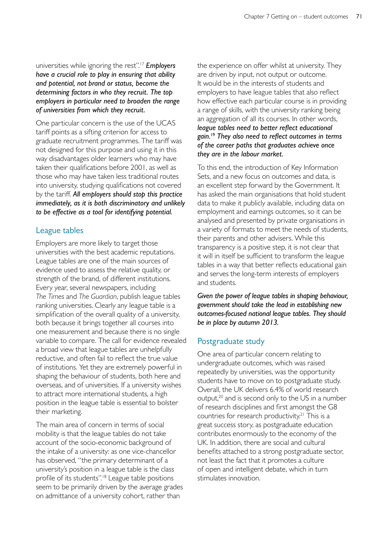universities while ignoring the rest".17 *Employers have a crucial role to play in ensuring that ability and potential, not brand or status, become the determining factors in who they recruit. The top employers in particular need to broaden the range of universities from which they recruit.* 

One particular concern is the use of the UCAS tariff points as a sifting criterion for access to graduate recruitment programmes. The tariff was not designed for this purpose and using it in this way disadvantages older learners who may have taken their qualifications before 2001, as well as those who may have taken less traditional routes into university, studying qualifications not covered by the tariff. *All employers should stop this practice immediately, as it is both discriminatory and unlikely to be effective as a tool for identifying potential.* 

## League tables

Employers are more likely to target those universities with the best academic reputations. League tables are one of the main sources of evidence used to assess the relative quality, or strength of the brand, of different institutions. Every year, several newspapers, including *The Times* and *The Guardian*, publish league tables ranking universities. Clearly any league table is a simplification of the overall quality of a university, both because it brings together all courses into one measurement and because there is no single variable to compare. The call for evidence revealed a broad view that league tables are unhelpfully reductive, and often fail to reflect the true value of institutions. Yet they are extremely powerful in shaping the behaviour of students, both here and overseas, and of universities. If a university wishes to attract more international students, a high position in the league table is essential to bolster their marketing.

The main area of concern in terms of social mobility is that the league tables do not take account of the socio-economic background of the intake of a university: as one vice-chancellor has observed, "the primary determinant of a university's position in a league table is the class profile of its students".18 League table positions seem to be primarily driven by the average grades on admittance of a university cohort, rather than

the experience on offer whilst at university. They are driven by input, not output or outcome. It would be in the interests of students and employers to have league tables that also reflect how effective each particular course is in providing a range of skills, with the university ranking being an aggregation of all its courses. In other words, *league tables need to better reflect educational gain.*19 *They also need to reflect outcomes in terms of the career paths that graduates achieve once they are in the labour market.* 

To this end, the introduction of Key Information Sets, and a new focus on outcomes and data, is an excellent step forward by the Government. It has asked the main organisations that hold student data to make it publicly available, including data on employment and earnings outcomes, so it can be analysed and presented by private organisations in a variety of formats to meet the needs of students, their parents and other advisers. While this transparency is a positive step, it is not clear that it will in itself be sufficient to transform the league tables in a way that better reflects educational gain and serves the long-term interests of employers and students.

*Given the power of league tables in shaping behaviour, government should take the lead in establishing new outcomes-focused national league tables. They should be in place by autumn 2013.* 

## Postgraduate study

One area of particular concern relating to undergraduate outcomes, which was raised repeatedly by universities, was the opportunity students have to move on to postgraduate study. Overall, the UK delivers 6.4% of world research output, $20$  and is second only to the US in a number of research disciplines and first amongst the G8 countries for research productivity.<sup>21</sup> This is a great success story, as postgraduate education contributes enormously to the economy of the UK. In addition, there are social and cultural benefits attached to a strong postgraduate sector, not least the fact that it promotes a culture of open and intelligent debate, which in turn stimulates innovation.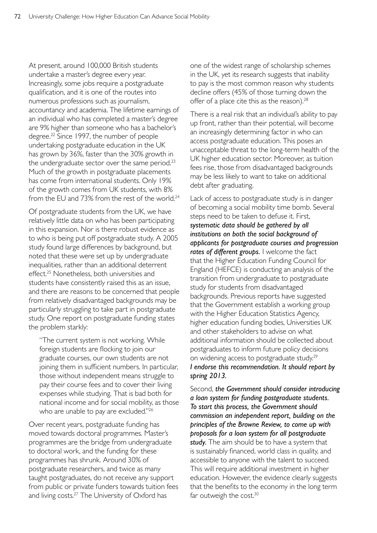At present, around 100,000 British students undertake a master's degree every year. Increasingly, some jobs require a postgraduate qualification, and it is one of the routes into numerous professions such as journalism, accountancy and academia. The lifetime earnings of an individual who has completed a master's degree are 9% higher than someone who has a bachelor's degree.<sup>22</sup> Since 1997, the number of people undertaking postgraduate education in the UK has grown by 36%, faster than the 30% growth in the undergraduate sector over the same period.<sup>23</sup> Much of the growth in postgraduate placements has come from international students. Only 19% of the growth comes from UK students, with 8% from the FU and 73% from the rest of the world.<sup>24</sup>

Of postgraduate students from the UK, we have relatively little data on who has been participating in this expansion. Nor is there robust evidence as to who is being put off postgraduate study. A 2005 study found large differences by background, but noted that these were set up by undergraduate inequalities, rather than an additional deterrent effect.25 Nonetheless, both universities and students have consistently raised this as an issue, and there are reasons to be concerned that people from relatively disadvantaged backgrounds may be particularly struggling to take part in postgraduate study. One report on postgraduate funding states the problem starkly:

"The current system is not working. While foreign students are flocking to join our graduate courses, our own students are not joining them in sufficient numbers. In particular, those without independent means struggle to pay their course fees and to cover their living expenses while studying. That is bad both for national income and for social mobility, as those who are unable to pay are excluded."<sup>26</sup>

Over recent years, postgraduate funding has moved towards doctoral programmes. Master's programmes are the bridge from undergraduate to doctoral work, and the funding for these programmes has shrunk. Around 30% of postgraduate researchers, and twice as many taught postgraduates, do not receive any support from public or private funders towards tuition fees and living costs. $27$  The University of Oxford has

one of the widest range of scholarship schemes in the UK, yet its research suggests that inability to pay is the most common reason why students decline offers (45% of those turning down the offer of a place cite this as the reason).<sup>28</sup>

There is a real risk that an individual's ability to pay up front, rather than their potential, will become an increasingly determining factor in who can access postgraduate education. This poses an unacceptable threat to the long-term health of the UK higher education sector. Moreover, as tuition fees rise, those from disadvantaged backgrounds may be less likely to want to take on additional debt after graduating.

Lack of access to postgraduate study is in danger of becoming a social mobility time bomb. Several steps need to be taken to defuse it. First, *systematic data should be gathered by all institutions on both the social background of applicants for postgraduate courses and progression rates of different groups.* I welcome the fact that the Higher Education Funding Council for England (HEFCE) is conducting an analysis of the transition from undergraduate to postgraduate study for students from disadvantaged backgrounds. Previous reports have suggested that the Government establish a working group with the Higher Education Statistics Agency, higher education funding bodies, Universities UK and other stakeholders to advise on what additional information should be collected about postgraduates to inform future policy decisions on widening access to postgraduate study.29 *I endorse this recommendation. It should report by spring 2013.* 

Second, *the Government should consider introducing a loan system for funding postgraduate students. To start this process, the Government should commission an independent report, building on the principles of the Browne Review, to come up with proposals for a loan system for all postgraduate study.* The aim should be to have a system that is sustainably financed, world class in quality, and accessible to anyone with the talent to succeed*.*  This will require additional investment in higher education. However, the evidence clearly suggests that the benefits to the economy in the long term far outweigh the cost.<sup>30</sup>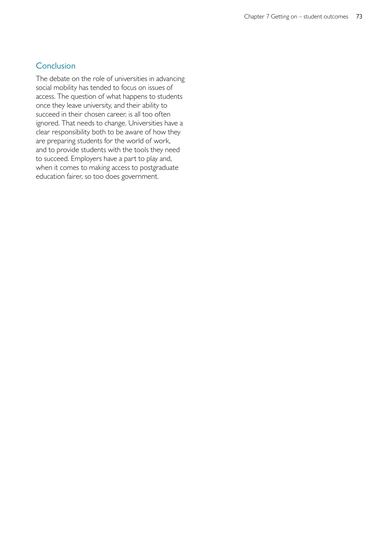# **Conclusion**

The debate on the role of universities in advancing social mobility has tended to focus on issues of access. The question of what happens to students once they leave university, and their ability to succeed in their chosen career, is all too often ignored. That needs to change. Universities have a clear responsibility both to be aware of how they are preparing students for the world of work, and to provide students with the tools they need to succeed. Employers have a part to play and, when it comes to making access to postgraduate education fairer, so too does government.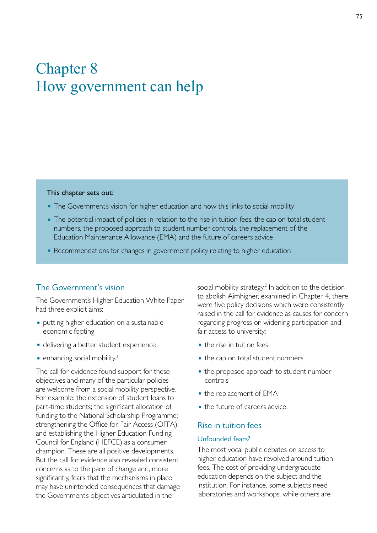# Chapter 8 How government can help

#### This chapter sets out:

- The Government's vision for higher education and how this links to social mobility
- The potential impact of policies in relation to the rise in tuition fees, the cap on total student numbers, the proposed approach to student number controls, the replacement of the Education Maintenance Allowance (EMA) and the future of careers advice
- Recommendations for changes in government policy relating to higher education

## The Government's vision

The Government's Higher Education White Paper had three explicit aims:

- putting higher education on a sustainable economic footing
- delivering a better student experience
- enhancing social mobility.<sup>1</sup>

The call for evidence found support for these objectives and many of the particular policies are welcome from a social mobility perspective. For example: the extension of student loans to part-time students; the significant allocation of funding to the National Scholarship Programme; strengthening the Office for Fair Access (OFFA); and establishing the Higher Education Funding Council for England (HEFCE) as a consumer champion. These are all positive developments. But the call for evidence also revealed consistent concerns as to the pace of change and, more significantly, fears that the mechanisms in place may have unintended consequences that damage the Government's objectives articulated in the

social mobility strategy.<sup>2</sup> In addition to the decision to abolish Aimhigher, examined in Chapter 4, there were five policy decisions which were consistently raised in the call for evidence as causes for concern regarding progress on widening participation and fair access to university:

- the rise in tuition fees
- the cap on total student numbers
- the proposed approach to student number controls
- the replacement of EMA
- the future of careers advice.

#### Rise in tuition fees

#### Unfounded fears?

The most vocal public debates on access to higher education have revolved around tuition fees. The cost of providing undergraduate education depends on the subject and the institution. For instance, some subjects need laboratories and workshops, while others are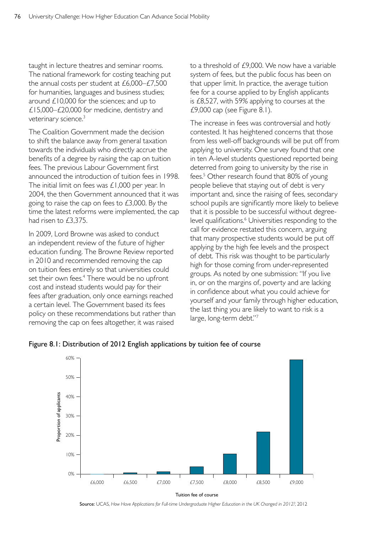taught in lecture theatres and seminar rooms. The national framework for costing teaching put the annual costs per student at £6,000–£7,500 for humanities, languages and business studies; around £10,000 for the sciences; and up to £15,000–£20,000 for medicine, dentistry and veterinary science.<sup>3</sup>

The Coalition Government made the decision to shift the balance away from general taxation towards the individuals who directly accrue the benefits of a degree by raising the cap on tuition fees. The previous Labour Government first announced the introduction of tuition fees in 1998. The initial limit on fees was £1,000 per year. In 2004, the then Government announced that it was going to raise the cap on fees to  $£3,000$ . By the time the latest reforms were implemented, the cap had risen to £3,375.

In 2009, Lord Browne was asked to conduct an independent review of the future of higher education funding. The Browne Review reported in 2010 and recommended removing the cap on tuition fees entirely so that universities could set their own fees.<sup>4</sup> There would be no upfront cost and instead students would pay for their fees after graduation, only once earnings reached a certain level. The Government based its fees policy on these recommendations but rather than removing the cap on fees altogether, it was raised

to a threshold of £9,000. We now have a variable system of fees, but the public focus has been on that upper limit. In practice, the average tuition fee for a course applied to by English applicants is £8,527, with 59% applying to courses at the £9,000 cap (see Figure 8.1).

The increase in fees was controversial and hotly contested. It has heightened concerns that those from less well-off backgrounds will be put off from applying to university. One survey found that one in ten A-level students questioned reported being deterred from going to university by the rise in fees.<sup>5</sup> Other research found that 80% of young people believe that staying out of debt is very important and, since the raising of fees, secondary school pupils are significantly more likely to believe that it is possible to be successful without degreelevel qualifications.<sup>6</sup> Universities responding to the call for evidence restated this concern, arguing that many prospective students would be put off applying by the high fee levels and the prospect of debt. This risk was thought to be particularly high for those coming from under-represented groups. As noted by one submission: "If you live in, or on the margins of, poverty and are lacking in confidence about what you could achieve for yourself and your family through higher education, the last thing you are likely to want to risk is a large, long-term debt."7



Figure 8.1: Distribution of 2012 English applications by tuition fee of course

Source: UCAS, *How Have Applications for Full-time Undergraduate Higher Education in the UK Changed in 2012?*, 2012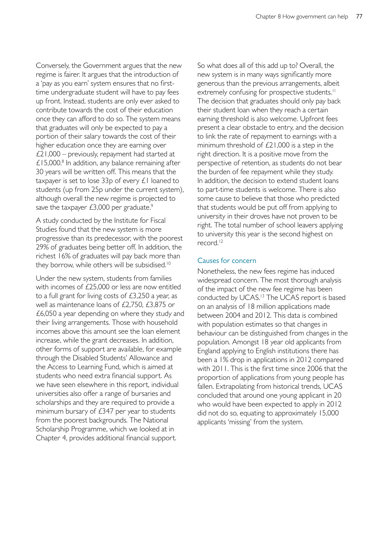Conversely, the Government argues that the new regime is fairer. It argues that the introduction of a 'pay as you earn' system ensures that no firsttime undergraduate student will have to pay fees up front. Instead, students are only ever asked to contribute towards the cost of their education once they can afford to do so. The system means that graduates will only be expected to pay a portion of their salary towards the cost of their higher education once they are earning over £21,000 – previously, repayment had started at  $£15,000$ .<sup>8</sup> In addition, any balance remaining after 30 years will be written off. This means that the taxpayer is set to lose 33p of every £1 loaned to students (up from 25p under the current system), although overall the new regime is projected to save the taxpayer  $£3,000$  per graduate.<sup>9</sup>

A study conducted by the Institute for Fiscal Studies found that the new system is more progressive than its predecessor, with the poorest 29% of graduates being better off. In addition, the richest 16% of graduates will pay back more than they borrow, while others will be subsidised.<sup>10</sup>

Under the new system, students from families with incomes of £25,000 or less are now entitled to a full grant for living costs of £3,250 a year, as well as maintenance loans of £2,750, £3,875 or £6,050 a year depending on where they study and their living arrangements. Those with household incomes above this amount see the loan element increase, while the grant decreases. In addition, other forms of support are available, for example through the Disabled Students' Allowance and the Access to Learning Fund, which is aimed at students who need extra financial support. As we have seen elsewhere in this report, individual universities also offer a range of bursaries and scholarships and they are required to provide a minimum bursary of £347 per year to students from the poorest backgrounds. The National Scholarship Programme, which we looked at in Chapter 4, provides additional financial support.

So what does all of this add up to? Overall, the new system is in many ways significantly more generous than the previous arrangements, albeit extremely confusing for prospective students.<sup>11</sup> The decision that graduates should only pay back their student loan when they reach a certain earning threshold is also welcome. Upfront fees present a clear obstacle to entry, and the decision to link the rate of repayment to earnings with a minimum threshold of £21,000 is a step in the right direction. It is a positive move from the perspective of retention, as students do not bear the burden of fee repayment while they study. In addition, the decision to extend student loans to part-time students is welcome. There is also some cause to believe that those who predicted that students would be put off from applying to university in their droves have not proven to be right. The total number of school leavers applying to university this year is the second highest on record.<sup>12</sup>

# Causes for concern

Nonetheless, the new fees regime has induced widespread concern. The most thorough analysis of the impact of the new fee regime has been conducted by UCAS.<sup>13</sup> The UCAS report is based on an analysis of 18 million applications made between 2004 and 2012. This data is combined with population estimates so that changes in behaviour can be distinguished from changes in the population. Amongst 18 year old applicants from England applying to English institutions there has been a 1% drop in applications in 2012 compared with 2011. This is the first time since 2006 that the proportion of applications from young people has fallen. Extrapolating from historical trends, UCAS concluded that around one young applicant in 20 who would have been expected to apply in 2012 did not do so, equating to approximately 15,000 applicants 'missing' from the system.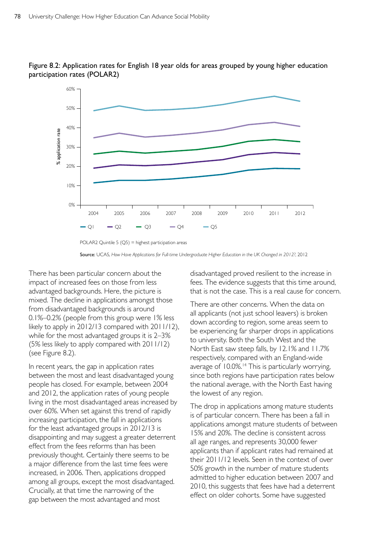



Source: UCAS, *How Have Applications for Full-time Undergraduate Higher Education in the UK Changed in 2012?*, 2012

There has been particular concern about the impact of increased fees on those from less advantaged backgrounds. Here, the picture is mixed. The decline in applications amongst those from disadvantaged backgrounds is around 0.1%–0.2% (people from this group were 1% less likely to apply in 2012/13 compared with 2011/12), while for the most advantaged groups it is 2–3% (5% less likely to apply compared with 2011/12) (see Figure 8.2).

In recent years, the gap in application rates between the most and least disadvantaged young people has closed. For example, between 2004 and 2012, the application rates of young people living in the most disadvantaged areas increased by over 60%. When set against this trend of rapidly increasing participation, the fall in applications for the least advantaged groups in 2012/13 is disappointing and may suggest a greater deterrent effect from the fees reforms than has been previously thought. Certainly there seems to be a major difference from the last time fees were increased, in 2006. Then, applications dropped among all groups, except the most disadvantaged. Crucially, at that time the narrowing of the gap between the most advantaged and most

disadvantaged proved resilient to the increase in fees. The evidence suggests that this time around, that is not the case. This is a real cause for concern.

There are other concerns. When the data on all applicants (not just school leavers) is broken down according to region, some areas seem to be experiencing far sharper drops in applications to university. Both the South West and the North East saw steep falls, by 12.1% and 11.7% respectively, compared with an England-wide average of 10.0%.<sup>14</sup> This is particularly worrying, since both regions have participation rates below the national average, with the North East having the lowest of any region.

The drop in applications among mature students is of particular concern. There has been a fall in applications amongst mature students of between 15% and 20%. The decline is consistent across all age ranges, and represents 30,000 fewer applicants than if applicant rates had remained at their 2011/12 levels. Seen in the context of over 50% growth in the number of mature students admitted to higher education between 2007 and 2010, this suggests that fees have had a deterrent effect on older cohorts. Some have suggested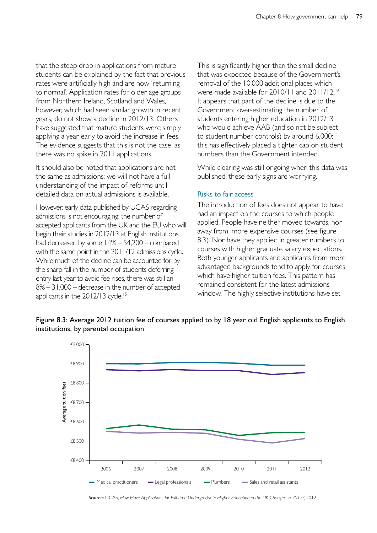that the steep drop in applications from mature students can be explained by the fact that previous rates were artificially high and are now 'returning to normal'. Application rates for older age groups from Northern Ireland, Scotland and Wales, however, which had seen similar growth in recent years, do not show a decline in 2012/13. Others have suggested that mature students were simply applying a year early to avoid the increase in fees. The evidence suggests that this is not the case, as there was no spike in 2011 applications.

It should also be noted that applications are not the same as admissions: we will not have a full understanding of the impact of reforms until detailed data on actual admissions is available.

However, early data published by UCAS regarding admissions is not encouraging: the number of accepted applicants from the UK and the EU who will begin their studies in 2012/13 at English institutions had decreased by some 14% – 54,200 – compared with the same point in the 2011/12 admissions cycle. While much of the decline can be accounted for by the sharp fall in the number of students deferring entry last year to avoid fee rises, there was still an 8% – 31,000 – decrease in the number of accepted applicants in the 2012/13 cycle.<sup>15</sup>

This is significantly higher than the small decline that was expected because of the Government's removal of the 10,000 additional places which were made available for 2010/11 and 2011/12.16 It appears that part of the decline is due to the Government over-estimating the number of students entering higher education in 2012/13 who would achieve AAB (and so not be subject to student number controls) by around 6,000: this has effectively placed a tighter cap on student numbers than the Government intended.

While clearing was still ongoing when this data was published, these early signs are worrying.

### Risks to fair access

The introduction of fees does not appear to have had an impact on the courses to which people applied. People have neither moved towards, nor away from, more expensive courses (see figure 8.3). Nor have they applied in greater numbers to courses with higher graduate salary expectations. Both younger applicants and applicants from more advantaged backgrounds tend to apply for courses which have higher tuition fees. This pattern has remained consistent for the latest admissions window. The highly selective institutions have set



# Figure 8.3: Average 2012 tuition fee of courses applied to by 18 year old English applicants to English institutions, by parental occupation

Source: UCAS, *How Have Applications for Full-time Undergraduate Higher Education in the UK Changed in 2012?*, 2012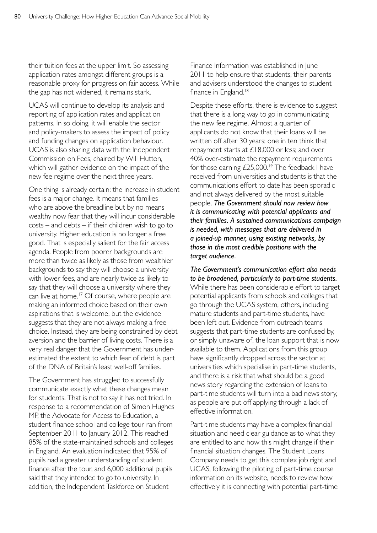their tuition fees at the upper limit. So assessing application rates amongst different groups is a reasonable proxy for progress on fair access. While the gap has not widened, it remains stark.

UCAS will continue to develop its analysis and reporting of application rates and application patterns. In so doing, it will enable the sector and policy-makers to assess the impact of policy and funding changes on application behaviour. UCAS is also sharing data with the Independent Commission on Fees, chaired by Will Hutton, which will gather evidence on the impact of the new fee regime over the next three years.

One thing is already certain: the increase in student fees is a major change. It means that families who are above the breadline but by no means wealthy now fear that they will incur considerable costs – and debts – if their children wish to go to university. Higher education is no longer a free good. That is especially salient for the fair access agenda. People from poorer backgrounds are more than twice as likely as those from wealthier backgrounds to say they will choose a university with lower fees, and are nearly twice as likely to say that they will choose a university where they can live at home.<sup>17</sup> Of course, where people are making an informed choice based on their own aspirations that is welcome, but the evidence suggests that they are not always making a free choice. Instead, they are being constrained by debt aversion and the barrier of living costs. There is a very real danger that the Government has underestimated the extent to which fear of debt is part of the DNA of Britain's least well-off families.

The Government has struggled to successfully communicate exactly what these changes mean for students. That is not to say it has not tried. In response to a recommendation of Simon Hughes MP, the Advocate for Access to Education, a student finance school and college tour ran from September 2011 to January 2012. This reached 85% of the state-maintained schools and colleges in England. An evaluation indicated that 95% of pupils had a greater understanding of student finance after the tour, and 6,000 additional pupils said that they intended to go to university. In addition, the Independent Taskforce on Student

Finance Information was established in June 2011 to help ensure that students, their parents and advisers understood the changes to student finance in England.<sup>18</sup>

Despite these efforts, there is evidence to suggest that there is a long way to go in communicating the new fee regime. Almost a quarter of applicants do not know that their loans will be written off after 30 years; one in ten think that repayment starts at £18,000 or less; and over 40% over-estimate the repayment requirements for those earning  $£25,000.^{19}$  The feedback I have received from universities and students is that the communications effort to date has been sporadic and not always delivered by the most suitable people. *The Government should now review how it is communicating with potential applicants and their families. A sustained communications campaign is needed, with messages that are delivered in a joined-up manner, using existing networks, by those in the most credible positions with the target audience.* 

*The Government's communication effort also needs to be broadened, particularly to part-time students.*  While there has been considerable effort to target potential applicants from schools and colleges that go through the UCAS system, others, including mature students and part-time students, have been left out. Evidence from outreach teams suggests that part-time students are confused by, or simply unaware of, the loan support that is now available to them. Applications from this group have significantly dropped across the sector at universities which specialise in part-time students, and there is a risk that what should be a good news story regarding the extension of loans to part-time students will turn into a bad news story, as people are put off applying through a lack of effective information.

Part-time students may have a complex financial situation and need clear guidance as to what they are entitled to and how this might change if their financial situation changes. The Student Loans Company needs to get this complex job right and UCAS, following the piloting of part-time course information on its website, needs to review how effectively it is connecting with potential part-time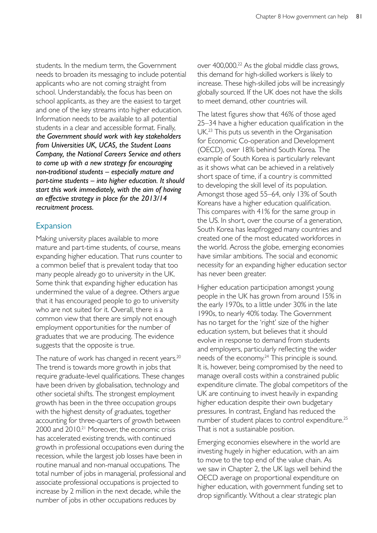students. In the medium term, the Government needs to broaden its messaging to include potential applicants who are not coming straight from school. Understandably, the focus has been on school applicants, as they are the easiest to target and one of the key streams into higher education. Information needs to be available to all potential students in a clear and accessible format. Finally, *the Government should work with key stakeholders from Universities UK, UCAS, the Student Loans Company, the National Careers Service and others to come up with a new strategy for encouraging non-traditional students – especially mature and part-time students – into higher education. It should start this work immediately, with the aim of having an effective strategy in place for the 2013/14 recruitment process.* 

## Expansion

Making university places available to more mature and part-time students, of course, means expanding higher education. That runs counter to a common belief that is prevalent today that too many people already go to university in the UK. Some think that expanding higher education has undermined the value of a degree. Others argue that it has encouraged people to go to university who are not suited for it. Overall, there is a common view that there are simply not enough employment opportunities for the number of graduates that we are producing. The evidence suggests that the opposite is true.

The nature of work has changed in recent years.<sup>20</sup> The trend is towards more growth in jobs that require graduate-level qualifications. These changes have been driven by globalisation, technology and other societal shifts. The strongest employment growth has been in the three occupation groups with the highest density of graduates, together accounting for three-quarters of growth between 2000 and 2010.<sup>21</sup> Moreover, the economic crisis has accelerated existing trends, with continued growth in professional occupations even during the recession, while the largest job losses have been in routine manual and non-manual occupations. The total number of jobs in managerial, professional and associate professional occupations is projected to increase by 2 million in the next decade, while the number of jobs in other occupations reduces by

over 400,000.22 As the global middle class grows, this demand for high-skilled workers is likely to increase. These high-skilled jobs will be increasingly globally sourced. If the UK does not have the skills to meet demand, other countries will.

The latest figures show that 46% of those aged 25–34 have a higher education qualification in the UK.23 This puts us seventh in the Organisation for Economic Co-operation and Development (OECD), over 18% behind South Korea. The example of South Korea is particularly relevant as it shows what can be achieved in a relatively short space of time, if a country is committed to developing the skill level of its population. Amongst those aged 55–64, only 13% of South Koreans have a higher education qualification. This compares with 41% for the same group in the US. In short, over the course of a generation, South Korea has leapfrogged many countries and created one of the most educated workforces in the world. Across the globe, emerging economies have similar ambitions. The social and economic necessity for an expanding higher education sector has never been greater.

Higher education participation amongst young people in the UK has grown from around 15% in the early 1970s, to a little under 30% in the late 1990s, to nearly 40% today. The Government has no target for the 'right' size of the higher education system, but believes that it should evolve in response to demand from students and employers, particularly reflecting the wider needs of the economy.<sup>24</sup> This principle is sound. It is, however, being compromised by the need to manage overall costs within a constrained public expenditure climate. The global competitors of the UK are continuing to invest heavily in expanding higher education despite their own budgetary pressures. In contrast, England has reduced the number of student places to control expenditure.<sup>25</sup> That is not a sustainable position.

Emerging economies elsewhere in the world are investing hugely in higher education, with an aim to move to the top end of the value chain. As we saw in Chapter 2, the UK lags well behind the OECD average on proportional expenditure on higher education, with government funding set to drop significantly. Without a clear strategic plan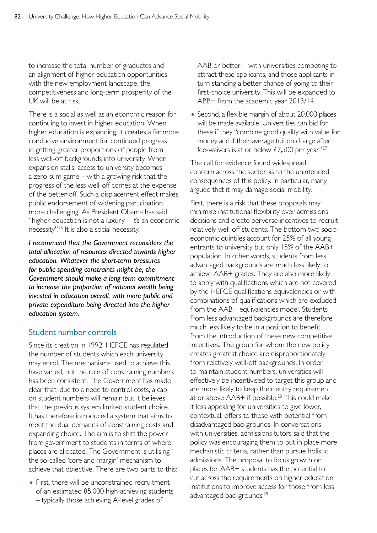to increase the total number of graduates and an alignment of higher education opportunities with the new employment landscape, the competitiveness and long-term prosperity of the UK will be at risk.

There is a social as well as an economic reason for continuing to invest in higher education. When higher education is expanding, it creates a far more conducive environment for continued progress in getting greater proportions of people from less well-off backgrounds into university. When expansion stalls, access to university becomes a zero-sum game – with a growing risk that the progress of the less well-off comes at the expense of the better-off. Such a displacement effect makes public endorsement of widening participation more challenging. As President Obama has said: "higher education is not a luxury – it's an economic necessity".26 It is also a social necessity.

*I recommend that the Government reconsiders the total allocation of resources directed towards higher education. Whatever the short-term pressures for public spending constraints might be, the Government should make a long-term commitment to increase the proportion of national wealth being invested in education overall, with more public and private expenditure being directed into the higher education system.* 

# Student number controls

Since its creation in 1992, HEFCE has regulated the number of students which each university may enrol. The mechanisms used to achieve this have varied, but the role of constraining numbers has been consistent. The Government has made clear that, due to a need to control costs, a cap on student numbers will remain but it believes that the previous system limited student choice. It has therefore introduced a system that aims to meet the dual demands of constraining costs and expanding choice. The aim is to shift the power from government to students in terms of where places are allocated. The Government is utilising the so-called 'core and margin' mechanism to achieve that objective. There are two parts to this:

• First, there will be unconstrained recruitment of an estimated 85,000 high-achieving students – typically those achieving A-level grades of

AAB or better – with universities competing to attract these applicants, and those applicants in turn standing a better chance of going to their first-choice university. This will be expanded to ABB+ from the academic year 2013/14.

• Second, a flexible margin of about 20,000 places will be made available. Universities can bid for these if they "combine good quality with value for money and if their average tuition charge after fee-waivers is at or below £7,500 per year".<sup>27</sup>

The call for evidence found widespread concern across the sector as to the unintended consequences of this policy. In particular, many argued that it may damage social mobility.

First, there is a risk that these proposals may minimise institutional flexibility over admissions decisions and create perverse incentives to recruit relatively well-off students. The bottom two socioeconomic quintiles account for 25% of all young entrants to university but only 15% of the AAB+ population. In other words, students from less advantaged backgrounds are much less likely to achieve AAB+ grades. They are also more likely to apply with qualifications which are not covered by the HEFCE qualifications equivalencies or with combinations of qualifications which are excluded from the AAB+ equivalencies model. Students from less advantaged backgrounds are therefore much less likely to be in a position to benefit from the introduction of these new competitive incentives. The group for whom the new policy creates greatest choice are disproportionately from relatively well-off backgrounds. In order to maintain student numbers, universities will effectively be incentivised to target this group and are more likely to keep their entry requirement at or above AAB+ if possible.<sup>28</sup> This could make it less appealing for universities to give lower, contextual, offers to those with potential from disadvantaged backgrounds. In conversations with universities, admissions tutors said that the policy was encouraging them to put in place more mechanistic criteria, rather than pursue holistic admissions. The proposal to focus growth on places for AAB+ students has the potential to cut across the requirements on higher education institutions to improve access for those from less advantaged backgrounds.<sup>29</sup>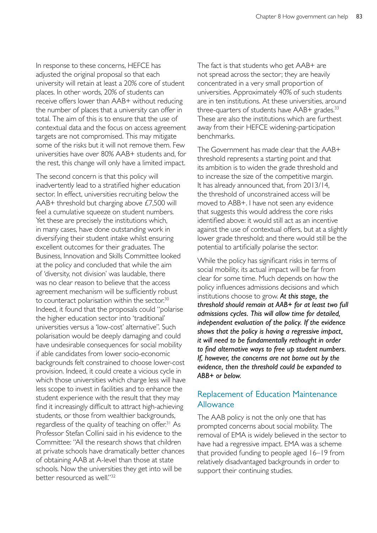In response to these concerns, HEFCE has adjusted the original proposal so that each university will retain at least a 20% core of student places. In other words, 20% of students can receive offers lower than AAB+ without reducing the number of places that a university can offer in total. The aim of this is to ensure that the use of contextual data and the focus on access agreement targets are not compromised. This may mitigate some of the risks but it will not remove them. Few universities have over 80% AAB+ students and, for the rest, this change will only have a limited impact.

The second concern is that this policy will inadvertently lead to a stratified higher education sector. In effect, universities recruiting below the AAB+ threshold but charging above £7,500 will feel a cumulative squeeze on student numbers. Yet these are precisely the institutions which, in many cases, have done outstanding work in diversifying their student intake whilst ensuring excellent outcomes for their graduates. The Business, Innovation and Skills Committee looked at the policy and concluded that while the aim of 'diversity, not division' was laudable, there was no clear reason to believe that the access agreement mechanism will be sufficiently robust to counteract polarisation within the sector.<sup>30</sup> Indeed, it found that the proposals could "polarise the higher education sector into 'traditional' universities versus a 'low-cost' alternative". Such polarisation would be deeply damaging and could have undesirable consequences for social mobility if able candidates from lower socio-economic backgrounds felt constrained to choose lower-cost provision. Indeed, it could create a vicious cycle in which those universities which charge less will have less scope to invest in facilities and to enhance the student experience with the result that they may find it increasingly difficult to attract high-achieving students, or those from wealthier backgrounds, regardless of the quality of teaching on offer.<sup>31</sup> As Professor Stefan Collini said in his evidence to the Committee: "All the research shows that children at private schools have dramatically better chances of obtaining AAB at A-level than those at state schools. Now the universities they get into will be better resourced as well."32

The fact is that students who get AAB+ are not spread across the sector; they are heavily concentrated in a very small proportion of universities. Approximately 40% of such students are in ten institutions. At these universities, around three-quarters of students have AAB+ grades.<sup>33</sup> These are also the institutions which are furthest away from their HEFCE widening-participation benchmarks.

The Government has made clear that the AAB+ threshold represents a starting point and that its ambition is to widen the grade threshold and to increase the size of the competitive margin. It has already announced that, from 2013/14, the threshold of unconstrained access will be moved to ABB+. I have not seen any evidence that suggests this would address the core risks identified above: it would still act as an incentive against the use of contextual offers, but at a slightly lower grade threshold; and there would still be the potential to artificially polarise the sector.

While the policy has significant risks in terms of social mobility, its actual impact will be far from clear for some time. Much depends on how the policy influences admissions decisions and which institutions choose to grow. *At this stage, the threshold should remain at AAB+ for at least two full admissions cycles. This will allow time for detailed, independent evaluation of the policy. If the evidence shows that the policy is having a regressive impact, it will need to be fundamentally rethought in order to find alternative ways to free up student numbers. If, however, the concerns are not borne out by the evidence, then the threshold could be expanded to ABB+ or below.* 

# Replacement of Education Maintenance Allowance

The AAB policy is not the only one that has prompted concerns about social mobility. The removal of EMA is widely believed in the sector to have had a regressive impact. EMA was a scheme that provided funding to people aged 16–19 from relatively disadvantaged backgrounds in order to support their continuing studies.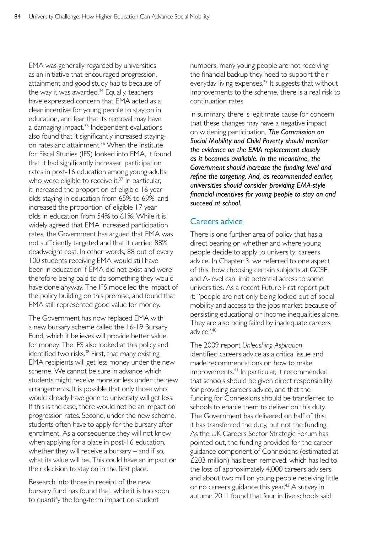EMA was generally regarded by universities as an initiative that encouraged progression, attainment and good study habits because of the way it was awarded.<sup>34</sup> Equally, teachers have expressed concern that EMA acted as a clear incentive for young people to stay on in education, and fear that its removal may have a damaging impact.<sup>35</sup> Independent evaluations also found that it significantly increased stayingon rates and attainment.<sup>36</sup> When the Institute for Fiscal Studies (IFS) looked into EMA, it found that it had significantly increased participation rates in post-16 education among young adults who were eligible to receive it. $37$  In particular, it increased the proportion of eligible 16 year olds staying in education from 65% to 69%, and increased the proportion of eligible 17 year olds in education from 54% to 61%. While it is widely agreed that EMA increased participation rates, the Government has argued that EMA was not sufficiently targeted and that it carried 88% deadweight cost. In other words, 88 out of every 100 students receiving EMA would still have been in education if EMA did not exist and were therefore being paid to do something they would have done anyway. The IFS modelled the impact of the policy building on this premise, and found that EMA still represented good value for money.

The Government has now replaced EMA with a new bursary scheme called the 16-19 Bursary Fund, which it believes will provide better value for money. The IFS also looked at this policy and identified two risks.<sup>38</sup> First, that many existing EMA recipients will get less money under the new scheme. We cannot be sure in advance which students might receive more or less under the new arrangements. It is possible that only those who would already have gone to university will get less. If this is the case, there would not be an impact on progression rates. Second, under the new scheme, students often have to apply for the bursary after enrolment. As a consequence they will not know, when applying for a place in post-16 education, whether they will receive a bursary – and if so, what its value will be. This could have an impact on their decision to stay on in the first place.

Research into those in receipt of the new bursary fund has found that, while it is too soon to quantify the long-term impact on student

numbers, many young people are not receiving the financial backup they need to support their everyday living expenses.<sup>39</sup> It suggests that without improvements to the scheme, there is a real risk to continuation rates.

In summary, there is legitimate cause for concern that these changes may have a negative impact on widening participation. *The Commission on Social Mobility and Child Poverty should monitor the evidence on the EMA replacement closely as it becomes available. In the meantime, the Government should increase the funding level and refine the targeting. And, as recommended earlier, universities should consider providing EMA-style financial incentives for young people to stay on and succeed at school.* 

# Careers advice

There is one further area of policy that has a direct bearing on whether and where young people decide to apply to university: careers advice. In Chapter 3, we referred to one aspect of this: how choosing certain subjects at GCSE and A-level can limit potential access to some universities. As a recent Future First report put it: "people are not only being locked out of social mobility and access to the jobs market because of persisting educational or income inequalities alone. They are also being failed by inadequate careers advice".40

The 2009 report *Unleashing Aspiration*  identified careers advice as a critical issue and made recommendations on how to make improvements.<sup>41</sup> In particular, it recommended that schools should be given direct responsibility for providing careers advice, and that the funding for Connexions should be transferred to schools to enable them to deliver on this duty. The Government has delivered on half of this: it has transferred the duty, but not the funding. As the UK Careers Sector Strategic Forum has pointed out, the funding provided for the career guidance component of Connexions (estimated at £203 million) has been removed, which has led to the loss of approximately 4,000 careers advisers and about two million young people receiving little or no careers guidance this year.<sup>42</sup> A survey in autumn 2011 found that four in five schools said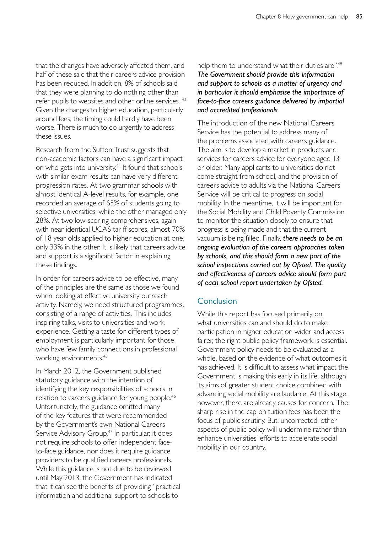that the changes have adversely affected them, and half of these said that their careers advice provision has been reduced. In addition, 8% of schools said that they were planning to do nothing other than refer pupils to websites and other online services. <sup>43</sup> Given the changes to higher education, particularly around fees, the timing could hardly have been worse. There is much to do urgently to address these issues.

Research from the Sutton Trust suggests that non-academic factors can have a significant impact on who gets into university.44 It found that schools with similar exam results can have very different progression rates. At two grammar schools with almost identical A-level results, for example, one recorded an average of 65% of students going to selective universities, while the other managed only 28%. At two low-scoring comprehensives, again with near identical UCAS tariff scores, almost 70% of 18 year olds applied to higher education at one, only 33% in the other. It is likely that careers advice and support is a significant factor in explaining these findings.

In order for careers advice to be effective, many of the principles are the same as those we found when looking at effective university outreach activity. Namely, we need structured programmes, consisting of a range of activities. This includes inspiring talks, visits to universities and work experience. Getting a taste for different types of employment is particularly important for those who have few family connections in professional working environments.<sup>45</sup>

In March 2012, the Government published statutory guidance with the intention of identifying the key responsibilities of schools in relation to careers guidance for young people.<sup>46</sup> Unfortunately, the guidance omitted many of the key features that were recommended by the Government's own National Careers Service Advisory Group.<sup>47</sup> In particular, it does not require schools to offer independent faceto-face guidance, nor does it require guidance providers to be qualified careers professionals. While this guidance is not due to be reviewed until May 2013, the Government has indicated that it can see the benefits of providing "practical information and additional support to schools to

help them to understand what their duties are".<sup>48</sup> *The Government should provide this information and support to schools as a matter of urgency and in particular it should emphasise the importance of face-to-face careers guidance delivered by impartial and accredited professionals.* 

The introduction of the new National Careers Service has the potential to address many of the problems associated with careers guidance. The aim is to develop a market in products and services for careers advice for everyone aged 13 or older. Many applicants to universities do not come straight from school, and the provision of careers advice to adults via the National Careers Service will be critical to progress on social mobility. In the meantime, it will be important for the Social Mobility and Child Poverty Commission to monitor the situation closely to ensure that progress is being made and that the current vacuum is being filled. Finally, *there needs to be an ongoing evaluation of the careers approaches taken by schools, and this should form a new part of the school inspections carried out by Ofsted. The quality and effectiveness of careers advice should form part of each school report undertaken by Ofsted.* 

# **Conclusion**

While this report has focused primarily on what universities can and should do to make participation in higher education wider and access fairer, the right public policy framework is essential. Government policy needs to be evaluated as a whole, based on the evidence of what outcomes it has achieved. It is difficult to assess what impact the Government is making this early in its life, although its aims of greater student choice combined with advancing social mobility are laudable. At this stage, however, there are already causes for concern. The sharp rise in the cap on tuition fees has been the focus of public scrutiny. But, uncorrected, other aspects of public policy will undermine rather than enhance universities' efforts to accelerate social mobility in our country.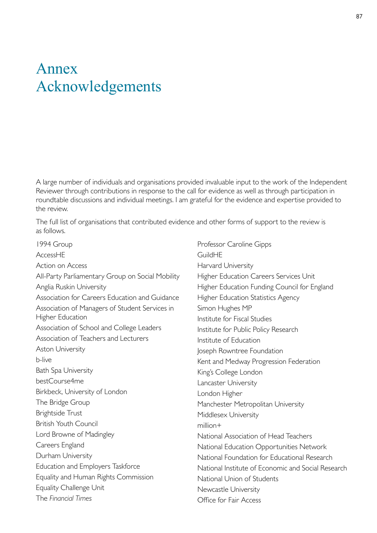# Annex Acknowledgements

A large number of individuals and organisations provided invaluable input to the work of the Independent Reviewer through contributions in response to the call for evidence as well as through participation in roundtable discussions and individual meetings. I am grateful for the evidence and expertise provided to the review.

The full list of organisations that contributed evidence and other forms of support to the review is as follows.

1994 Group AccessHE Action on Access All-Party Parliamentary Group on Social Mobility Anglia Ruskin University Association for Careers Education and Guidance Association of Managers of Student Services in Higher Education Association of School and College Leaders Association of Teachers and Lecturers Aston University b-live Bath Spa University bestCourse4me Birkbeck, University of London The Bridge Group Brightside Trust British Youth Council Lord Browne of Madingley Careers England Durham University Education and Employers Taskforce Equality and Human Rights Commission Equality Challenge Unit The *Financial Times* 

Professor Caroline Gipps GuildHE Harvard University Higher Education Careers Services Unit Higher Education Funding Council for England Higher Education Statistics Agency Simon Hughes MP Institute for Fiscal Studies Institute for Public Policy Research Institute of Education Joseph Rowntree Foundation Kent and Medway Progression Federation King's College London Lancaster University London Higher Manchester Metropolitan University Middlesex University million+ National Association of Head Teachers National Education Opportunities Network National Foundation for Educational Research National Institute of Economic and Social Research National Union of Students Newcastle University Office for Fair Access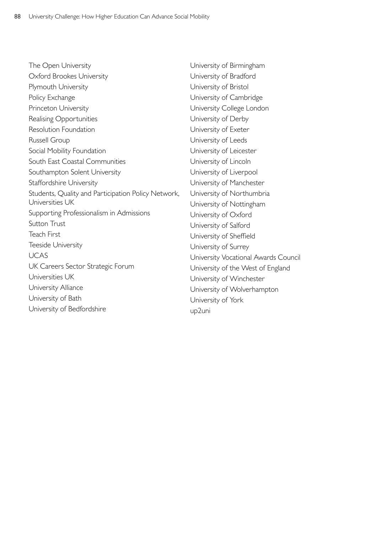| The Open University                                 | University of Birmingham             |
|-----------------------------------------------------|--------------------------------------|
| Oxford Brookes University                           | University of Bradford               |
| Plymouth University                                 | University of Bristol                |
| Policy Exchange                                     | University of Cambridge              |
| Princeton University                                | University College London            |
| Realising Opportunities                             | University of Derby                  |
| Resolution Foundation                               | University of Exeter                 |
| Russell Group                                       | University of Leeds                  |
| Social Mobility Foundation                          | University of Leicester              |
| South East Coastal Communities                      | University of Lincoln                |
| Southampton Solent University                       | University of Liverpool              |
| <b>Staffordshire University</b>                     | University of Manchester             |
| Students, Quality and Participation Policy Network, | University of Northumbria            |
| Universities UK                                     | University of Nottingham             |
| Supporting Professionalism in Admissions            | University of Oxford                 |
| <b>Sutton Trust</b>                                 | University of Salford                |
| <b>Teach First</b>                                  | University of Sheffield              |
| Teeside University                                  | University of Surrey                 |
| <b>UCAS</b>                                         | University Vocational Awards Council |
| UK Careers Sector Strategic Forum                   | University of the West of England    |
| Universities UK                                     | University of Winchester             |
| University Alliance                                 | University of Wolverhampton          |
| University of Bath                                  | University of York                   |
| University of Bedfordshire                          | up2uni                               |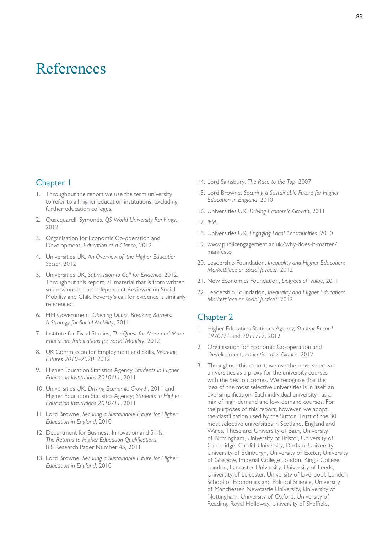# References

### Chapter 1

- 1. Throughout the report we use the term university to refer to all higher education institutions, excluding further education colleges.
- 2. Quacquarelli Symonds, *QS World University Rankings*, 2012
- 3. Organisation for Economic Co-operation and Development, *Education at a Glance*, 2012
- 4. Universities UK, *An Overview of the Higher Education Sector*, 2012
- 5. Universities UK, *Submission to Call for Evidence*, 2012. Throughout this report, all material that is from written submissions to the Independent Reviewer on Social Mobility and Child Poverty's call for evidence is similarly referenced.
- 6. HM Government, *Opening Doors, Breaking Barriers: A Strategy for Social Mobility*, 2011
- 7. Institute for Fiscal Studies, *The Quest for More and More Education: Implications for Social Mobility*, 2012
- 8. UK Commission for Employment and Skills, *Working Futures 2010–2020*, 2012
- 9. Higher Education Statistics Agency, *Students in Higher Education Institutions 2010/11*, 2011
- 10. Universities UK, *Driving Economic Growth*, 2011 and Higher Education Statistics Agency; *Students in Higher Education Institutions 2010/11*, 2011
- 11. Lord Browne, *Securing a Sustainable Future for Higher Education in England*, 2010
- 12. Department for Business, Innovation and Skills, *The Returns to Higher Education Qualifications,*  BIS Research Paper Number 45*,* 2011
- 13. Lord Browne, *Securing a Sustainable Future for Higher Education in England*, 2010
- 14. Lord Sainsbury, *The Race to the Top*, 2007
- 15. Lord Browne, *Securing a Sustainable Future for Higher Education in England*, 2010
- 16. Universities UK, *Driving Economic Growth*, 2011
- 17. *Ibid.*
- 18. Universities UK, *Engaging Local Communities*, 2010
- 19. [www.publicengagement.ac.uk/why-does-it-matter/](http://www.publicengagement.ac.uk/why-does-it-matter/manifesto)  manifesto
- 20. Leadership Foundation, *Inequality and Higher Education: Marketplace or Social Justice?*, 2012
- 21. New Economics Foundation, *Degrees of Value*, 2011
- 22. Leadership Foundation, *Inequality and Higher Education: Marketplace or Social Justice?*, 2012

- 1. Higher Education Statistics Agency, *Student Record 1970/71* and *2011/12*, 2012
- 2. Organisation for Economic Co-operation and Development, *Education at a Glance*, 2012
- 3. Throughout this report, we use the most selective universities as a proxy for the university courses with the best outcomes. We recognise that the idea of the most selective universities is in itself an oversimplification. Each individual university has a mix of high-demand and low-demand courses. For the purposes of this report, however, we adopt the classification used by the Sutton Trust of the 30 most selective universities in Scotland, England and Wales. These are: University of Bath, University of Birmingham, University of Bristol, University of Cambridge, Cardiff University, Durham University, University of Edinburgh, University of Exeter, University of Glasgow, Imperial College London, King's College London, Lancaster University, University of Leeds, University of Leicester, University of Liverpool, London School of Economics and Political Science, University of Manchester, Newcastle University, University of Nottingham, University of Oxford, University of Reading, Royal Holloway, University of Sheffield,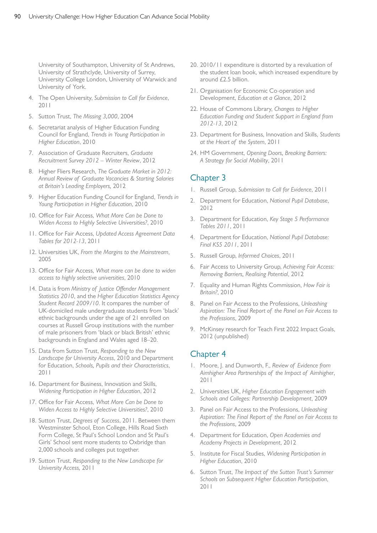University of Southampton, University of St Andrews, University of Strathclyde, University of Surrey, University College London, University of Warwick and University of York.

- 4. The Open University, *Submission to Call for Evidence*, 2011
- 5. Sutton Trust, *The Missing 3,000*, 2004
- 6. Secretariat analysis of Higher Education Funding Council for England, *Trends in Young Participation in Higher Education*, 2010
- 7. Association of Graduate Recruiters, *Graduate Recruitment Survey 2012 – Winter Review*, 2012
- 8. Higher Fliers Research, *The Graduate Market in 2012: Annual Review of Graduate Vacancies & Starting Salaries at Britain's Leading Employers,* 2012
- 9. Higher Education Funding Council for England, *Trends in Young Participation in Higher Education*, 2010
- 10. Office for Fair Access, *What More Can be Done to Widen Access to Highly Selective Universities?*, 2010
- 11. Office for Fair Access, *Updated Access Agreement Data Tables for 2012-13*, 2011
- 12. Universities UK, *From the Margins to the Mainstream*, 2005
- 13. Office for Fair Access, *What more can be done to widen access to highly selective universities*, 2010
- 14. Data is from *Ministry of Justice Offender Management Statistics 2010*, and the *Higher Education Statistics Agency Student Record 2009/10*. It compares the number of UK-domiciled male undergraduate students from 'black' ethnic backgrounds under the age of 21 enrolled on courses at Russell Group institutions with the number of male prisoners from 'black or black British' ethnic backgrounds in England and Wales aged 18–20.
- 15. Data from Sutton Trust, *Responding to the New Landscape for University Access*, 2010 and Department for Education, *Schools, Pupils and their Characteristics*, 2011
- 16. Department for Business, Innovation and Skills, *Widening Participation in Higher Education*, 2012
- 17. Office for Fair Access, *What More Can be Done to Widen Access to Highly Selective Universities?*, 2010
- 18. Sutton Trust, *Degrees of Success*, 2011. Between them Westminster School, Eton College, Hills Road Sixth Form College, St Paul's School London and St Paul's Girls' School sent more students to Oxbridge than 2,000 schools and colleges put together.
- 19. Sutton Trust, *Responding to the New Landscape for University Access,* 2011
- 20. 2010/11 expenditure is distorted by a revaluation of the student loan book, which increased expenditure by around £2.5 billion.
- 21. Organisation for Economic Co-operation and Development, *Education at a Glance*, 2012
- 22. House of Commons Library, *Changes to Higher Education Funding and Student Support in England from 2012-13*, 2012
- 23. Department for Business, Innovation and Skills, *Students at the Heart of the System*, 2011
- 24. HM Government, *Opening Doors, Breaking Barriers: A Strategy for Social Mobility*, 2011

# Chapter 3

- 1. Russell Group, Submission to Call for Evidence, 2011
- 2. Department for Education, *National Pupil Database*, 2012
- 3. Department for Education, *Key Stage 5 Performance Tables 2011*, 2011
- 4. Department for Education, *National Pupil Database: Final KS5 2011*, 2011
- 5. Russell Group, *Informed Choices*, 2011
- 6. Fair Access to University Group, *Achieving Fair Access: Removing Barriers, Realising Potential*, 2012
- 7. Equality and Human Rights Commission, *How Fair is Britain?*, 2010
- 8. Panel on Fair Access to the Professions, *Unleashing Aspiration: The Final Report of the Panel on Fair Access to the Professions*, 2009
- 9. McKinsey research for Teach First 2022 Impact Goals, 2012 (unpublished)

- 1. Moore, J. and Dunworth, F., Review of Evidence from *Aimhigher Area Partnerships of the Impact of Aimhigher*, 2011
- 2. Universities UK, *Higher Education Engagement with Schools and Colleges: Partnership Development*, 2009
- 3. Panel on Fair Access to the Professions, *Unleashing Aspiration: The Final Report of the Panel on Fair Access to the Professions*, 2009
- 4. Department for Education, *Open Academies and Academy Projects in Development*, 2012
- 5. Institute for Fiscal Studies, *Widening Participation in Higher Education*, 2010
- 6. Sutton Trust, *The Impact of the Sutton Trust's Summer Schools on Subsequent Higher Education Participation*, 2011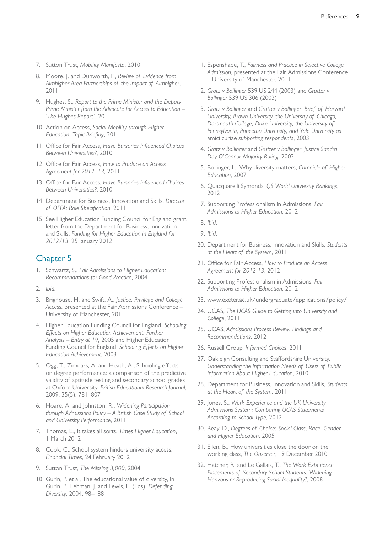- 7. Sutton Trust, *Mobility Manifesto*, 2010
- 8. Moore, J. and Dunworth, F., *Review of Evidence from Aimhigher Area Partnerships of the Impact of Aimhigher*, 2011
- 9. Hughes, S., *Report to the Prime Minister and the Deputy Prime Minister from the Advocate for Access to Education – 'The Hughes Report'*, 2011
- 10. Action on Access, *Social Mobility through Higher Education: Topic Briefing*, 2011
- 11. Office for Fair Access, *Have Bursaries Influenced Choices Between Universities?*, 2010
- 12. Office for Fair Access, *How to Produce an Access Agreement for 2012–13,* 2011
- 13. Office for Fair Access, *Have Bursaries Influenced Choices Between Universities?*, 2010
- 14. Department for Business, Innovation and Skills, *Director of OFFA: Role Specification*, 2011
- 15. See Higher Education Funding Council for England grant letter from the Department for Business, Innovation and Skills, *Funding for Higher Education in England for 2012/13*, 25 January 2012

- 1. Schwartz, S., *Fair Admissions to Higher Education: Recommendations for Good Practice*, 2004
- 2. *Ibid.*
- 3. Brighouse, H. and Swift, A., *Justice, Privilege and College Access,* presented at the Fair Admissions Conference – University of Manchester, 2011
- 4. Higher Education Funding Council for England, *Schooling Effects on Higher Education Achievement: Further Analysis – Entry at 19,* 2005 and Higher Education Funding Council for England, *Schooling Effects on Higher Education Achievement*, 2003
- 5. Ogg, T., Zimdars, A. and Heath, A., Schooling effects on degree performance: a comparison of the predictive validity of aptitude testing and secondary school grades at Oxford University, *British Educational Research Journal*, 2009, 35(5): 781–807
- 6. Hoare, A. and Johnston, R., *Widening Participation through Admissions Policy – A British Case Study of School and University Performance*, 2011
- 7. Thomas, E., It takes all sorts, *Times Higher Education*, 1 March *2*012
- 8. Cook, C., School system hinders university access, *Financial Times*, 24 February 2012
- 9. Sutton Trust, *The Missing 3,000*, 2004
- 10. Gurin, P. et al, The educational value of diversity, in Gurin, P., Lehman, J. and Lewis, E. (Eds), *Defending Diversity*, 2004, 98–188
- 11. Espenshade, T., *Fairness and Practice in Selective College Admission*, presented at the Fair Admissions Conference – University of Manchester, 2011
- 12. *Gratz v Bollinger* 539 US 244 (2003) and *Grutter v Bollinger* 539 US 306 (2003)
- 13. *Gratz v Bollinger* and *Grutter v Bollinger*, *Brief of Harvard University, Brown University, the University of Chicago, Dartmouth College, Duke University, the University of Pennsylvania, Princeton University, and Yale University as*  amici curiae *supporting respondents*, 2003
- 14. *Gratz v Bollinger* and *Grutter v Bollinger*, *Justice Sandra Day O'Connor Majority Ruling*, 2003
- 15. Bollinger, L., Why diversity matters, *Chronicle of Higher Education*, 2007
- 16. Quacquarelli Symonds, *QS World University Rankings*, 2012
- 17. Supporting Professionalism in Admissions, *Fair Admissions to Higher Education*, 2012
- 18. *Ibid.*
- 19. *Ibid.*
- 20. Department for Business, Innovation and Skills, *Students at the Heart of the System*, 2011
- 21. Office for Fair Access, *How to Produce an Access Agreement for 2012-13*, 2012
- 22. Supporting Professionalism in Admissions, *Fair Admissions to Higher Education*, 2012
- 23. [www.exeter.ac.uk/undergraduate/applications/policy/](http://www.exeter.ac.uk/undergraduate/applications/policy/)
- 24. UCAS, *The UCAS Guide to Getting into University and College*, 2011
- 25. UCAS, *Admissions Process Review: Findings and Recommendations*, 2012
- 26. Russell Group, *Informed Choices*, 2011
- 27. Oakleigh Consulting and Staffordshire University, *Understanding the Information Needs of Users of Public Information About Higher Education*, 2010
- 28. Department for Business, Innovation and Skills, *Students at the Heart of the System*, 2011
- 29. Jones, S., *Work Experience and the UK University Admissions System: Comparing UCAS Statements According to School Type*, 2012
- 30. Reay, D., *Degrees of Choice: Social Class, Race, Gender and Higher Education*, 2005
- 31. Ellen, B., How universities close the door on the working class, *The Observer*, 19 December 2010
- 32. Hatcher, R. and Le Gallais, T., *The Work Experience Placements of Secondary School Students: Widening Horizons or Reproducing Social Inequality?*, 2008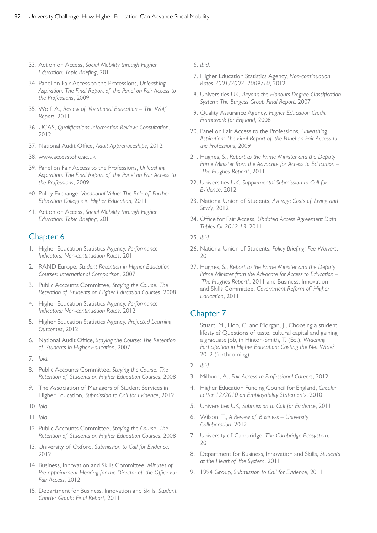- 33. Action on Access, *Social Mobility through Higher Education: Topic Briefing*, 2011
- 34. Panel on Fair Access to the Professions, *Unleashing Aspiration: The Final Report of the Panel on Fair Access to the Professions*, 2009
- 35. Wolf, A., *Review of Vocational Education The Wolf Report*, 2011
- 36. UCAS, *Qualifications Information Review: Consultation*, 2012
- 37. National Audit Office, *Adult Apprenticeships*, 2012
- 38. [www.accesstohe.ac.uk](http://www.accesstohe.ac.uk)
- 39. Panel on Fair Access to the Professions, *Unleashing Aspiration: The Final Report of the Panel on Fair Access to the Professions*, 2009
- 40. Policy Exchange, *Vocational Value: The Role of Further Education Colleges in Higher Education*, 2011
- 41. Action on Access, *Social Mobility through Higher Education: Topic Briefing*, 2011

### Chapter 6

- 1. Higher Education Statistics Agency, *Performance Indicators: Non-continuation Rates*, 2011
- 2. RAND Europe, *Student Retention in Higher Education Courses: International Comparison*, 2007
- 3. Public Accounts Committee, *Staying the Course: The Retention of Students on Higher Education Courses*, 2008
- 4. Higher Education Statistics Agency, *Performance Indicators: Non-continuation Rates*, 2012
- 5. Higher Education Statistics Agency, *Projected Learning Outcomes*, 2012
- 6. National Audit Office, *Staying the Course: The Retention of Students in Higher Education*, 2007
- 7. *Ibid.*
- 8. Public Accounts Committee, *Staying the Course: The Retention of Students on Higher Education Courses*, 2008
- 9. The Association of Managers of Student Services in Higher Education, *Submission to Call for Evidence*, 2012
- 10. *Ibid.*
- 11. *Ibid.*
- 12. Public Accounts Committee, *Staying the Course: The Retention of Students on Higher Education Courses*, 2008
- 13. University of Oxford, *Submission to Call for Evidence*, 2012
- 14. Business, Innovation and Skills Committee, *Minutes of Pre-appointment Hearing for the Director of the Office For Fair Access*, 2012
- 15. Department for Business, Innovation and Skills, *Student Charter Group: Final Report*, 2011
- 16. *Ibid.*
- 17. Higher Education Statistics Agency, *Non-continuation Rates 2001/2002–2009/10*, 2012
- 18. Universities UK, *Beyond the Honours Degree Classification System: The Burgess Group Final Report*, 2007
- 19. Quality Assurance Agency, *Higher Education Credit Framework for England*, 2008
- 20. Panel on Fair Access to the Professions, *Unleashing Aspiration: The Final Report of the Panel on Fair Access to the Professions*, 2009
- 21. Hughes, S., *Report to the Prime Minister and the Deputy Prime Minister from the Advocate for Access to Education – 'The Hughes Report'*, 2011
- 22. Universities UK, *Supplemental Submission to Call for Evidence*, 2012
- 23. National Union of Students, *Average Costs of Living and Study*, 2012
- 24. Office for Fair Access, *Updated Access Agreement Data Tables for 2012-13*, 2011
- 25. *Ibid.*
- 26. National Union of Students, *Policy Briefing: Fee Waivers*, 2011
- 27. Hughes, S., *Report to the Prime Minister and the Deputy Prime Minister from the Advocate for Access to Education – 'The Hughes Report'*, 2011 and Business, Innovation and Skills Committee, *Government Reform of Higher Education*, 2011

- 1. Stuart, M., Lido, C. and Morgan, J., Choosing a student lifestyle? Questions of taste, cultural capital and gaining a graduate job, in Hinton-Smith, T. (Ed.), *Widening Participation in Higher Education: Casting the Net Wide?*, 2012 (forthcoming)
- 2. *Ibid.*
- 3. Milburn, A., *Fair Access to Professional Careers*, 2012
- 4. Higher Education Funding Council for England, *Circular Letter 12/2010 on Employability Statements*, 2010
- 5. Universities UK, *Submission to Call for Evidence*, 2011
- 6. Wilson, T., *A Review of Business University Collaboration*, 2012
- 7. University of Cambridge, *The Cambridge Ecosystem*, 2011
- 8. Department for Business, Innovation and Skills, *Students at the Heart of the System*, 2011
- 9. 1994 Group, *Submission to Call for Evidence*, 2011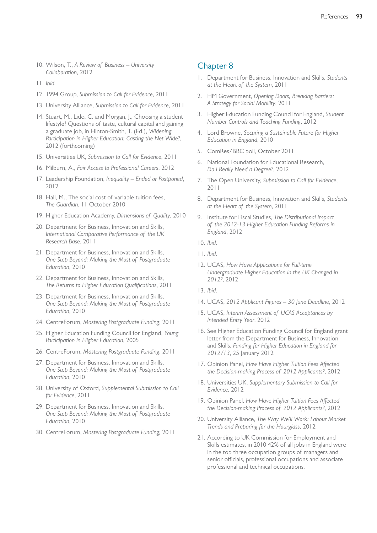- 10. Wilson, T., *A Review of Business University Collaboration*, 2012
- 11. *Ibid.*
- 12. 1994 Group, *Submission to Call for Evidence*, 2011
- 13. University Alliance, *Submission to Call for Evidence*, 2011
- 14. Stuart, M., Lido, C. and Morgan, J., Choosing a student lifestyle? Questions of taste, cultural capital and gaining a graduate job, in Hinton-Smith, T. (Ed.), *Widening Participation in Higher Education: Casting the Net Wide?*, 2012 (forthcoming)
- 15. Universities UK, *Submission to Call for Evidence*, 2011
- 16. Milburn, A., *Fair Access to Professional Careers*, 2012
- 17. Leadership Foundation, *Inequality Ended or Postponed*, 2012
- 18. Hall, M., The social cost of variable tuition fees, *The Guardian*, 11 October 2010
- 19. Higher Education Academy, *Dimensions of Quality*, 2010
- 20. Department for Business, Innovation and Skills, *International Comparative Performance of the UK Research Base*, 2011
- 21. Department for Business, Innovation and Skills, *One Step Beyond: Making the Most of Postgraduate Education*, 2010
- 22. Department for Business, Innovation and Skills, *The Returns to Higher Education Qualifications*, 2011
- 23. Department for Business, Innovation and Skills, *One Step Beyond: Making the Most of Postgraduate Education*, 2010
- 24. CentreForum, *Mastering Postgraduate Funding*, 2011
- 25. Higher Education Funding Council for England, *Young Participation in Higher Education*, 2005
- 26. CentreForum, *Mastering Postgraduate Funding*, 2011
- 27. Department for Business, Innovation and Skills, *One Step Beyond: Making the Most of Postgraduate Education*, 2010
- 28. University of Oxford, *Supplemental Submission to Call for Evidence*, 2011
- 29. Department for Business, Innovation and Skills, *One Step Beyond: Making the Most of Postgraduate Education*, 2010
- 30. CentreForum, *Mastering Postgraduate Funding,* 2011

- 1. Department for Business, Innovation and Skills, *Students at the Heart of the System*, 2011
- 2. HM Government, *Opening Doors, Breaking Barriers: A Strategy for Social Mobility*, 2011
- 3. Higher Education Funding Council for England, *Student Number Controls and Teaching Funding*, 2012
- 4. Lord Browne, *Securing a Sustainable Future for Higher Education in England*, 2010
- 5. ComRes/BBC poll, October 2011
- 6. National Foundation for Educational Research, *Do I Really Need a Degree?*, 2012
- 7. The Open University, *Submission to Call for Evidence*, 2011
- 8. Department for Business, Innovation and Skills, *Students at the Heart of the System*, 2011
- 9. Institute for Fiscal Studies, *The Distributional Impact of the 2012-13 Higher Education Funding Reforms in England*, 2012
- 10. *Ibid.*
- 11. *Ibid.*
- 12. UCAS, *How Have Applications for Full-time Undergraduate Higher Education in the UK Changed in 2012?*, 2012
- 13. *Ibid.*
- 14. UCAS, *2012 Applicant Figures 30 June Deadline*, 2012
- 15. UCAS, *Interim Assessment of UCAS Acceptances by Intended Entry Year*, 2012
- 16. See Higher Education Funding Council for England grant letter from the Department for Business, Innovation and Skills, *Funding for Higher Education in England for 2012/13*, 25 January 2012
- 17. Opinion Panel, *How Have Higher Tuition Fees Affected the Decision-making Process of 2012 Applicants?*, 2012
- 18. Universities UK, *Supplementary Submission to Call for Evidence*, 2012
- 19. Opinion Panel, *How Have Higher Tuition Fees Affected the Decision-making Process of 2012 Applicants?*, 2012
- 20. University Alliance, *The Way We'll Work: Labour Market Trends and Preparing for the Hourglass*, 2012
- 21. According to UK Commission for Employment and Skills estimates, in 2010 42% of all jobs in England were in the top three occupation groups of managers and senior officials, professional occupations and associate professional and technical occupations.